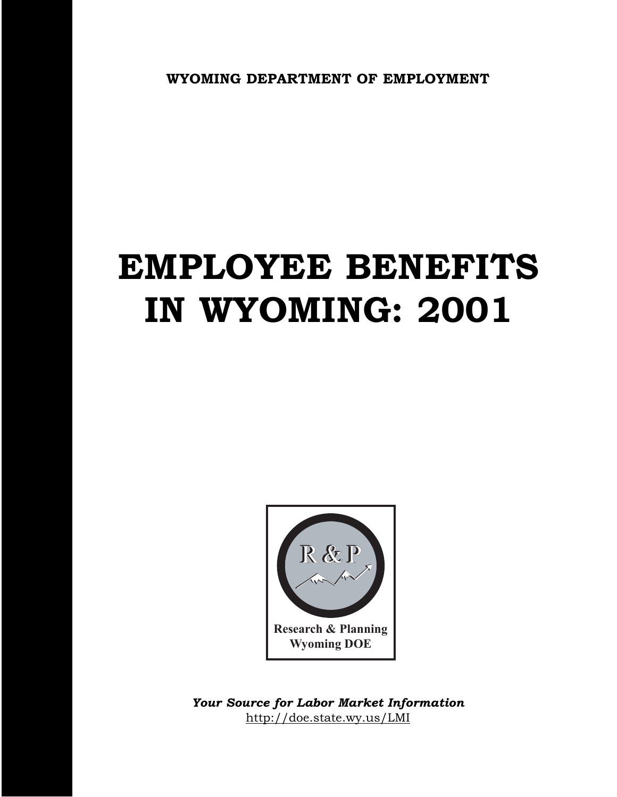**WYOMING DEPARTMENT OF EMPLOYMENT**

# **EMPLOYEE BENEFITS IN WYOMING: 2001**



http://doe.state.wy.us/LMI *Your Source for Labor Market Information*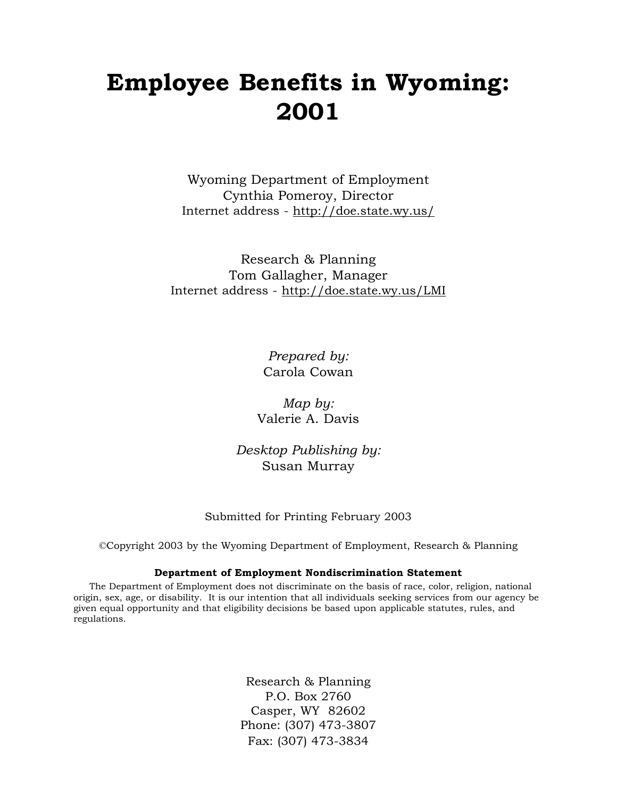# **Employee Benefits in Wyoming: 2001**

Wyoming Department of Employment Cynthia Pomeroy, Director Internet address - http://doe.state.wy.us/

Research & Planning Tom Gallagher, Manager Internet address - http://doe.state.wy.us/LMI

> *Prepared by:* Carola Cowan

*Map by:* Valerie A. Davis

*Desktop Publishing by:* Susan Murray

#### Submitted for Printing February 2003

©Copyright 2003 by the Wyoming Department of Employment, Research & Planning

#### **Department of Employment Nondiscrimination Statement**

The Department of Employment does not discriminate on the basis of race, color, religion, national origin, sex, age, or disability. It is our intention that all individuals seeking services from our agency be given equal opportunity and that eligibility decisions be based upon applicable statutes, rules, and regulations.

> Research & Planning P.O. Box 2760 Casper, WY 82602 Phone: (307) 473-3807 Fax: (307) 473-3834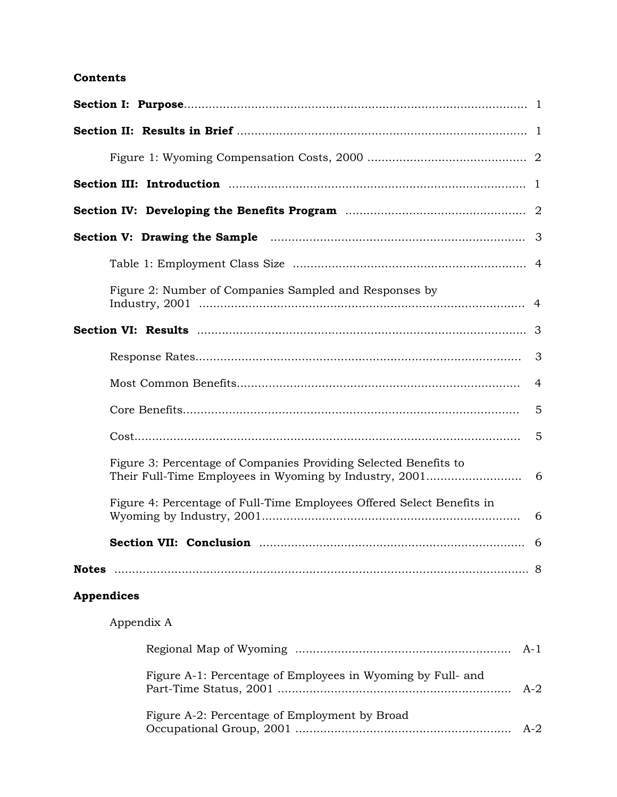#### **Contents**

| Figure 2: Number of Companies Sampled and Responses by                 |                |
|------------------------------------------------------------------------|----------------|
|                                                                        |                |
|                                                                        | 3              |
|                                                                        | $\overline{4}$ |
|                                                                        | 5              |
|                                                                        | 5              |
| Figure 3: Percentage of Companies Providing Selected Benefits to       |                |
| Figure 4: Percentage of Full-Time Employees Offered Select Benefits in | 6              |
|                                                                        |                |
|                                                                        |                |
| <b>Appendices</b>                                                      |                |
| Appendix A                                                             |                |
| A-1                                                                    |                |
| Figure A-1: Percentage of Employees in Wyoming by Full- and<br>$A-2$   |                |
| Figure A-2: Percentage of Employment by Broad<br>$A-2$                 |                |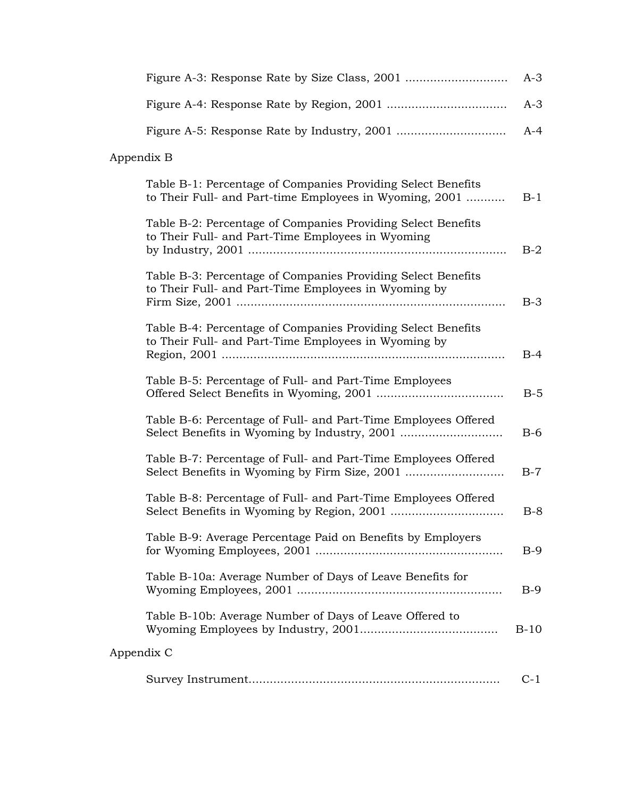|            |                                                                                                                         | $A-3$  |
|------------|-------------------------------------------------------------------------------------------------------------------------|--------|
|            |                                                                                                                         | $A-3$  |
|            |                                                                                                                         | $A-4$  |
| Appendix B |                                                                                                                         |        |
|            | Table B-1: Percentage of Companies Providing Select Benefits<br>to Their Full- and Part-time Employees in Wyoming, 2001 | $B-1$  |
|            | Table B-2: Percentage of Companies Providing Select Benefits<br>to Their Full- and Part-Time Employees in Wyoming       | $B-2$  |
|            | Table B-3: Percentage of Companies Providing Select Benefits                                                            |        |
|            | to Their Full- and Part-Time Employees in Wyoming by                                                                    | $B-3$  |
|            | Table B-4: Percentage of Companies Providing Select Benefits<br>to Their Full- and Part-Time Employees in Wyoming by    | $B-4$  |
|            | Table B-5: Percentage of Full- and Part-Time Employees                                                                  | $B-5$  |
|            | Table B-6: Percentage of Full- and Part-Time Employees Offered                                                          | $B-6$  |
|            | Table B-7: Percentage of Full- and Part-Time Employees Offered                                                          | $B-7$  |
|            | Table B-8: Percentage of Full- and Part-Time Employees Offered                                                          | $B-8$  |
|            | Table B-9: Average Percentage Paid on Benefits by Employers                                                             | $B-9$  |
|            | Table B-10a: Average Number of Days of Leave Benefits for                                                               | $B-9$  |
|            | Table B-10b: Average Number of Days of Leave Offered to                                                                 | $B-10$ |
| Appendix C |                                                                                                                         |        |
|            |                                                                                                                         | $C-1$  |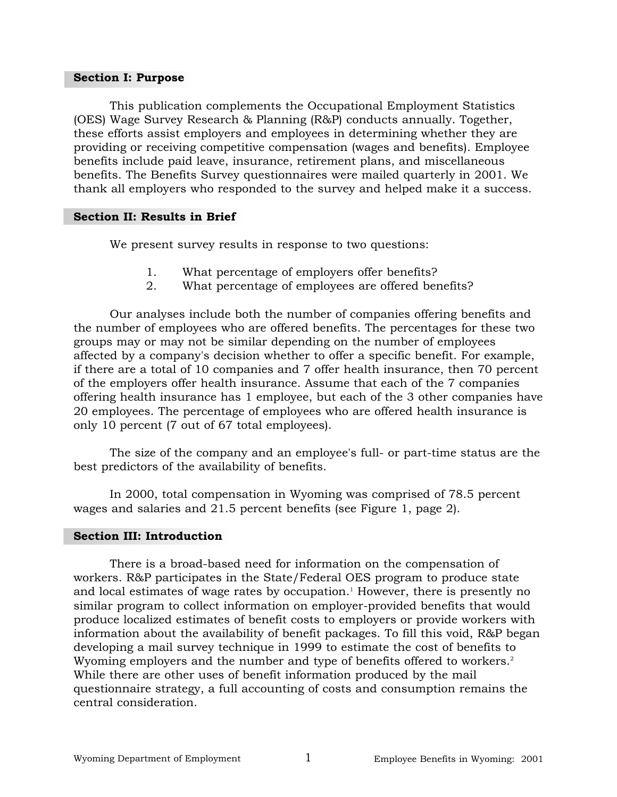#### **Section I: Purpose**

This publication complements the Occupational Employment Statistics (OES) Wage Survey Research & Planning (R&P) conducts annually. Together, these efforts assist employers and employees in determining whether they are providing or receiving competitive compensation (wages and benefits). Employee benefits include paid leave, insurance, retirement plans, and miscellaneous benefits. The Benefits Survey questionnaires were mailed quarterly in 2001. We thank all employers who responded to the survey and helped make it a success.

#### **Section II: Results in Brief**

We present survey results in response to two questions:

- 1. What percentage of employers offer benefits?
- 2. What percentage of employees are offered benefits?

Our analyses include both the number of companies offering benefits and the number of employees who are offered benefits. The percentages for these two groups may or may not be similar depending on the number of employees affected by a company's decision whether to offer a specific benefit. For example, if there are a total of 10 companies and 7 offer health insurance, then 70 percent of the employers offer health insurance. Assume that each of the 7 companies offering health insurance has 1 employee, but each of the 3 other companies have 20 employees. The percentage of employees who are offered health insurance is only 10 percent (7 out of 67 total employees).

The size of the company and an employee's full- or part-time status are the best predictors of the availability of benefits.

In 2000, total compensation in Wyoming was comprised of 78.5 percent wages and salaries and 21.5 percent benefits (see Figure 1, page 2).

#### **Section III: Introduction**

There is a broad-based need for information on the compensation of workers. R&P participates in the State/Federal OES program to produce state and local estimates of wage rates by occupation.<sup>1</sup> However, there is presently no similar program to collect information on employer-provided benefits that would produce localized estimates of benefit costs to employers or provide workers with information about the availability of benefit packages. To fill this void, R&P began developing a mail survey technique in 1999 to estimate the cost of benefits to Wyoming employers and the number and type of benefits offered to workers.<sup>2</sup> While there are other uses of benefit information produced by the mail questionnaire strategy, a full accounting of costs and consumption remains the central consideration.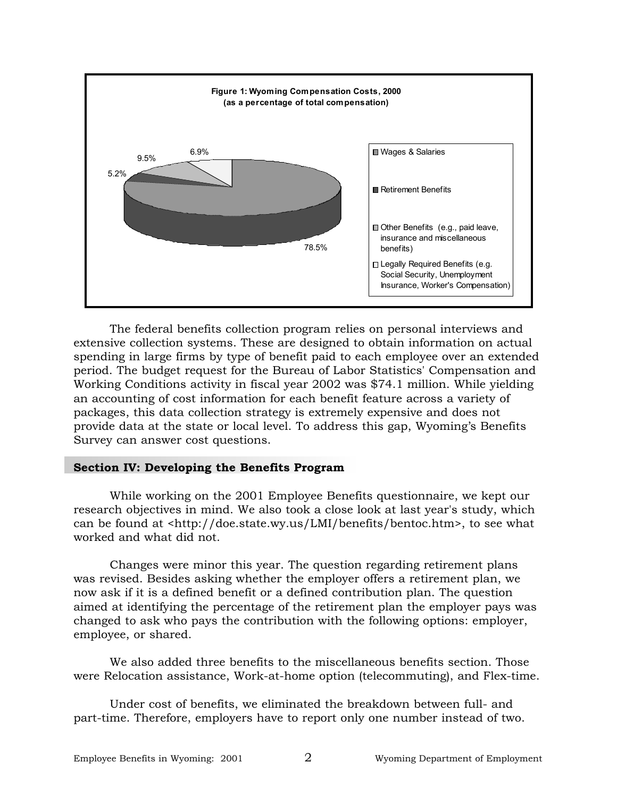

The federal benefits collection program relies on personal interviews and extensive collection systems. These are designed to obtain information on actual spending in large firms by type of benefit paid to each employee over an extended period. The budget request for the Bureau of Labor Statistics' Compensation and Working Conditions activity in fiscal year 2002 was \$74.1 million. While yielding an accounting of cost information for each benefit feature across a variety of packages, this data collection strategy is extremely expensive and does not provide data at the state or local level. To address this gap, Wyoming's Benefits Survey can answer cost questions.

#### **Section IV: Developing the Benefits Program**

While working on the 2001 Employee Benefits questionnaire, we kept our research objectives in mind. We also took a close look at last year's study, which can be found at <http://doe.state.wy.us/LMI/benefits/bentoc.htm>, to see what worked and what did not.

Changes were minor this year. The question regarding retirement plans was revised. Besides asking whether the employer offers a retirement plan, we now ask if it is a defined benefit or a defined contribution plan. The question aimed at identifying the percentage of the retirement plan the employer pays was changed to ask who pays the contribution with the following options: employer, employee, or shared.

We also added three benefits to the miscellaneous benefits section. Those were Relocation assistance, Work-at-home option (telecommuting), and Flex-time.

Under cost of benefits, we eliminated the breakdown between full- and part-time. Therefore, employers have to report only one number instead of two.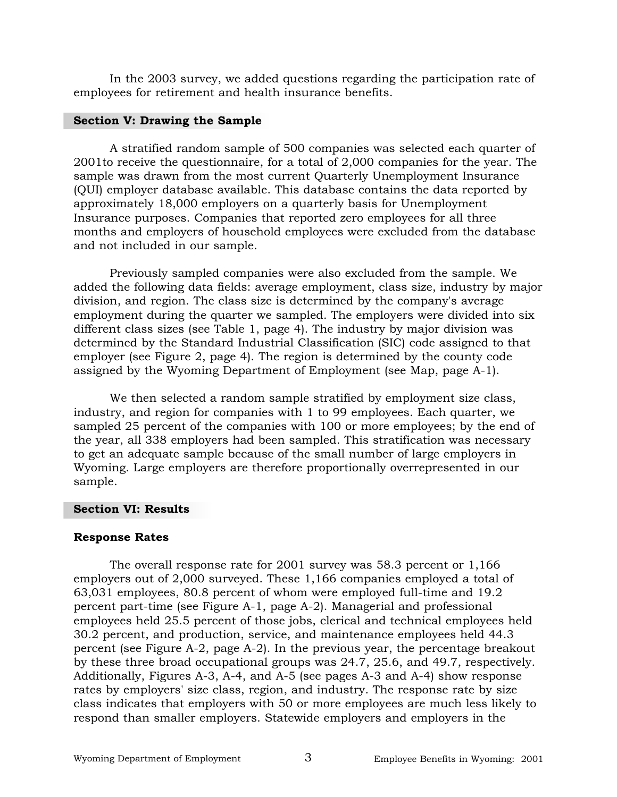In the 2003 survey, we added questions regarding the participation rate of employees for retirement and health insurance benefits.

#### **Section V: Drawing the Sample**

A stratified random sample of 500 companies was selected each quarter of 2001to receive the questionnaire, for a total of 2,000 companies for the year. The sample was drawn from the most current Quarterly Unemployment Insurance (QUI) employer database available. This database contains the data reported by approximately 18,000 employers on a quarterly basis for Unemployment Insurance purposes. Companies that reported zero employees for all three months and employers of household employees were excluded from the database and not included in our sample.

Previously sampled companies were also excluded from the sample. We added the following data fields: average employment, class size, industry by major division, and region. The class size is determined by the company's average employment during the quarter we sampled. The employers were divided into six different class sizes (see Table 1, page 4). The industry by major division was determined by the Standard Industrial Classification (SIC) code assigned to that employer (see Figure 2, page 4). The region is determined by the county code assigned by the Wyoming Department of Employment (see Map, page A-1).

We then selected a random sample stratified by employment size class, industry, and region for companies with 1 to 99 employees. Each quarter, we sampled 25 percent of the companies with 100 or more employees; by the end of the year, all 338 employers had been sampled. This stratification was necessary to get an adequate sample because of the small number of large employers in Wyoming. Large employers are therefore proportionally overrepresented in our sample.

#### **Section VI: Results**

#### **Response Rates**

The overall response rate for 2001 survey was 58.3 percent or 1,166 employers out of 2,000 surveyed. These 1,166 companies employed a total of 63,031 employees, 80.8 percent of whom were employed full-time and 19.2 percent part-time (see Figure A-1, page A-2). Managerial and professional employees held 25.5 percent of those jobs, clerical and technical employees held 30.2 percent, and production, service, and maintenance employees held 44.3 percent (see Figure A-2, page A-2). In the previous year, the percentage breakout by these three broad occupational groups was 24.7, 25.6, and 49.7, respectively. Additionally, Figures A-3, A-4, and A-5 (see pages A-3 and A-4) show response rates by employers' size class, region, and industry. The response rate by size class indicates that employers with 50 or more employees are much less likely to respond than smaller employers. Statewide employers and employers in the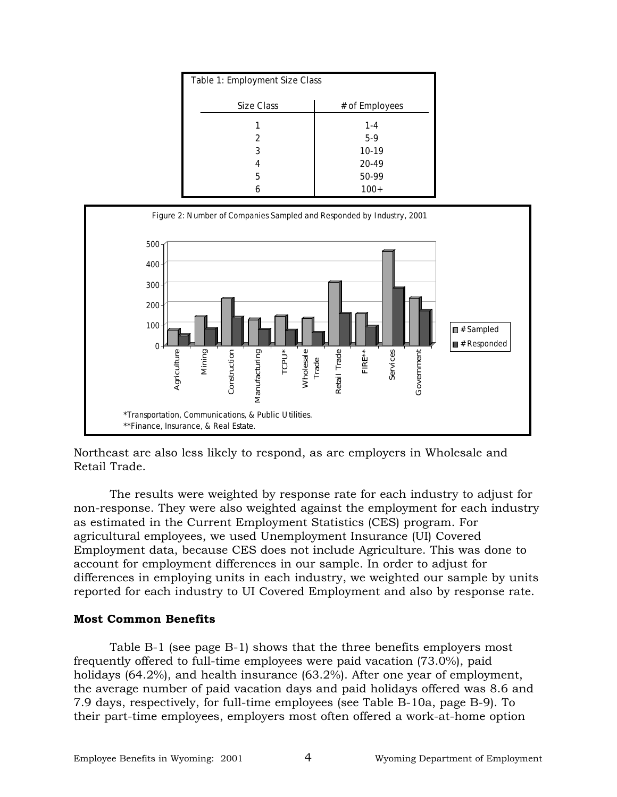| Table 1: Employment Size Class |                |
|--------------------------------|----------------|
| <b>Size Class</b>              | # of Employees |
|                                | $1 - 4$        |
| 2                              | $5-9$          |
| 3                              | $10-19$        |
|                                | 20-49          |
| 5                              | 50-99          |
| 6                              | $100+$         |



Northeast are also less likely to respond, as are employers in Wholesale and Retail Trade.

The results were weighted by response rate for each industry to adjust for non-response. They were also weighted against the employment for each industry as estimated in the Current Employment Statistics (CES) program. For agricultural employees, we used Unemployment Insurance (UI) Covered Employment data, because CES does not include Agriculture. This was done to account for employment differences in our sample. In order to adjust for differences in employing units in each industry, we weighted our sample by units reported for each industry to UI Covered Employment and also by response rate.

#### **Most Common Benefits**

Table B-1 (see page B-1) shows that the three benefits employers most frequently offered to full-time employees were paid vacation (73.0%), paid holidays (64.2%), and health insurance (63.2%). After one year of employment, the average number of paid vacation days and paid holidays offered was 8.6 and 7.9 days, respectively, for full-time employees (see Table B-10a, page B-9). To their part-time employees, employers most often offered a work-at-home option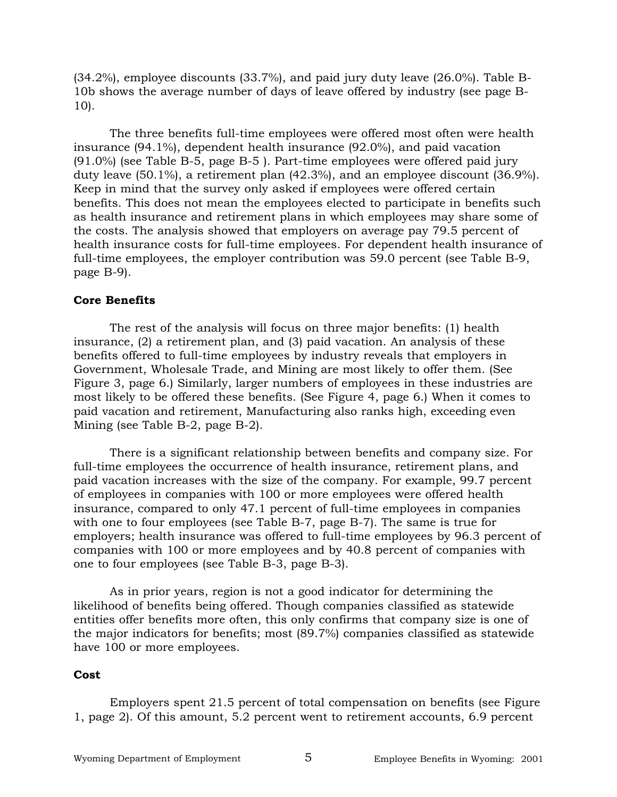(34.2%), employee discounts (33.7%), and paid jury duty leave (26.0%). Table B-10b shows the average number of days of leave offered by industry (see page B-10).

The three benefits full-time employees were offered most often were health insurance (94.1%), dependent health insurance (92.0%), and paid vacation (91.0%) (see Table B-5, page B-5 ). Part-time employees were offered paid jury duty leave (50.1%), a retirement plan (42.3%), and an employee discount (36.9%). Keep in mind that the survey only asked if employees were offered certain benefits. This does not mean the employees elected to participate in benefits such as health insurance and retirement plans in which employees may share some of the costs. The analysis showed that employers on average pay 79.5 percent of health insurance costs for full-time employees. For dependent health insurance of full-time employees, the employer contribution was 59.0 percent (see Table B-9, page B-9).

#### **Core Benefits**

The rest of the analysis will focus on three major benefits: (1) health insurance, (2) a retirement plan, and (3) paid vacation. An analysis of these benefits offered to full-time employees by industry reveals that employers in Government, Wholesale Trade, and Mining are most likely to offer them. (See Figure 3, page 6.) Similarly, larger numbers of employees in these industries are most likely to be offered these benefits. (See Figure 4, page 6.) When it comes to paid vacation and retirement, Manufacturing also ranks high, exceeding even Mining (see Table B-2, page B-2).

There is a significant relationship between benefits and company size. For full-time employees the occurrence of health insurance, retirement plans, and paid vacation increases with the size of the company. For example, 99.7 percent of employees in companies with 100 or more employees were offered health insurance, compared to only 47.1 percent of full-time employees in companies with one to four employees (see Table B-7, page B-7). The same is true for employers; health insurance was offered to full-time employees by 96.3 percent of companies with 100 or more employees and by 40.8 percent of companies with one to four employees (see Table B-3, page B-3).

As in prior years, region is not a good indicator for determining the likelihood of benefits being offered. Though companies classified as statewide entities offer benefits more often, this only confirms that company size is one of the major indicators for benefits; most (89.7%) companies classified as statewide have 100 or more employees.

#### **Cost**

Employers spent 21.5 percent of total compensation on benefits (see Figure 1, page 2). Of this amount, 5.2 percent went to retirement accounts, 6.9 percent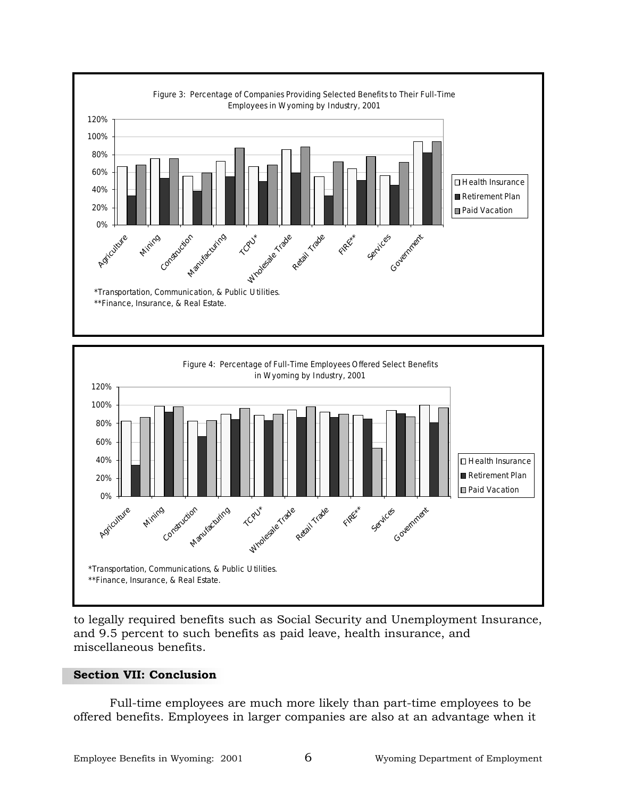



to legally required benefits such as Social Security and Unemployment Insurance, and 9.5 percent to such benefits as paid leave, health insurance, and miscellaneous benefits.

#### **Section VII: Conclusion**

Full-time employees are much more likely than part-time employees to be offered benefits. Employees in larger companies are also at an advantage when it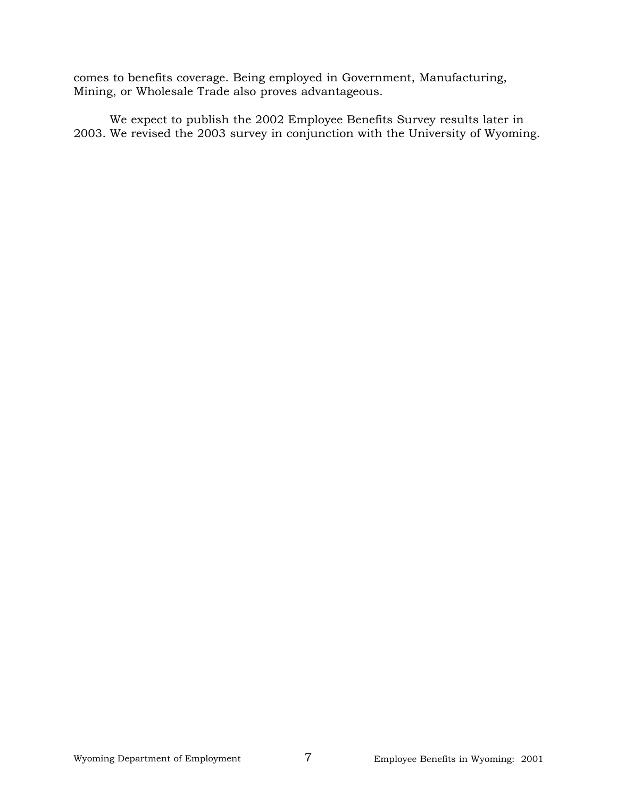comes to benefits coverage. Being employed in Government, Manufacturing, Mining, or Wholesale Trade also proves advantageous.

We expect to publish the 2002 Employee Benefits Survey results later in 2003. We revised the 2003 survey in conjunction with the University of Wyoming.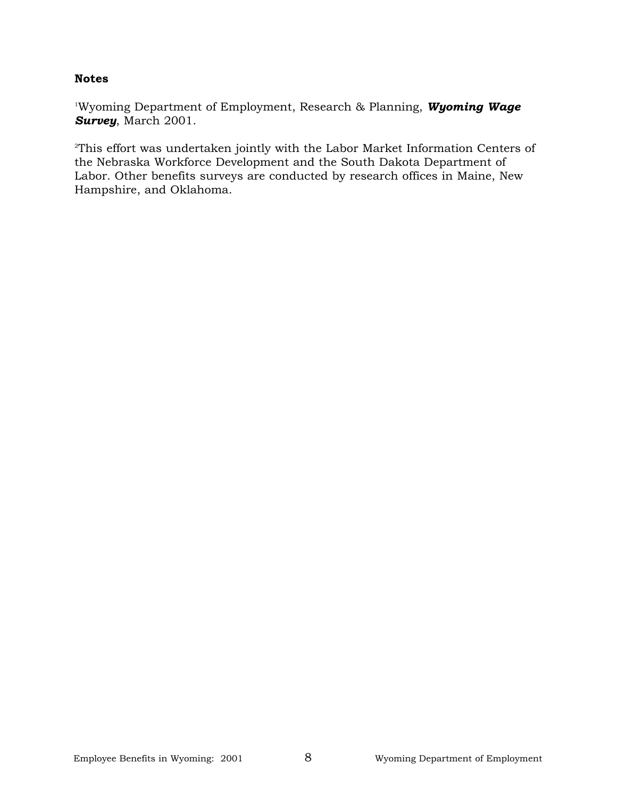#### **Notes**

1 Wyoming Department of Employment, Research & Planning, *Wyoming Wage Survey*, March 2001.

2 This effort was undertaken jointly with the Labor Market Information Centers of the Nebraska Workforce Development and the South Dakota Department of Labor. Other benefits surveys are conducted by research offices in Maine, New Hampshire, and Oklahoma.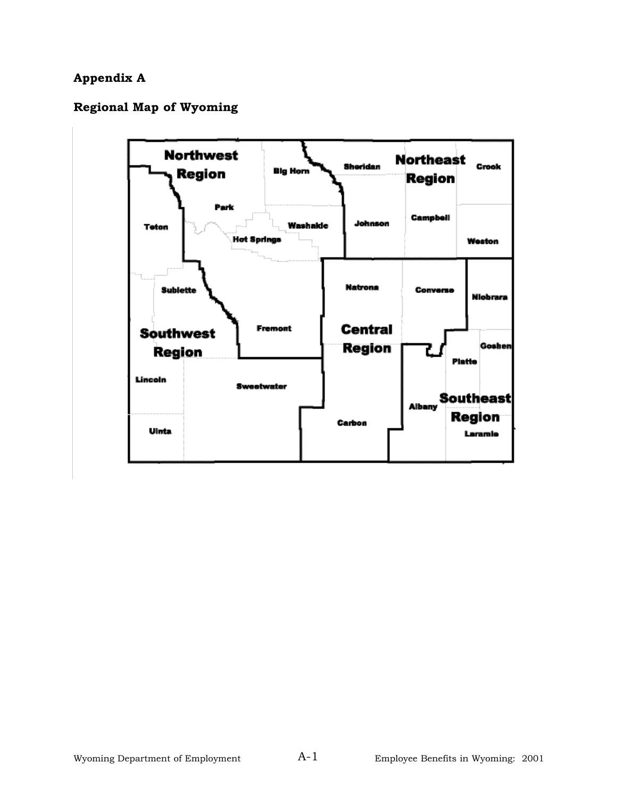# **Appendix A**

## **Regional Map of Wyoming**

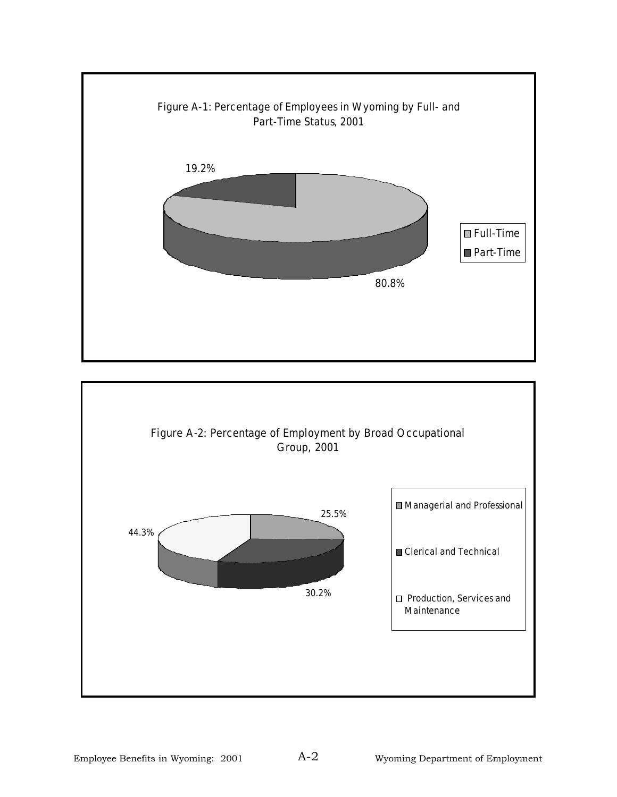

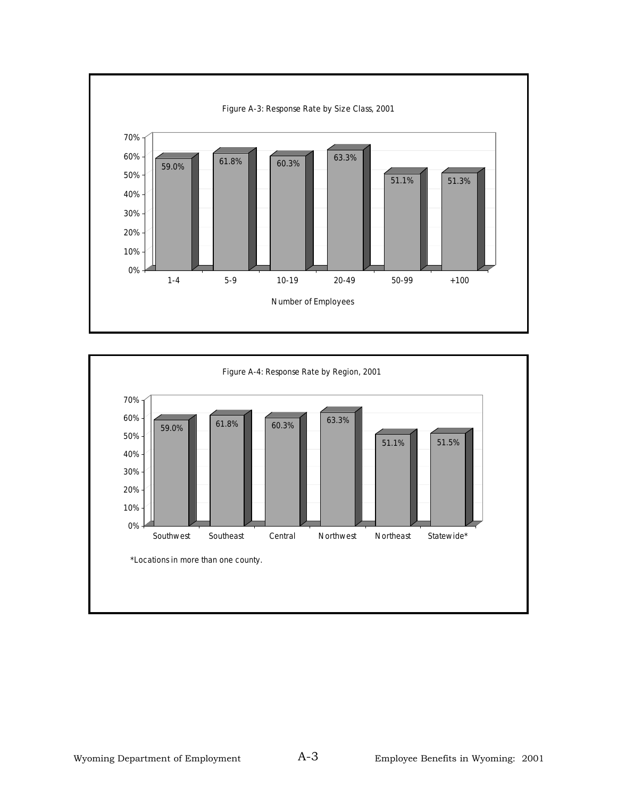

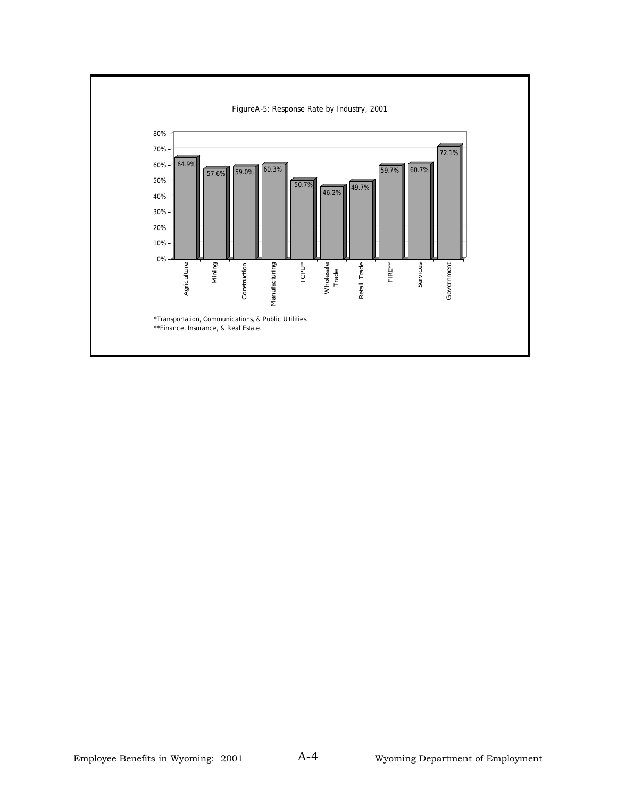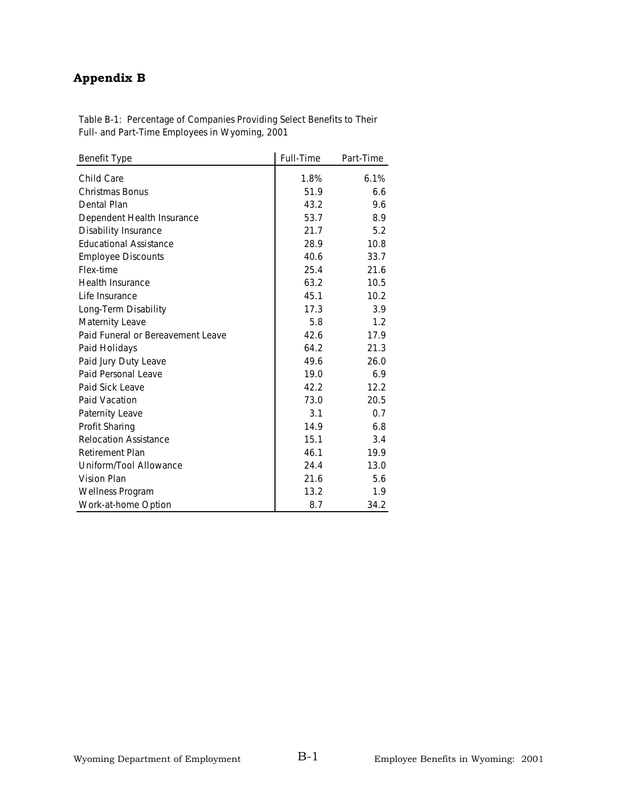# **Appendix B**

| <b>Benefit Type</b>               | <b>Full-Time</b> | Part-Time |
|-----------------------------------|------------------|-----------|
| Child Care                        | 1.8%             | 6.1%      |
| <b>Christmas Bonus</b>            | 51.9             | 6.6       |
| Dental Plan                       | 43.2             | 9.6       |
| Dependent Health Insurance        | 53.7             | 8.9       |
| <b>Disability Insurance</b>       | 21.7             | 5.2       |
| <b>Educational Assistance</b>     | 28.9             | 10.8      |
| <b>Employee Discounts</b>         | 40.6             | 33.7      |
| Flex-time                         | 25.4             | 21.6      |
| <b>Health Insurance</b>           | 63.2             | 10.5      |
| Life Insurance                    | 45.1             | 10.2      |
| Long-Term Disability              | 17.3             | 3.9       |
| Maternity Leave                   | 5.8              | 1.2       |
| Paid Funeral or Bereavement Leave | 42.6             | 17.9      |
| Paid Holidays                     | 64.2             | 21.3      |
| Paid Jury Duty Leave              | 49.6             | 26.0      |
| Paid Personal Leave               | 19.0             | 6.9       |
| Paid Sick Leave                   | 42.2             | 12.2      |
| Paid Vacation                     | 73.0             | 20.5      |
| Paternity Leave                   | 3.1              | 0.7       |
| <b>Profit Sharing</b>             | 14.9             | 6.8       |
| <b>Relocation Assistance</b>      | 15.1             | 3.4       |
| <b>Retirement Plan</b>            | 46.1             | 19.9      |
| Uniform/Tool Allowance            | 24.4             | 13.0      |
| Vision Plan                       | 21.6             | 5.6       |
| <b>Wellness Program</b>           | 13.2             | 1.9       |
| Work-at-home Option               | 8.7              | 34.2      |

**Table B-1: Percentage of Companies Providing Select Benefits to Their Full- and Part-Time Employees in Wyoming, 2001**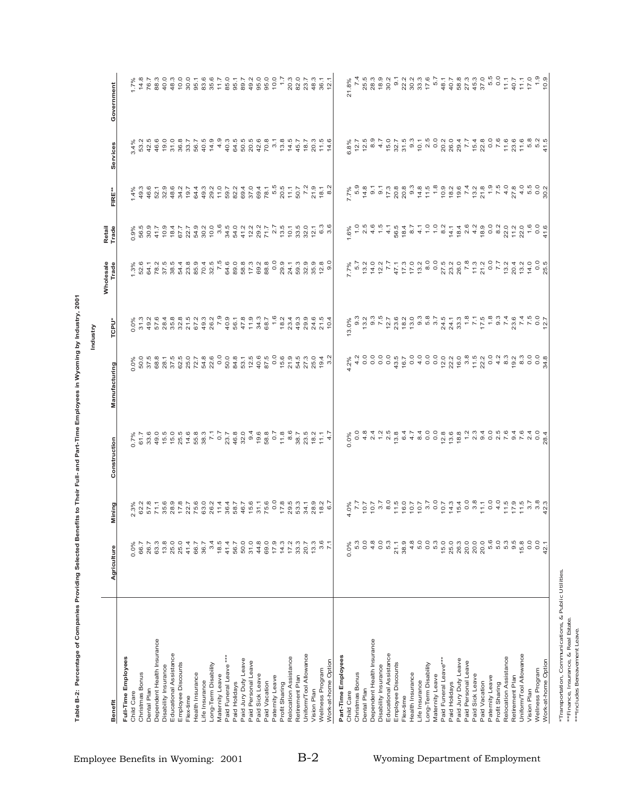| $\begin{array}{cccccc} 4& 0& 0& 4& 0& 0 \\ 0& 0& 0& 0& 0& 0 \\ 0& 0& 0& 0& 0& 0 \\ 0& 0& 0& 0& 0& 0 \end{array}$<br>$0.72$<br>$0.23$<br>$0.33$<br>$0.5$<br>$0.6$<br>$0.7$<br>$0.6$<br>4 6 7 9 4 7<br>4 6 4 6 9 7 6<br>9 9 7 7 9 9<br>5.3<br>5.2<br>$42.5$<br>$46.6$<br>1998944<br>1998844<br>$\overline{3}$ .<br>13.8<br>14.5<br>$11.5$<br>$14.6$<br>12.5<br>$3.4%$<br>53.2<br>45.7<br>18.7<br>20.3<br>6.8%<br>12.7<br>Services<br>$\begin{array}{cccccccccc} \dot{\alpha} & \dot{\alpha} & \dot{\alpha} & \dot{\alpha} & \dot{\alpha} & \dot{\alpha} & \dot{\alpha} & \dot{\alpha} & \dot{\alpha} & \dot{\alpha} & \dot{\alpha} & \dot{\alpha} & \dot{\alpha} & \dot{\alpha} & \dot{\alpha} & \dot{\alpha} & \dot{\alpha} & \dot{\alpha} & \dot{\alpha} & \dot{\alpha} & \dot{\alpha} & \dot{\alpha} & \dot{\alpha} & \dot{\alpha} & \dot{\alpha} & \dot{\alpha} & \dot{\alpha} & \dot{\alpha} & \dot{\alpha} & \dot{\alpha} & \dot{\alpha} & \dot{\alpha} & \dot{\alpha} & \dot{\alpha} & \dot{\alpha} & \$<br>$400$<br>$600$<br>46.6<br>52.1<br>32.9<br>48.6<br>34.2<br>19.7<br>64.3<br>49.3<br>29.2<br>11.0<br>$7.7\%$<br>5.9<br>$1.4%$<br>49.3<br>$18.1$<br>$8.2$<br>30.2<br>FIRE**<br>$6.3$<br>$3.6$<br>$\frac{0}{1}$<br>$\begin{array}{c} 0.6 \\ -0.0 \end{array}$<br>$0.9\%$<br>56.5<br>30.9<br>41.7<br>1.6%<br>Retail<br>Trade<br>$\begin{array}{l} 2\,6\,K\,2\,6\,K\,6\,6\,K\,6\,6\,K\,6\,K\,6\,K\,6\,K\,6\,K\,6\,K\,6\,K\,6\,K\,6\,K\,6\,K\,6\,K\,6\,K\,6\,K\,6\,K\,6\,K\,6\,K\,6\,K\,6\,K\,6\,K\,6\,K\,6\,K\,6\,K\,6\,K\,6\,K\,6\,K\,6\,K\,6\,K\,6\,K\,6\,K\,6\,K\,6\$<br>0.0<br>$\begin{array}{l} 2.4 \overline{\phantom{a}} \\ 5.4 \overline{\phantom{a}} \\ 6.4 \overline{\phantom{a}} \\ 7.5 \overline{\phantom{a}} \\ 8.6 \overline{\phantom{a}} \\ 9.6 \overline{\phantom{a}} \\ 1.6 \overline{\phantom{a}} \\ 1.6 \overline{\phantom{a}} \\ 1.6 \overline{\phantom{a}} \\ 1.6 \overline{\phantom{a}} \\ 1.6 \overline{\phantom{a}} \\ 1.6 \overline{\phantom{a}} \\ 1.6 \overline{\phantom{a}} \\ 1.6 \overline{\phantom{a}} \\ 1.6 \overline{\phantom{a}} \\ 1.$<br>0 - 0 0 0 0 0<br>0 4 0 0 0 0 0<br>0 4 0 0 0 0 0<br>$1.3\%$<br>52.6<br>7.7%<br>5.7<br>49.3<br>29.9<br>3<br>0.0%<br>31.3<br>49.2<br>57.6<br>24.6<br>21.5<br>13.0%<br>TCPU*<br>$\overline{0}$<br>0.0<br>$\begin{array}{cccccc} 8 & 7 & 6 & 6 & 6 & 6 \\ 8 & 1 & 6 & 6 & 6 & 6 \\ 9 & 1 & 1 & 1 & 1 & 1 \\ 1 & 1 & 1 & 1 & 1 & 1 \\ 1 & 1 & 1 & 1 & 1 & 1 \\ 1 & 1 & 1 & 1 & 1 & 1 \\ 1 & 1 & 1 & 1 & 1 & 1 \\ 1 & 1 & 1 & 1 & 1 & 1 \\ 1 & 1 & 1 & 1 & 1 & 1 \\ 1 & 1 & 1 & 1 & 1 & 1 \\ 1 & 1 & 1 & 1 & 1 & 1 \\ 1 & 1 & 1 & 1 & 1$<br>o o o o a tro o o o o o mendo e mendo e e o o o<br>o o o o a tro o o o o o mendo e mendo e e se e o o<br>54.8<br>22.6<br>$15.5$<br>$7.4$ 7<br>$7.5$<br>$7.5$<br>$7.5$<br>4.2<br>s<br>2007<br>2008<br>2009<br>2009<br>50.0<br>19.4<br>$0.0\%$<br>50.0<br>34.8<br>$.2\%$<br>က<br>Manufacturing<br>0<br>S 0 4 V + V 4 0 4 8 0 0<br>S 0 8 4 V 5 8 4 7 4 0 0<br>G G G G L U Q O U L Q L U O<br>G G G G U W 4 O U G 4 Q 4 O C<br>33.6<br>$23.5$<br>$78.2$<br>$71.7$<br>$4.7$<br>0.7%<br>61.7<br>Construction<br>$\begin{array}{l} \vec{S}_1 \cdot \vec{S}_2 \cdot \vec{S}_3 \cdot \vec{S}_4 \cdot \vec{S}_5 \cdot \vec{S}_6 \cdot \vec{S}_7 \cdot \vec{S}_8 \cdot \vec{S}_7 \cdot \vec{S}_8 \cdot \vec{S}_8 \cdot \vec{S}_9 \cdot \vec{S}_9 \cdot \vec{S}_9 \cdot \vec{S}_9 \cdot \vec{S}_9 \cdot \vec{S}_9 \cdot \vec{S}_9 \cdot \vec{S}_9 \cdot \vec{S}_9 \cdot \vec{S}_9 \cdot \vec{S}_9 \cdot \vec{S}_9 \cdot \vec{S}_9 \cdot \vec{S}_9 \cdot \vec{S}_9 \cdot \vec{S}_$<br>$1.888458760588887447776658888$<br>$57 - 69$<br>$57 - 69$<br>$58$<br>$28$<br>$\begin{array}{c} 7.8 \\ 7.7 \\ 7.6 \\ 6.3 \\ 26.2 \end{array}$<br>18.2<br>62.2<br>2.3%<br>Mining<br>$\circ$<br>0.0<br>0.0<br>$\begin{array}{c} 4\hskip 4pt 5\hskip 4pt 0\hskip 4pt 0\hskip 4pt 0\hskip 4pt 0\\ 1\hskip 4pt 0\hskip 4pt 0\hskip 4pt 0 \hskip 4pt 0 \end{array}$<br>5.6<br>ດ ຕຸກ<br>ທິທິ ອ<br>3.4<br>$3.6$<br>7.1<br>5.3<br>$4.\overline{8}$<br>5.3<br>15.0<br>20.0<br>20.0<br>0.0<br>0.0<br>18.5<br>50.0<br>$31.0$<br>44.8<br>69.0<br>$7.479$<br>$7.479$<br>$7.39$<br>13.3<br>21.1<br>38.9<br>25.0<br>26.3<br>15.8<br>26.7<br>63.3<br>13.8<br>25.0<br>25.0<br>41.4<br>36.7<br>41.4<br>20.7<br>66.7<br>56.7<br>66.7<br>0.0%<br>$0.0\%$<br>Agriculture<br>Dependent Health Insurance<br>Dependent Health Insurance<br>Educational Assistance<br>Educational Assistance<br>Uniform/Tool Allowance<br>Uniform/Tool Allowance<br>Part-Time Employees<br>Full-Time Employees<br>Relocation Assistance<br>Relocation Assistance<br>Paid Jury Duty Leave<br>Paid Jury Duty Leave<br>Paid Funeral Leave***<br>Work-at-home Option<br>Paid Personal Leave<br>Paid Personal Leave<br>Employee Discounts<br>Long-Term Disability<br>Employee Discounts<br>Long-Term Disability<br>Paid Funeral Leave<br>Disability Insurance<br>Disability Insurance<br>Wellness Program<br>Wellness Program<br>Health Insurance<br>Christmas Bonus<br>Health Insurance<br>Christmas Bonus<br>Maternity Leave<br>Paid Sick Leave<br>Paid Sick Leave<br>Maternity Leave<br>Paternity Leave<br>Paternity Leave<br>Retirement Plan<br>Retirement Plan<br>Life Insurance<br>Paid Vacation<br>Paid Vacation<br>Life Insurance<br>Profit Sharing<br>Paid Holidays<br>Paid Holidays<br>Profit Sharing<br>Dental Plan<br>Dental Plan<br>Vision Plan<br>Vision Plan<br>Child Care<br>Child Care<br>Flex-time<br>Flex-time<br>Benefit |  |  |  |                    |  |                                                                                        |
|----------------------------------------------------------------------------------------------------------------------------------------------------------------------------------------------------------------------------------------------------------------------------------------------------------------------------------------------------------------------------------------------------------------------------------------------------------------------------------------------------------------------------------------------------------------------------------------------------------------------------------------------------------------------------------------------------------------------------------------------------------------------------------------------------------------------------------------------------------------------------------------------------------------------------------------------------------------------------------------------------------------------------------------------------------------------------------------------------------------------------------------------------------------------------------------------------------------------------------------------------------------------------------------------------------------------------------------------------------------------------------------------------------------------------------------------------------------------------------------------------------------------------------------------------------------------------------------------------------------------------------------------------------------------------------------------------------------------------------------------------------------------------------------------------------------------------------------------------------------------------------------------------------------------------------------------------------------------------------------------------------------------------------------------------------------------------------------------------------------------------------------------------------------------------------------------------------------------------------------------------------------------------------------------------------------------------------------------------------------------------------------------------------------------------------------------------------------------------------------------------------------------------------------------------------------------------------------------------------------------------------------------------------------------------------------------------------------------------------------------------------------------------------------------------------------------------------------------------------------------------------------------------------------------------------------------------------------------------------------------------------------------------------------------------------------------------------------------------------------------------------------------------------------------------------------------------------------------------------------------------------------------------------------------------------------------------------------------------------------------------------------------------------------------------------------------------------------------------------------------------------------------------------------------------------------------------------------------------------------------------------------------------------------------------------------------------------------------------------------------------------------------------------------------------------------------------------------------------------------------------------------------------------------------------------------------------------------------------------------------------------------------------------------------------------------------------------------------------------------------------------------------------------------------------------------------------------------------------------------------------------------------------------------------------------------------------------------------------------------------------------------------------------------------------------------------------------------------------------------------------------------------------------------------------------------------------------------------------------------------------------------------------------------------------------------------------------------------------------------------------------------------------------------------------------------------------------------------------------------------------------------------------------------------------------------------------------------------------------------------------------------------------------------------------------------------------------------------------------------------------------------------------------------------------------------------------------------------------------------------------------------------------------------------------------------------------------------------------------------------------------------------------------------------------------------------------------------------------------------------------|--|--|--|--------------------|--|----------------------------------------------------------------------------------------|
|                                                                                                                                                                                                                                                                                                                                                                                                                                                                                                                                                                                                                                                                                                                                                                                                                                                                                                                                                                                                                                                                                                                                                                                                                                                                                                                                                                                                                                                                                                                                                                                                                                                                                                                                                                                                                                                                                                                                                                                                                                                                                                                                                                                                                                                                                                                                                                                                                                                                                                                                                                                                                                                                                                                                                                                                                                                                                                                                                                                                                                                                                                                                                                                                                                                                                                                                                                                                                                                                                                                                                                                                                                                                                                                                                                                                                                                                                                                                                                                                                                                                                                                                                                                                                                                                                                                                                                                                                                                                                                                                                                                                                                                                                                                                                                                                                                                                                                                                                                                                                                                                                                                                                                                                                                                                                                                                                                                                                                                                                                    |  |  |  | Wholesale<br>Trade |  | Government                                                                             |
|                                                                                                                                                                                                                                                                                                                                                                                                                                                                                                                                                                                                                                                                                                                                                                                                                                                                                                                                                                                                                                                                                                                                                                                                                                                                                                                                                                                                                                                                                                                                                                                                                                                                                                                                                                                                                                                                                                                                                                                                                                                                                                                                                                                                                                                                                                                                                                                                                                                                                                                                                                                                                                                                                                                                                                                                                                                                                                                                                                                                                                                                                                                                                                                                                                                                                                                                                                                                                                                                                                                                                                                                                                                                                                                                                                                                                                                                                                                                                                                                                                                                                                                                                                                                                                                                                                                                                                                                                                                                                                                                                                                                                                                                                                                                                                                                                                                                                                                                                                                                                                                                                                                                                                                                                                                                                                                                                                                                                                                                                                    |  |  |  |                    |  |                                                                                        |
|                                                                                                                                                                                                                                                                                                                                                                                                                                                                                                                                                                                                                                                                                                                                                                                                                                                                                                                                                                                                                                                                                                                                                                                                                                                                                                                                                                                                                                                                                                                                                                                                                                                                                                                                                                                                                                                                                                                                                                                                                                                                                                                                                                                                                                                                                                                                                                                                                                                                                                                                                                                                                                                                                                                                                                                                                                                                                                                                                                                                                                                                                                                                                                                                                                                                                                                                                                                                                                                                                                                                                                                                                                                                                                                                                                                                                                                                                                                                                                                                                                                                                                                                                                                                                                                                                                                                                                                                                                                                                                                                                                                                                                                                                                                                                                                                                                                                                                                                                                                                                                                                                                                                                                                                                                                                                                                                                                                                                                                                                                    |  |  |  |                    |  | $1.7\%$<br>14.8                                                                        |
|                                                                                                                                                                                                                                                                                                                                                                                                                                                                                                                                                                                                                                                                                                                                                                                                                                                                                                                                                                                                                                                                                                                                                                                                                                                                                                                                                                                                                                                                                                                                                                                                                                                                                                                                                                                                                                                                                                                                                                                                                                                                                                                                                                                                                                                                                                                                                                                                                                                                                                                                                                                                                                                                                                                                                                                                                                                                                                                                                                                                                                                                                                                                                                                                                                                                                                                                                                                                                                                                                                                                                                                                                                                                                                                                                                                                                                                                                                                                                                                                                                                                                                                                                                                                                                                                                                                                                                                                                                                                                                                                                                                                                                                                                                                                                                                                                                                                                                                                                                                                                                                                                                                                                                                                                                                                                                                                                                                                                                                                                                    |  |  |  |                    |  |                                                                                        |
|                                                                                                                                                                                                                                                                                                                                                                                                                                                                                                                                                                                                                                                                                                                                                                                                                                                                                                                                                                                                                                                                                                                                                                                                                                                                                                                                                                                                                                                                                                                                                                                                                                                                                                                                                                                                                                                                                                                                                                                                                                                                                                                                                                                                                                                                                                                                                                                                                                                                                                                                                                                                                                                                                                                                                                                                                                                                                                                                                                                                                                                                                                                                                                                                                                                                                                                                                                                                                                                                                                                                                                                                                                                                                                                                                                                                                                                                                                                                                                                                                                                                                                                                                                                                                                                                                                                                                                                                                                                                                                                                                                                                                                                                                                                                                                                                                                                                                                                                                                                                                                                                                                                                                                                                                                                                                                                                                                                                                                                                                                    |  |  |  |                    |  | 76.7                                                                                   |
|                                                                                                                                                                                                                                                                                                                                                                                                                                                                                                                                                                                                                                                                                                                                                                                                                                                                                                                                                                                                                                                                                                                                                                                                                                                                                                                                                                                                                                                                                                                                                                                                                                                                                                                                                                                                                                                                                                                                                                                                                                                                                                                                                                                                                                                                                                                                                                                                                                                                                                                                                                                                                                                                                                                                                                                                                                                                                                                                                                                                                                                                                                                                                                                                                                                                                                                                                                                                                                                                                                                                                                                                                                                                                                                                                                                                                                                                                                                                                                                                                                                                                                                                                                                                                                                                                                                                                                                                                                                                                                                                                                                                                                                                                                                                                                                                                                                                                                                                                                                                                                                                                                                                                                                                                                                                                                                                                                                                                                                                                                    |  |  |  |                    |  | $\begin{array}{c} 3.00000 \\ 3.00000 \\ 3.00000 \\ 4.0000 \\ \end{array}$              |
|                                                                                                                                                                                                                                                                                                                                                                                                                                                                                                                                                                                                                                                                                                                                                                                                                                                                                                                                                                                                                                                                                                                                                                                                                                                                                                                                                                                                                                                                                                                                                                                                                                                                                                                                                                                                                                                                                                                                                                                                                                                                                                                                                                                                                                                                                                                                                                                                                                                                                                                                                                                                                                                                                                                                                                                                                                                                                                                                                                                                                                                                                                                                                                                                                                                                                                                                                                                                                                                                                                                                                                                                                                                                                                                                                                                                                                                                                                                                                                                                                                                                                                                                                                                                                                                                                                                                                                                                                                                                                                                                                                                                                                                                                                                                                                                                                                                                                                                                                                                                                                                                                                                                                                                                                                                                                                                                                                                                                                                                                                    |  |  |  |                    |  |                                                                                        |
|                                                                                                                                                                                                                                                                                                                                                                                                                                                                                                                                                                                                                                                                                                                                                                                                                                                                                                                                                                                                                                                                                                                                                                                                                                                                                                                                                                                                                                                                                                                                                                                                                                                                                                                                                                                                                                                                                                                                                                                                                                                                                                                                                                                                                                                                                                                                                                                                                                                                                                                                                                                                                                                                                                                                                                                                                                                                                                                                                                                                                                                                                                                                                                                                                                                                                                                                                                                                                                                                                                                                                                                                                                                                                                                                                                                                                                                                                                                                                                                                                                                                                                                                                                                                                                                                                                                                                                                                                                                                                                                                                                                                                                                                                                                                                                                                                                                                                                                                                                                                                                                                                                                                                                                                                                                                                                                                                                                                                                                                                                    |  |  |  |                    |  |                                                                                        |
|                                                                                                                                                                                                                                                                                                                                                                                                                                                                                                                                                                                                                                                                                                                                                                                                                                                                                                                                                                                                                                                                                                                                                                                                                                                                                                                                                                                                                                                                                                                                                                                                                                                                                                                                                                                                                                                                                                                                                                                                                                                                                                                                                                                                                                                                                                                                                                                                                                                                                                                                                                                                                                                                                                                                                                                                                                                                                                                                                                                                                                                                                                                                                                                                                                                                                                                                                                                                                                                                                                                                                                                                                                                                                                                                                                                                                                                                                                                                                                                                                                                                                                                                                                                                                                                                                                                                                                                                                                                                                                                                                                                                                                                                                                                                                                                                                                                                                                                                                                                                                                                                                                                                                                                                                                                                                                                                                                                                                                                                                                    |  |  |  |                    |  |                                                                                        |
|                                                                                                                                                                                                                                                                                                                                                                                                                                                                                                                                                                                                                                                                                                                                                                                                                                                                                                                                                                                                                                                                                                                                                                                                                                                                                                                                                                                                                                                                                                                                                                                                                                                                                                                                                                                                                                                                                                                                                                                                                                                                                                                                                                                                                                                                                                                                                                                                                                                                                                                                                                                                                                                                                                                                                                                                                                                                                                                                                                                                                                                                                                                                                                                                                                                                                                                                                                                                                                                                                                                                                                                                                                                                                                                                                                                                                                                                                                                                                                                                                                                                                                                                                                                                                                                                                                                                                                                                                                                                                                                                                                                                                                                                                                                                                                                                                                                                                                                                                                                                                                                                                                                                                                                                                                                                                                                                                                                                                                                                                                    |  |  |  |                    |  | 95.1                                                                                   |
|                                                                                                                                                                                                                                                                                                                                                                                                                                                                                                                                                                                                                                                                                                                                                                                                                                                                                                                                                                                                                                                                                                                                                                                                                                                                                                                                                                                                                                                                                                                                                                                                                                                                                                                                                                                                                                                                                                                                                                                                                                                                                                                                                                                                                                                                                                                                                                                                                                                                                                                                                                                                                                                                                                                                                                                                                                                                                                                                                                                                                                                                                                                                                                                                                                                                                                                                                                                                                                                                                                                                                                                                                                                                                                                                                                                                                                                                                                                                                                                                                                                                                                                                                                                                                                                                                                                                                                                                                                                                                                                                                                                                                                                                                                                                                                                                                                                                                                                                                                                                                                                                                                                                                                                                                                                                                                                                                                                                                                                                                                    |  |  |  |                    |  | 83.6                                                                                   |
|                                                                                                                                                                                                                                                                                                                                                                                                                                                                                                                                                                                                                                                                                                                                                                                                                                                                                                                                                                                                                                                                                                                                                                                                                                                                                                                                                                                                                                                                                                                                                                                                                                                                                                                                                                                                                                                                                                                                                                                                                                                                                                                                                                                                                                                                                                                                                                                                                                                                                                                                                                                                                                                                                                                                                                                                                                                                                                                                                                                                                                                                                                                                                                                                                                                                                                                                                                                                                                                                                                                                                                                                                                                                                                                                                                                                                                                                                                                                                                                                                                                                                                                                                                                                                                                                                                                                                                                                                                                                                                                                                                                                                                                                                                                                                                                                                                                                                                                                                                                                                                                                                                                                                                                                                                                                                                                                                                                                                                                                                                    |  |  |  |                    |  | 35.6                                                                                   |
|                                                                                                                                                                                                                                                                                                                                                                                                                                                                                                                                                                                                                                                                                                                                                                                                                                                                                                                                                                                                                                                                                                                                                                                                                                                                                                                                                                                                                                                                                                                                                                                                                                                                                                                                                                                                                                                                                                                                                                                                                                                                                                                                                                                                                                                                                                                                                                                                                                                                                                                                                                                                                                                                                                                                                                                                                                                                                                                                                                                                                                                                                                                                                                                                                                                                                                                                                                                                                                                                                                                                                                                                                                                                                                                                                                                                                                                                                                                                                                                                                                                                                                                                                                                                                                                                                                                                                                                                                                                                                                                                                                                                                                                                                                                                                                                                                                                                                                                                                                                                                                                                                                                                                                                                                                                                                                                                                                                                                                                                                                    |  |  |  |                    |  | 11.7                                                                                   |
|                                                                                                                                                                                                                                                                                                                                                                                                                                                                                                                                                                                                                                                                                                                                                                                                                                                                                                                                                                                                                                                                                                                                                                                                                                                                                                                                                                                                                                                                                                                                                                                                                                                                                                                                                                                                                                                                                                                                                                                                                                                                                                                                                                                                                                                                                                                                                                                                                                                                                                                                                                                                                                                                                                                                                                                                                                                                                                                                                                                                                                                                                                                                                                                                                                                                                                                                                                                                                                                                                                                                                                                                                                                                                                                                                                                                                                                                                                                                                                                                                                                                                                                                                                                                                                                                                                                                                                                                                                                                                                                                                                                                                                                                                                                                                                                                                                                                                                                                                                                                                                                                                                                                                                                                                                                                                                                                                                                                                                                                                                    |  |  |  |                    |  | 85.0                                                                                   |
|                                                                                                                                                                                                                                                                                                                                                                                                                                                                                                                                                                                                                                                                                                                                                                                                                                                                                                                                                                                                                                                                                                                                                                                                                                                                                                                                                                                                                                                                                                                                                                                                                                                                                                                                                                                                                                                                                                                                                                                                                                                                                                                                                                                                                                                                                                                                                                                                                                                                                                                                                                                                                                                                                                                                                                                                                                                                                                                                                                                                                                                                                                                                                                                                                                                                                                                                                                                                                                                                                                                                                                                                                                                                                                                                                                                                                                                                                                                                                                                                                                                                                                                                                                                                                                                                                                                                                                                                                                                                                                                                                                                                                                                                                                                                                                                                                                                                                                                                                                                                                                                                                                                                                                                                                                                                                                                                                                                                                                                                                                    |  |  |  |                    |  | 95.1                                                                                   |
|                                                                                                                                                                                                                                                                                                                                                                                                                                                                                                                                                                                                                                                                                                                                                                                                                                                                                                                                                                                                                                                                                                                                                                                                                                                                                                                                                                                                                                                                                                                                                                                                                                                                                                                                                                                                                                                                                                                                                                                                                                                                                                                                                                                                                                                                                                                                                                                                                                                                                                                                                                                                                                                                                                                                                                                                                                                                                                                                                                                                                                                                                                                                                                                                                                                                                                                                                                                                                                                                                                                                                                                                                                                                                                                                                                                                                                                                                                                                                                                                                                                                                                                                                                                                                                                                                                                                                                                                                                                                                                                                                                                                                                                                                                                                                                                                                                                                                                                                                                                                                                                                                                                                                                                                                                                                                                                                                                                                                                                                                                    |  |  |  |                    |  |                                                                                        |
|                                                                                                                                                                                                                                                                                                                                                                                                                                                                                                                                                                                                                                                                                                                                                                                                                                                                                                                                                                                                                                                                                                                                                                                                                                                                                                                                                                                                                                                                                                                                                                                                                                                                                                                                                                                                                                                                                                                                                                                                                                                                                                                                                                                                                                                                                                                                                                                                                                                                                                                                                                                                                                                                                                                                                                                                                                                                                                                                                                                                                                                                                                                                                                                                                                                                                                                                                                                                                                                                                                                                                                                                                                                                                                                                                                                                                                                                                                                                                                                                                                                                                                                                                                                                                                                                                                                                                                                                                                                                                                                                                                                                                                                                                                                                                                                                                                                                                                                                                                                                                                                                                                                                                                                                                                                                                                                                                                                                                                                                                                    |  |  |  |                    |  |                                                                                        |
|                                                                                                                                                                                                                                                                                                                                                                                                                                                                                                                                                                                                                                                                                                                                                                                                                                                                                                                                                                                                                                                                                                                                                                                                                                                                                                                                                                                                                                                                                                                                                                                                                                                                                                                                                                                                                                                                                                                                                                                                                                                                                                                                                                                                                                                                                                                                                                                                                                                                                                                                                                                                                                                                                                                                                                                                                                                                                                                                                                                                                                                                                                                                                                                                                                                                                                                                                                                                                                                                                                                                                                                                                                                                                                                                                                                                                                                                                                                                                                                                                                                                                                                                                                                                                                                                                                                                                                                                                                                                                                                                                                                                                                                                                                                                                                                                                                                                                                                                                                                                                                                                                                                                                                                                                                                                                                                                                                                                                                                                                                    |  |  |  |                    |  |                                                                                        |
|                                                                                                                                                                                                                                                                                                                                                                                                                                                                                                                                                                                                                                                                                                                                                                                                                                                                                                                                                                                                                                                                                                                                                                                                                                                                                                                                                                                                                                                                                                                                                                                                                                                                                                                                                                                                                                                                                                                                                                                                                                                                                                                                                                                                                                                                                                                                                                                                                                                                                                                                                                                                                                                                                                                                                                                                                                                                                                                                                                                                                                                                                                                                                                                                                                                                                                                                                                                                                                                                                                                                                                                                                                                                                                                                                                                                                                                                                                                                                                                                                                                                                                                                                                                                                                                                                                                                                                                                                                                                                                                                                                                                                                                                                                                                                                                                                                                                                                                                                                                                                                                                                                                                                                                                                                                                                                                                                                                                                                                                                                    |  |  |  |                    |  |                                                                                        |
|                                                                                                                                                                                                                                                                                                                                                                                                                                                                                                                                                                                                                                                                                                                                                                                                                                                                                                                                                                                                                                                                                                                                                                                                                                                                                                                                                                                                                                                                                                                                                                                                                                                                                                                                                                                                                                                                                                                                                                                                                                                                                                                                                                                                                                                                                                                                                                                                                                                                                                                                                                                                                                                                                                                                                                                                                                                                                                                                                                                                                                                                                                                                                                                                                                                                                                                                                                                                                                                                                                                                                                                                                                                                                                                                                                                                                                                                                                                                                                                                                                                                                                                                                                                                                                                                                                                                                                                                                                                                                                                                                                                                                                                                                                                                                                                                                                                                                                                                                                                                                                                                                                                                                                                                                                                                                                                                                                                                                                                                                                    |  |  |  |                    |  |                                                                                        |
|                                                                                                                                                                                                                                                                                                                                                                                                                                                                                                                                                                                                                                                                                                                                                                                                                                                                                                                                                                                                                                                                                                                                                                                                                                                                                                                                                                                                                                                                                                                                                                                                                                                                                                                                                                                                                                                                                                                                                                                                                                                                                                                                                                                                                                                                                                                                                                                                                                                                                                                                                                                                                                                                                                                                                                                                                                                                                                                                                                                                                                                                                                                                                                                                                                                                                                                                                                                                                                                                                                                                                                                                                                                                                                                                                                                                                                                                                                                                                                                                                                                                                                                                                                                                                                                                                                                                                                                                                                                                                                                                                                                                                                                                                                                                                                                                                                                                                                                                                                                                                                                                                                                                                                                                                                                                                                                                                                                                                                                                                                    |  |  |  |                    |  | 20.3<br>82.0                                                                           |
|                                                                                                                                                                                                                                                                                                                                                                                                                                                                                                                                                                                                                                                                                                                                                                                                                                                                                                                                                                                                                                                                                                                                                                                                                                                                                                                                                                                                                                                                                                                                                                                                                                                                                                                                                                                                                                                                                                                                                                                                                                                                                                                                                                                                                                                                                                                                                                                                                                                                                                                                                                                                                                                                                                                                                                                                                                                                                                                                                                                                                                                                                                                                                                                                                                                                                                                                                                                                                                                                                                                                                                                                                                                                                                                                                                                                                                                                                                                                                                                                                                                                                                                                                                                                                                                                                                                                                                                                                                                                                                                                                                                                                                                                                                                                                                                                                                                                                                                                                                                                                                                                                                                                                                                                                                                                                                                                                                                                                                                                                                    |  |  |  |                    |  |                                                                                        |
|                                                                                                                                                                                                                                                                                                                                                                                                                                                                                                                                                                                                                                                                                                                                                                                                                                                                                                                                                                                                                                                                                                                                                                                                                                                                                                                                                                                                                                                                                                                                                                                                                                                                                                                                                                                                                                                                                                                                                                                                                                                                                                                                                                                                                                                                                                                                                                                                                                                                                                                                                                                                                                                                                                                                                                                                                                                                                                                                                                                                                                                                                                                                                                                                                                                                                                                                                                                                                                                                                                                                                                                                                                                                                                                                                                                                                                                                                                                                                                                                                                                                                                                                                                                                                                                                                                                                                                                                                                                                                                                                                                                                                                                                                                                                                                                                                                                                                                                                                                                                                                                                                                                                                                                                                                                                                                                                                                                                                                                                                                    |  |  |  |                    |  | 23.7                                                                                   |
|                                                                                                                                                                                                                                                                                                                                                                                                                                                                                                                                                                                                                                                                                                                                                                                                                                                                                                                                                                                                                                                                                                                                                                                                                                                                                                                                                                                                                                                                                                                                                                                                                                                                                                                                                                                                                                                                                                                                                                                                                                                                                                                                                                                                                                                                                                                                                                                                                                                                                                                                                                                                                                                                                                                                                                                                                                                                                                                                                                                                                                                                                                                                                                                                                                                                                                                                                                                                                                                                                                                                                                                                                                                                                                                                                                                                                                                                                                                                                                                                                                                                                                                                                                                                                                                                                                                                                                                                                                                                                                                                                                                                                                                                                                                                                                                                                                                                                                                                                                                                                                                                                                                                                                                                                                                                                                                                                                                                                                                                                                    |  |  |  |                    |  | 48.3                                                                                   |
|                                                                                                                                                                                                                                                                                                                                                                                                                                                                                                                                                                                                                                                                                                                                                                                                                                                                                                                                                                                                                                                                                                                                                                                                                                                                                                                                                                                                                                                                                                                                                                                                                                                                                                                                                                                                                                                                                                                                                                                                                                                                                                                                                                                                                                                                                                                                                                                                                                                                                                                                                                                                                                                                                                                                                                                                                                                                                                                                                                                                                                                                                                                                                                                                                                                                                                                                                                                                                                                                                                                                                                                                                                                                                                                                                                                                                                                                                                                                                                                                                                                                                                                                                                                                                                                                                                                                                                                                                                                                                                                                                                                                                                                                                                                                                                                                                                                                                                                                                                                                                                                                                                                                                                                                                                                                                                                                                                                                                                                                                                    |  |  |  |                    |  | 36.1                                                                                   |
|                                                                                                                                                                                                                                                                                                                                                                                                                                                                                                                                                                                                                                                                                                                                                                                                                                                                                                                                                                                                                                                                                                                                                                                                                                                                                                                                                                                                                                                                                                                                                                                                                                                                                                                                                                                                                                                                                                                                                                                                                                                                                                                                                                                                                                                                                                                                                                                                                                                                                                                                                                                                                                                                                                                                                                                                                                                                                                                                                                                                                                                                                                                                                                                                                                                                                                                                                                                                                                                                                                                                                                                                                                                                                                                                                                                                                                                                                                                                                                                                                                                                                                                                                                                                                                                                                                                                                                                                                                                                                                                                                                                                                                                                                                                                                                                                                                                                                                                                                                                                                                                                                                                                                                                                                                                                                                                                                                                                                                                                                                    |  |  |  |                    |  | $\tilde{5}$                                                                            |
|                                                                                                                                                                                                                                                                                                                                                                                                                                                                                                                                                                                                                                                                                                                                                                                                                                                                                                                                                                                                                                                                                                                                                                                                                                                                                                                                                                                                                                                                                                                                                                                                                                                                                                                                                                                                                                                                                                                                                                                                                                                                                                                                                                                                                                                                                                                                                                                                                                                                                                                                                                                                                                                                                                                                                                                                                                                                                                                                                                                                                                                                                                                                                                                                                                                                                                                                                                                                                                                                                                                                                                                                                                                                                                                                                                                                                                                                                                                                                                                                                                                                                                                                                                                                                                                                                                                                                                                                                                                                                                                                                                                                                                                                                                                                                                                                                                                                                                                                                                                                                                                                                                                                                                                                                                                                                                                                                                                                                                                                                                    |  |  |  |                    |  |                                                                                        |
|                                                                                                                                                                                                                                                                                                                                                                                                                                                                                                                                                                                                                                                                                                                                                                                                                                                                                                                                                                                                                                                                                                                                                                                                                                                                                                                                                                                                                                                                                                                                                                                                                                                                                                                                                                                                                                                                                                                                                                                                                                                                                                                                                                                                                                                                                                                                                                                                                                                                                                                                                                                                                                                                                                                                                                                                                                                                                                                                                                                                                                                                                                                                                                                                                                                                                                                                                                                                                                                                                                                                                                                                                                                                                                                                                                                                                                                                                                                                                                                                                                                                                                                                                                                                                                                                                                                                                                                                                                                                                                                                                                                                                                                                                                                                                                                                                                                                                                                                                                                                                                                                                                                                                                                                                                                                                                                                                                                                                                                                                                    |  |  |  |                    |  | 21.8%                                                                                  |
|                                                                                                                                                                                                                                                                                                                                                                                                                                                                                                                                                                                                                                                                                                                                                                                                                                                                                                                                                                                                                                                                                                                                                                                                                                                                                                                                                                                                                                                                                                                                                                                                                                                                                                                                                                                                                                                                                                                                                                                                                                                                                                                                                                                                                                                                                                                                                                                                                                                                                                                                                                                                                                                                                                                                                                                                                                                                                                                                                                                                                                                                                                                                                                                                                                                                                                                                                                                                                                                                                                                                                                                                                                                                                                                                                                                                                                                                                                                                                                                                                                                                                                                                                                                                                                                                                                                                                                                                                                                                                                                                                                                                                                                                                                                                                                                                                                                                                                                                                                                                                                                                                                                                                                                                                                                                                                                                                                                                                                                                                                    |  |  |  |                    |  | 7.4                                                                                    |
|                                                                                                                                                                                                                                                                                                                                                                                                                                                                                                                                                                                                                                                                                                                                                                                                                                                                                                                                                                                                                                                                                                                                                                                                                                                                                                                                                                                                                                                                                                                                                                                                                                                                                                                                                                                                                                                                                                                                                                                                                                                                                                                                                                                                                                                                                                                                                                                                                                                                                                                                                                                                                                                                                                                                                                                                                                                                                                                                                                                                                                                                                                                                                                                                                                                                                                                                                                                                                                                                                                                                                                                                                                                                                                                                                                                                                                                                                                                                                                                                                                                                                                                                                                                                                                                                                                                                                                                                                                                                                                                                                                                                                                                                                                                                                                                                                                                                                                                                                                                                                                                                                                                                                                                                                                                                                                                                                                                                                                                                                                    |  |  |  |                    |  | 25.5<br>28.3                                                                           |
|                                                                                                                                                                                                                                                                                                                                                                                                                                                                                                                                                                                                                                                                                                                                                                                                                                                                                                                                                                                                                                                                                                                                                                                                                                                                                                                                                                                                                                                                                                                                                                                                                                                                                                                                                                                                                                                                                                                                                                                                                                                                                                                                                                                                                                                                                                                                                                                                                                                                                                                                                                                                                                                                                                                                                                                                                                                                                                                                                                                                                                                                                                                                                                                                                                                                                                                                                                                                                                                                                                                                                                                                                                                                                                                                                                                                                                                                                                                                                                                                                                                                                                                                                                                                                                                                                                                                                                                                                                                                                                                                                                                                                                                                                                                                                                                                                                                                                                                                                                                                                                                                                                                                                                                                                                                                                                                                                                                                                                                                                                    |  |  |  |                    |  |                                                                                        |
|                                                                                                                                                                                                                                                                                                                                                                                                                                                                                                                                                                                                                                                                                                                                                                                                                                                                                                                                                                                                                                                                                                                                                                                                                                                                                                                                                                                                                                                                                                                                                                                                                                                                                                                                                                                                                                                                                                                                                                                                                                                                                                                                                                                                                                                                                                                                                                                                                                                                                                                                                                                                                                                                                                                                                                                                                                                                                                                                                                                                                                                                                                                                                                                                                                                                                                                                                                                                                                                                                                                                                                                                                                                                                                                                                                                                                                                                                                                                                                                                                                                                                                                                                                                                                                                                                                                                                                                                                                                                                                                                                                                                                                                                                                                                                                                                                                                                                                                                                                                                                                                                                                                                                                                                                                                                                                                                                                                                                                                                                                    |  |  |  |                    |  | $18.9$<br>$30.2$                                                                       |
|                                                                                                                                                                                                                                                                                                                                                                                                                                                                                                                                                                                                                                                                                                                                                                                                                                                                                                                                                                                                                                                                                                                                                                                                                                                                                                                                                                                                                                                                                                                                                                                                                                                                                                                                                                                                                                                                                                                                                                                                                                                                                                                                                                                                                                                                                                                                                                                                                                                                                                                                                                                                                                                                                                                                                                                                                                                                                                                                                                                                                                                                                                                                                                                                                                                                                                                                                                                                                                                                                                                                                                                                                                                                                                                                                                                                                                                                                                                                                                                                                                                                                                                                                                                                                                                                                                                                                                                                                                                                                                                                                                                                                                                                                                                                                                                                                                                                                                                                                                                                                                                                                                                                                                                                                                                                                                                                                                                                                                                                                                    |  |  |  |                    |  |                                                                                        |
|                                                                                                                                                                                                                                                                                                                                                                                                                                                                                                                                                                                                                                                                                                                                                                                                                                                                                                                                                                                                                                                                                                                                                                                                                                                                                                                                                                                                                                                                                                                                                                                                                                                                                                                                                                                                                                                                                                                                                                                                                                                                                                                                                                                                                                                                                                                                                                                                                                                                                                                                                                                                                                                                                                                                                                                                                                                                                                                                                                                                                                                                                                                                                                                                                                                                                                                                                                                                                                                                                                                                                                                                                                                                                                                                                                                                                                                                                                                                                                                                                                                                                                                                                                                                                                                                                                                                                                                                                                                                                                                                                                                                                                                                                                                                                                                                                                                                                                                                                                                                                                                                                                                                                                                                                                                                                                                                                                                                                                                                                                    |  |  |  |                    |  |                                                                                        |
|                                                                                                                                                                                                                                                                                                                                                                                                                                                                                                                                                                                                                                                                                                                                                                                                                                                                                                                                                                                                                                                                                                                                                                                                                                                                                                                                                                                                                                                                                                                                                                                                                                                                                                                                                                                                                                                                                                                                                                                                                                                                                                                                                                                                                                                                                                                                                                                                                                                                                                                                                                                                                                                                                                                                                                                                                                                                                                                                                                                                                                                                                                                                                                                                                                                                                                                                                                                                                                                                                                                                                                                                                                                                                                                                                                                                                                                                                                                                                                                                                                                                                                                                                                                                                                                                                                                                                                                                                                                                                                                                                                                                                                                                                                                                                                                                                                                                                                                                                                                                                                                                                                                                                                                                                                                                                                                                                                                                                                                                                                    |  |  |  |                    |  |                                                                                        |
|                                                                                                                                                                                                                                                                                                                                                                                                                                                                                                                                                                                                                                                                                                                                                                                                                                                                                                                                                                                                                                                                                                                                                                                                                                                                                                                                                                                                                                                                                                                                                                                                                                                                                                                                                                                                                                                                                                                                                                                                                                                                                                                                                                                                                                                                                                                                                                                                                                                                                                                                                                                                                                                                                                                                                                                                                                                                                                                                                                                                                                                                                                                                                                                                                                                                                                                                                                                                                                                                                                                                                                                                                                                                                                                                                                                                                                                                                                                                                                                                                                                                                                                                                                                                                                                                                                                                                                                                                                                                                                                                                                                                                                                                                                                                                                                                                                                                                                                                                                                                                                                                                                                                                                                                                                                                                                                                                                                                                                                                                                    |  |  |  |                    |  |                                                                                        |
|                                                                                                                                                                                                                                                                                                                                                                                                                                                                                                                                                                                                                                                                                                                                                                                                                                                                                                                                                                                                                                                                                                                                                                                                                                                                                                                                                                                                                                                                                                                                                                                                                                                                                                                                                                                                                                                                                                                                                                                                                                                                                                                                                                                                                                                                                                                                                                                                                                                                                                                                                                                                                                                                                                                                                                                                                                                                                                                                                                                                                                                                                                                                                                                                                                                                                                                                                                                                                                                                                                                                                                                                                                                                                                                                                                                                                                                                                                                                                                                                                                                                                                                                                                                                                                                                                                                                                                                                                                                                                                                                                                                                                                                                                                                                                                                                                                                                                                                                                                                                                                                                                                                                                                                                                                                                                                                                                                                                                                                                                                    |  |  |  |                    |  |                                                                                        |
|                                                                                                                                                                                                                                                                                                                                                                                                                                                                                                                                                                                                                                                                                                                                                                                                                                                                                                                                                                                                                                                                                                                                                                                                                                                                                                                                                                                                                                                                                                                                                                                                                                                                                                                                                                                                                                                                                                                                                                                                                                                                                                                                                                                                                                                                                                                                                                                                                                                                                                                                                                                                                                                                                                                                                                                                                                                                                                                                                                                                                                                                                                                                                                                                                                                                                                                                                                                                                                                                                                                                                                                                                                                                                                                                                                                                                                                                                                                                                                                                                                                                                                                                                                                                                                                                                                                                                                                                                                                                                                                                                                                                                                                                                                                                                                                                                                                                                                                                                                                                                                                                                                                                                                                                                                                                                                                                                                                                                                                                                                    |  |  |  |                    |  | 5.7                                                                                    |
|                                                                                                                                                                                                                                                                                                                                                                                                                                                                                                                                                                                                                                                                                                                                                                                                                                                                                                                                                                                                                                                                                                                                                                                                                                                                                                                                                                                                                                                                                                                                                                                                                                                                                                                                                                                                                                                                                                                                                                                                                                                                                                                                                                                                                                                                                                                                                                                                                                                                                                                                                                                                                                                                                                                                                                                                                                                                                                                                                                                                                                                                                                                                                                                                                                                                                                                                                                                                                                                                                                                                                                                                                                                                                                                                                                                                                                                                                                                                                                                                                                                                                                                                                                                                                                                                                                                                                                                                                                                                                                                                                                                                                                                                                                                                                                                                                                                                                                                                                                                                                                                                                                                                                                                                                                                                                                                                                                                                                                                                                                    |  |  |  |                    |  | 48.1                                                                                   |
|                                                                                                                                                                                                                                                                                                                                                                                                                                                                                                                                                                                                                                                                                                                                                                                                                                                                                                                                                                                                                                                                                                                                                                                                                                                                                                                                                                                                                                                                                                                                                                                                                                                                                                                                                                                                                                                                                                                                                                                                                                                                                                                                                                                                                                                                                                                                                                                                                                                                                                                                                                                                                                                                                                                                                                                                                                                                                                                                                                                                                                                                                                                                                                                                                                                                                                                                                                                                                                                                                                                                                                                                                                                                                                                                                                                                                                                                                                                                                                                                                                                                                                                                                                                                                                                                                                                                                                                                                                                                                                                                                                                                                                                                                                                                                                                                                                                                                                                                                                                                                                                                                                                                                                                                                                                                                                                                                                                                                                                                                                    |  |  |  |                    |  |                                                                                        |
|                                                                                                                                                                                                                                                                                                                                                                                                                                                                                                                                                                                                                                                                                                                                                                                                                                                                                                                                                                                                                                                                                                                                                                                                                                                                                                                                                                                                                                                                                                                                                                                                                                                                                                                                                                                                                                                                                                                                                                                                                                                                                                                                                                                                                                                                                                                                                                                                                                                                                                                                                                                                                                                                                                                                                                                                                                                                                                                                                                                                                                                                                                                                                                                                                                                                                                                                                                                                                                                                                                                                                                                                                                                                                                                                                                                                                                                                                                                                                                                                                                                                                                                                                                                                                                                                                                                                                                                                                                                                                                                                                                                                                                                                                                                                                                                                                                                                                                                                                                                                                                                                                                                                                                                                                                                                                                                                                                                                                                                                                                    |  |  |  |                    |  |                                                                                        |
|                                                                                                                                                                                                                                                                                                                                                                                                                                                                                                                                                                                                                                                                                                                                                                                                                                                                                                                                                                                                                                                                                                                                                                                                                                                                                                                                                                                                                                                                                                                                                                                                                                                                                                                                                                                                                                                                                                                                                                                                                                                                                                                                                                                                                                                                                                                                                                                                                                                                                                                                                                                                                                                                                                                                                                                                                                                                                                                                                                                                                                                                                                                                                                                                                                                                                                                                                                                                                                                                                                                                                                                                                                                                                                                                                                                                                                                                                                                                                                                                                                                                                                                                                                                                                                                                                                                                                                                                                                                                                                                                                                                                                                                                                                                                                                                                                                                                                                                                                                                                                                                                                                                                                                                                                                                                                                                                                                                                                                                                                                    |  |  |  |                    |  |                                                                                        |
|                                                                                                                                                                                                                                                                                                                                                                                                                                                                                                                                                                                                                                                                                                                                                                                                                                                                                                                                                                                                                                                                                                                                                                                                                                                                                                                                                                                                                                                                                                                                                                                                                                                                                                                                                                                                                                                                                                                                                                                                                                                                                                                                                                                                                                                                                                                                                                                                                                                                                                                                                                                                                                                                                                                                                                                                                                                                                                                                                                                                                                                                                                                                                                                                                                                                                                                                                                                                                                                                                                                                                                                                                                                                                                                                                                                                                                                                                                                                                                                                                                                                                                                                                                                                                                                                                                                                                                                                                                                                                                                                                                                                                                                                                                                                                                                                                                                                                                                                                                                                                                                                                                                                                                                                                                                                                                                                                                                                                                                                                                    |  |  |  |                    |  |                                                                                        |
|                                                                                                                                                                                                                                                                                                                                                                                                                                                                                                                                                                                                                                                                                                                                                                                                                                                                                                                                                                                                                                                                                                                                                                                                                                                                                                                                                                                                                                                                                                                                                                                                                                                                                                                                                                                                                                                                                                                                                                                                                                                                                                                                                                                                                                                                                                                                                                                                                                                                                                                                                                                                                                                                                                                                                                                                                                                                                                                                                                                                                                                                                                                                                                                                                                                                                                                                                                                                                                                                                                                                                                                                                                                                                                                                                                                                                                                                                                                                                                                                                                                                                                                                                                                                                                                                                                                                                                                                                                                                                                                                                                                                                                                                                                                                                                                                                                                                                                                                                                                                                                                                                                                                                                                                                                                                                                                                                                                                                                                                                                    |  |  |  |                    |  |                                                                                        |
|                                                                                                                                                                                                                                                                                                                                                                                                                                                                                                                                                                                                                                                                                                                                                                                                                                                                                                                                                                                                                                                                                                                                                                                                                                                                                                                                                                                                                                                                                                                                                                                                                                                                                                                                                                                                                                                                                                                                                                                                                                                                                                                                                                                                                                                                                                                                                                                                                                                                                                                                                                                                                                                                                                                                                                                                                                                                                                                                                                                                                                                                                                                                                                                                                                                                                                                                                                                                                                                                                                                                                                                                                                                                                                                                                                                                                                                                                                                                                                                                                                                                                                                                                                                                                                                                                                                                                                                                                                                                                                                                                                                                                                                                                                                                                                                                                                                                                                                                                                                                                                                                                                                                                                                                                                                                                                                                                                                                                                                                                                    |  |  |  |                    |  |                                                                                        |
|                                                                                                                                                                                                                                                                                                                                                                                                                                                                                                                                                                                                                                                                                                                                                                                                                                                                                                                                                                                                                                                                                                                                                                                                                                                                                                                                                                                                                                                                                                                                                                                                                                                                                                                                                                                                                                                                                                                                                                                                                                                                                                                                                                                                                                                                                                                                                                                                                                                                                                                                                                                                                                                                                                                                                                                                                                                                                                                                                                                                                                                                                                                                                                                                                                                                                                                                                                                                                                                                                                                                                                                                                                                                                                                                                                                                                                                                                                                                                                                                                                                                                                                                                                                                                                                                                                                                                                                                                                                                                                                                                                                                                                                                                                                                                                                                                                                                                                                                                                                                                                                                                                                                                                                                                                                                                                                                                                                                                                                                                                    |  |  |  |                    |  | $\begin{array}{c} 1.1 \\ 1.7 \\ 4.7 \\ 7.7 \\ 1.1 \\ 0.0 \\ 1.1 \\ 0.0 \\ \end{array}$ |
|                                                                                                                                                                                                                                                                                                                                                                                                                                                                                                                                                                                                                                                                                                                                                                                                                                                                                                                                                                                                                                                                                                                                                                                                                                                                                                                                                                                                                                                                                                                                                                                                                                                                                                                                                                                                                                                                                                                                                                                                                                                                                                                                                                                                                                                                                                                                                                                                                                                                                                                                                                                                                                                                                                                                                                                                                                                                                                                                                                                                                                                                                                                                                                                                                                                                                                                                                                                                                                                                                                                                                                                                                                                                                                                                                                                                                                                                                                                                                                                                                                                                                                                                                                                                                                                                                                                                                                                                                                                                                                                                                                                                                                                                                                                                                                                                                                                                                                                                                                                                                                                                                                                                                                                                                                                                                                                                                                                                                                                                                                    |  |  |  |                    |  |                                                                                        |
|                                                                                                                                                                                                                                                                                                                                                                                                                                                                                                                                                                                                                                                                                                                                                                                                                                                                                                                                                                                                                                                                                                                                                                                                                                                                                                                                                                                                                                                                                                                                                                                                                                                                                                                                                                                                                                                                                                                                                                                                                                                                                                                                                                                                                                                                                                                                                                                                                                                                                                                                                                                                                                                                                                                                                                                                                                                                                                                                                                                                                                                                                                                                                                                                                                                                                                                                                                                                                                                                                                                                                                                                                                                                                                                                                                                                                                                                                                                                                                                                                                                                                                                                                                                                                                                                                                                                                                                                                                                                                                                                                                                                                                                                                                                                                                                                                                                                                                                                                                                                                                                                                                                                                                                                                                                                                                                                                                                                                                                                                                    |  |  |  |                    |  |                                                                                        |
| 10.9<br>41.5<br>41.6<br>25.5<br>$\frac{1}{2}$<br>28.<br>42.1                                                                                                                                                                                                                                                                                                                                                                                                                                                                                                                                                                                                                                                                                                                                                                                                                                                                                                                                                                                                                                                                                                                                                                                                                                                                                                                                                                                                                                                                                                                                                                                                                                                                                                                                                                                                                                                                                                                                                                                                                                                                                                                                                                                                                                                                                                                                                                                                                                                                                                                                                                                                                                                                                                                                                                                                                                                                                                                                                                                                                                                                                                                                                                                                                                                                                                                                                                                                                                                                                                                                                                                                                                                                                                                                                                                                                                                                                                                                                                                                                                                                                                                                                                                                                                                                                                                                                                                                                                                                                                                                                                                                                                                                                                                                                                                                                                                                                                                                                                                                                                                                                                                                                                                                                                                                                                                                                                                                                                       |  |  |  |                    |  | 1.9                                                                                    |

\*Transportation, Communications, & Public Utilities.

\*\*Finance, Insurance, & Real Estate. \*\*\*Includes Bereavement Leave.

\*Transportation, Communications, & Public Utilities.<br>\*\*Finance, Insurance, & Real Estate.<br>\*\*\*includes Bereavement Leave.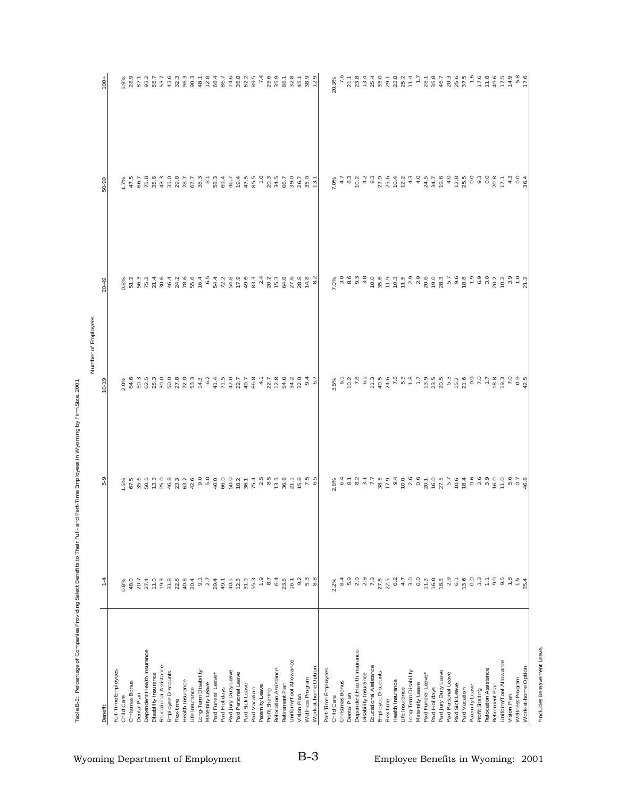| Benefit                                      | $1 - 4$                                                          | 5-9                                                                                                       | $10-19$ | 20-49 | 50-99                                                                                                                                                                                                                                                                                                         | $\frac{1}{2}$                                                                |
|----------------------------------------------|------------------------------------------------------------------|-----------------------------------------------------------------------------------------------------------|---------|-------|---------------------------------------------------------------------------------------------------------------------------------------------------------------------------------------------------------------------------------------------------------------------------------------------------------------|------------------------------------------------------------------------------|
| Full-Time Employees                          |                                                                  |                                                                                                           |         |       |                                                                                                                                                                                                                                                                                                               |                                                                              |
| Child Care                                   | 0.8%                                                             |                                                                                                           |         |       |                                                                                                                                                                                                                                                                                                               |                                                                              |
| Christmas Bonus                              | 48.0                                                             |                                                                                                           |         |       |                                                                                                                                                                                                                                                                                                               |                                                                              |
| Dental Plan                                  | 20.7                                                             |                                                                                                           |         |       |                                                                                                                                                                                                                                                                                                               |                                                                              |
| Dependent Health Insurance                   | 27.4                                                             |                                                                                                           |         |       |                                                                                                                                                                                                                                                                                                               |                                                                              |
| Disability Insurance                         | 11.0                                                             |                                                                                                           |         |       |                                                                                                                                                                                                                                                                                                               |                                                                              |
| Educational Assistance<br>Employee Discounts | 19.3<br>$31.8$                                                   | Fi 25 B B H K 4 K 3 Q A F A G B A K H A B H X K H L A G H K 4 K 3 Q A F 4 G H K A B H K H A F A F H L A F |         |       | $\begin{array}{l} -143543775888884 \\ 2549543776888894 \\ 2549543776888894 \\ \end{array}$                                                                                                                                                                                                                    |                                                                              |
| Flex-time                                    |                                                                  |                                                                                                           |         |       |                                                                                                                                                                                                                                                                                                               |                                                                              |
| Health Insurance                             |                                                                  |                                                                                                           |         |       |                                                                                                                                                                                                                                                                                                               |                                                                              |
| Life Insurance                               | $\begin{array}{c} 2.8 \\ 4.9 \\ 2.0 \\ 4 \end{array}$            |                                                                                                           |         |       |                                                                                                                                                                                                                                                                                                               |                                                                              |
| Long-Term Disability                         |                                                                  |                                                                                                           |         |       |                                                                                                                                                                                                                                                                                                               |                                                                              |
| Maternity Leave                              | $9.1$<br>$2.7$<br>$29.4$                                         |                                                                                                           |         |       |                                                                                                                                                                                                                                                                                                               |                                                                              |
| Paid Funeral Leave                           |                                                                  |                                                                                                           |         |       |                                                                                                                                                                                                                                                                                                               |                                                                              |
| Paid Holidays                                | 49.1                                                             |                                                                                                           |         |       |                                                                                                                                                                                                                                                                                                               |                                                                              |
| Paid Jury Duty Leave                         | $40.3$<br>$73.3$<br>$53.3$                                       |                                                                                                           |         |       |                                                                                                                                                                                                                                                                                                               |                                                                              |
| Paid Personal Leave                          |                                                                  |                                                                                                           |         |       |                                                                                                                                                                                                                                                                                                               |                                                                              |
| Paid Sick Leave                              |                                                                  |                                                                                                           |         |       |                                                                                                                                                                                                                                                                                                               |                                                                              |
| Paid Vacation                                |                                                                  |                                                                                                           |         |       |                                                                                                                                                                                                                                                                                                               |                                                                              |
| Paternity Leave<br>Profit Sharing            |                                                                  |                                                                                                           |         |       |                                                                                                                                                                                                                                                                                                               |                                                                              |
| Relocation Assistance                        | $7.9$<br>8.7<br>6.4                                              |                                                                                                           |         |       |                                                                                                                                                                                                                                                                                                               |                                                                              |
| Retirement Plan                              | 23.8                                                             |                                                                                                           |         |       | $\begin{array}{c} 1.75 \\ 1.75 \\ 1.75 \\ 1.75 \\ 1.75 \\ 1.75 \\ 1.75 \\ 1.75 \\ 1.75 \\ 1.75 \\ 1.75 \\ 1.75 \\ 1.75 \\ 1.75 \\ 1.75 \\ 1.75 \\ 1.75 \\ 1.75 \\ 1.75 \\ 1.75 \\ 1.75 \\ 1.75 \\ 1.75 \\ 1.75 \\ 1.75 \\ 1.75 \\ 1.75 \\ 1.75 \\ 1.75 \\ 1.75 \\ 1.75 \\ 1.75 \\ 1.75 \\ 1.75 \\ 1.75 \\ 1.$ |                                                                              |
| Uniform/Tool Allowance                       | 16.1                                                             |                                                                                                           |         |       |                                                                                                                                                                                                                                                                                                               |                                                                              |
| Vision Plan                                  |                                                                  |                                                                                                           |         |       | 39.0<br>26.7<br>13.1                                                                                                                                                                                                                                                                                          |                                                                              |
| Wellness Program                             | 0<br>0<br>5<br>5<br>8<br>8                                       |                                                                                                           |         |       |                                                                                                                                                                                                                                                                                                               |                                                                              |
| Work-at-home Option                          |                                                                  |                                                                                                           |         |       |                                                                                                                                                                                                                                                                                                               |                                                                              |
| Part-Time Employees                          |                                                                  |                                                                                                           |         |       |                                                                                                                                                                                                                                                                                                               |                                                                              |
| Child Care                                   | 2.2%                                                             |                                                                                                           | 3.5%    |       | 7.0%                                                                                                                                                                                                                                                                                                          | 20.3%                                                                        |
| Christmas Bonus                              |                                                                  |                                                                                                           |         |       |                                                                                                                                                                                                                                                                                                               | 7.6                                                                          |
| Dental Plan                                  |                                                                  |                                                                                                           |         |       |                                                                                                                                                                                                                                                                                                               | r a 4 4 0 1 a 0 4 1 1 1 8 9 6 9 6 7<br>2 3 5 6 7 8 9 7 8 7 7 7 8 9 9 9 9 9 9 |
| Dependent Health Insurance                   |                                                                  |                                                                                                           |         |       |                                                                                                                                                                                                                                                                                                               |                                                                              |
| Disability Insurance                         |                                                                  |                                                                                                           |         |       |                                                                                                                                                                                                                                                                                                               |                                                                              |
| Educational Assistance                       |                                                                  |                                                                                                           |         |       |                                                                                                                                                                                                                                                                                                               |                                                                              |
| Employee Discounts<br>Flex-time              |                                                                  |                                                                                                           |         |       |                                                                                                                                                                                                                                                                                                               |                                                                              |
| Health Insurance                             |                                                                  |                                                                                                           |         |       |                                                                                                                                                                                                                                                                                                               |                                                                              |
| Life Insurance                               | 8<br>8 8 9 9 9 9 9 9 9 9 9 9 0 9<br>8 9 9 9 9 9 9 9 9 0 9        |                                                                                                           |         |       |                                                                                                                                                                                                                                                                                                               |                                                                              |
| Long-Term Disability                         |                                                                  |                                                                                                           |         |       |                                                                                                                                                                                                                                                                                                               |                                                                              |
| Maternity Leave                              |                                                                  |                                                                                                           |         |       |                                                                                                                                                                                                                                                                                                               |                                                                              |
| Paid Funeral Leave                           |                                                                  |                                                                                                           |         |       |                                                                                                                                                                                                                                                                                                               |                                                                              |
| Paid Holidays                                |                                                                  |                                                                                                           |         |       |                                                                                                                                                                                                                                                                                                               |                                                                              |
| Paid Jury Duty Leave<br>Paid Personal Leave  | $\begin{array}{c} 1.3 \\ 16.0 \\ 18.3 \\ 2.9 \\ 6.1 \end{array}$ |                                                                                                           |         |       |                                                                                                                                                                                                                                                                                                               |                                                                              |
| Paid Sick Leave                              |                                                                  |                                                                                                           |         |       |                                                                                                                                                                                                                                                                                                               |                                                                              |
| Paid Vacation                                | 13.6                                                             |                                                                                                           |         |       |                                                                                                                                                                                                                                                                                                               |                                                                              |
| Paternity Leave                              | $_{\rm 0.0}$                                                     |                                                                                                           |         |       |                                                                                                                                                                                                                                                                                                               | 1.6                                                                          |
| Profit Sharing                               | $3.3\,$                                                          |                                                                                                           |         |       |                                                                                                                                                                                                                                                                                                               |                                                                              |
| Relocation Assistance                        | Ξ                                                                |                                                                                                           |         |       |                                                                                                                                                                                                                                                                                                               |                                                                              |
| Retirement Plan                              | 9.0                                                              |                                                                                                           |         |       |                                                                                                                                                                                                                                                                                                               |                                                                              |
| Uniform/Tool Allowance                       | 9.5                                                              |                                                                                                           |         |       |                                                                                                                                                                                                                                                                                                               |                                                                              |
| Wellness Program<br>Vision Plan              | $\frac{35}{1.5}$                                                 |                                                                                                           |         |       |                                                                                                                                                                                                                                                                                                               |                                                                              |
| Work-at-home Option                          |                                                                  |                                                                                                           |         |       |                                                                                                                                                                                                                                                                                                               |                                                                              |
|                                              |                                                                  |                                                                                                           |         |       |                                                                                                                                                                                                                                                                                                               |                                                                              |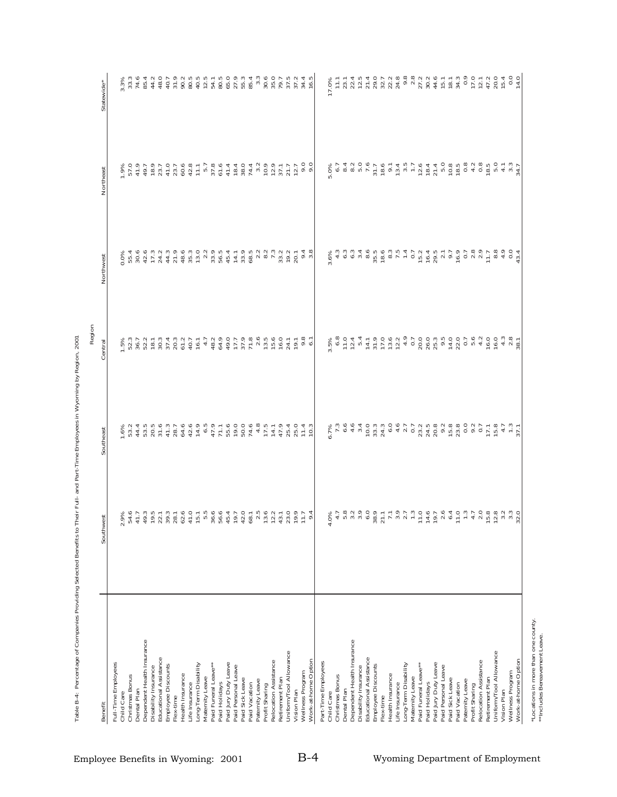| Benefit                                            | ςť<br>Southwe                                                                                                                                                                                                                                                                                                                                                                                                                                                         | Southeast                                                                                                                                                                                                                            | Central                                                                                                                                                                                                                        | Northwest                                                           | Northeast                           | Statewide*                                                               |
|----------------------------------------------------|-----------------------------------------------------------------------------------------------------------------------------------------------------------------------------------------------------------------------------------------------------------------------------------------------------------------------------------------------------------------------------------------------------------------------------------------------------------------------|--------------------------------------------------------------------------------------------------------------------------------------------------------------------------------------------------------------------------------------|--------------------------------------------------------------------------------------------------------------------------------------------------------------------------------------------------------------------------------|---------------------------------------------------------------------|-------------------------------------|--------------------------------------------------------------------------|
| Full-Time Employees                                |                                                                                                                                                                                                                                                                                                                                                                                                                                                                       |                                                                                                                                                                                                                                      |                                                                                                                                                                                                                                |                                                                     |                                     |                                                                          |
| Child Care                                         | 9%<br>$\overline{\sim}$                                                                                                                                                                                                                                                                                                                                                                                                                                               | $1.6\%$<br>53.2                                                                                                                                                                                                                      | 1.5%                                                                                                                                                                                                                           | 0.0%                                                                | 1.9%                                | 3.3%                                                                     |
| Christmas Bonus                                    |                                                                                                                                                                                                                                                                                                                                                                                                                                                                       |                                                                                                                                                                                                                                      | 52.3<br>36.7                                                                                                                                                                                                                   |                                                                     | 57.0                                |                                                                          |
| Dental Plan                                        |                                                                                                                                                                                                                                                                                                                                                                                                                                                                       |                                                                                                                                                                                                                                      |                                                                                                                                                                                                                                |                                                                     | 41.9                                |                                                                          |
| Dependent Health Insurance<br>Disability Insurance |                                                                                                                                                                                                                                                                                                                                                                                                                                                                       | $40000$<br>$40000$<br>$4000$                                                                                                                                                                                                         | $\begin{array}{c} 2.7 \\ 2.1 \\ 1.8 \\ 3.0 \\ 3.0 \end{array}$                                                                                                                                                                 |                                                                     | 49.7<br>18.9<br>23.7                |                                                                          |
| Educational Assistance                             |                                                                                                                                                                                                                                                                                                                                                                                                                                                                       |                                                                                                                                                                                                                                      |                                                                                                                                                                                                                                |                                                                     |                                     |                                                                          |
| Employee Discounts                                 | 5.4のかいのは、そのことのようのことのここののブルスのことのことから、そのようのか、そのことは、そのようなのでは、                                                                                                                                                                                                                                                                                                                                                                                                            |                                                                                                                                                                                                                                      | 37.4                                                                                                                                                                                                                           |                                                                     | 41.0                                |                                                                          |
| Flex-time                                          |                                                                                                                                                                                                                                                                                                                                                                                                                                                                       |                                                                                                                                                                                                                                      |                                                                                                                                                                                                                                |                                                                     |                                     |                                                                          |
| Health Insurance                                   |                                                                                                                                                                                                                                                                                                                                                                                                                                                                       |                                                                                                                                                                                                                                      | 20.3<br>61.2<br>40.7                                                                                                                                                                                                           |                                                                     |                                     |                                                                          |
| Life Insurance                                     |                                                                                                                                                                                                                                                                                                                                                                                                                                                                       |                                                                                                                                                                                                                                      |                                                                                                                                                                                                                                |                                                                     | $73.7$<br>$60.8$<br>$71.7$<br>$5.7$ |                                                                          |
| Long-Term Disability                               |                                                                                                                                                                                                                                                                                                                                                                                                                                                                       |                                                                                                                                                                                                                                      | 16.1                                                                                                                                                                                                                           |                                                                     |                                     |                                                                          |
| Paid Funeral Leave**<br>Maternity Leave            |                                                                                                                                                                                                                                                                                                                                                                                                                                                                       |                                                                                                                                                                                                                                      | 4.7                                                                                                                                                                                                                            |                                                                     | 37.8                                | 54.1                                                                     |
| Paid Holidays                                      |                                                                                                                                                                                                                                                                                                                                                                                                                                                                       |                                                                                                                                                                                                                                      |                                                                                                                                                                                                                                |                                                                     |                                     |                                                                          |
| Paid Jury Duty Leave                               |                                                                                                                                                                                                                                                                                                                                                                                                                                                                       |                                                                                                                                                                                                                                      |                                                                                                                                                                                                                                |                                                                     |                                     | 80.5<br>65.0<br>27.9                                                     |
| Paid Personal Leave                                |                                                                                                                                                                                                                                                                                                                                                                                                                                                                       |                                                                                                                                                                                                                                      |                                                                                                                                                                                                                                |                                                                     |                                     |                                                                          |
| Paid Sick Leave                                    |                                                                                                                                                                                                                                                                                                                                                                                                                                                                       |                                                                                                                                                                                                                                      |                                                                                                                                                                                                                                |                                                                     |                                     | 55.3<br>85.4                                                             |
| Paid Vacation                                      |                                                                                                                                                                                                                                                                                                                                                                                                                                                                       |                                                                                                                                                                                                                                      |                                                                                                                                                                                                                                |                                                                     |                                     |                                                                          |
| Patemity Leave                                     |                                                                                                                                                                                                                                                                                                                                                                                                                                                                       |                                                                                                                                                                                                                                      | $48477777777760$                                                                                                                                                                                                               |                                                                     |                                     | $3.\overline{3}$                                                         |
| Profit Sharing                                     |                                                                                                                                                                                                                                                                                                                                                                                                                                                                       |                                                                                                                                                                                                                                      |                                                                                                                                                                                                                                |                                                                     |                                     |                                                                          |
| Relocation Assistance                              |                                                                                                                                                                                                                                                                                                                                                                                                                                                                       |                                                                                                                                                                                                                                      |                                                                                                                                                                                                                                |                                                                     |                                     | $30075$<br>$30075$<br>$3075$                                             |
| Uniform/Tool Allowance<br>Retirement Plan          |                                                                                                                                                                                                                                                                                                                                                                                                                                                                       |                                                                                                                                                                                                                                      | 24.1                                                                                                                                                                                                                           |                                                                     |                                     |                                                                          |
| Vision Plan                                        |                                                                                                                                                                                                                                                                                                                                                                                                                                                                       |                                                                                                                                                                                                                                      | 19.1                                                                                                                                                                                                                           |                                                                     |                                     | 37.2                                                                     |
| Wellness Program                                   |                                                                                                                                                                                                                                                                                                                                                                                                                                                                       |                                                                                                                                                                                                                                      |                                                                                                                                                                                                                                |                                                                     | $72.7$<br>9.0                       |                                                                          |
| Work-at-home Option                                | 4<br>$\circ$                                                                                                                                                                                                                                                                                                                                                                                                                                                          |                                                                                                                                                                                                                                      | $9.8$<br>6.1                                                                                                                                                                                                                   | $9.4$<br>3.8                                                        |                                     | $34.4$<br>16.5                                                           |
| Part-Time Employees                                |                                                                                                                                                                                                                                                                                                                                                                                                                                                                       |                                                                                                                                                                                                                                      |                                                                                                                                                                                                                                |                                                                     |                                     |                                                                          |
| Child Care                                         | 4                                                                                                                                                                                                                                                                                                                                                                                                                                                                     |                                                                                                                                                                                                                                      | 5%                                                                                                                                                                                                                             |                                                                     | 5.0%                                | 17.0%                                                                    |
| Christmas Bonus                                    |                                                                                                                                                                                                                                                                                                                                                                                                                                                                       |                                                                                                                                                                                                                                      | 6.8                                                                                                                                                                                                                            |                                                                     |                                     | 11.1                                                                     |
| Dental Plan                                        |                                                                                                                                                                                                                                                                                                                                                                                                                                                                       |                                                                                                                                                                                                                                      |                                                                                                                                                                                                                                |                                                                     |                                     | 23.1<br>22.4<br>12.5                                                     |
| Dependent Health Insurance<br>Disability Insurance |                                                                                                                                                                                                                                                                                                                                                                                                                                                                       |                                                                                                                                                                                                                                      |                                                                                                                                                                                                                                |                                                                     |                                     |                                                                          |
| Educational Assistance                             |                                                                                                                                                                                                                                                                                                                                                                                                                                                                       |                                                                                                                                                                                                                                      |                                                                                                                                                                                                                                |                                                                     |                                     |                                                                          |
| Employee Discounts                                 |                                                                                                                                                                                                                                                                                                                                                                                                                                                                       |                                                                                                                                                                                                                                      |                                                                                                                                                                                                                                |                                                                     |                                     |                                                                          |
| Flex-time                                          |                                                                                                                                                                                                                                                                                                                                                                                                                                                                       |                                                                                                                                                                                                                                      |                                                                                                                                                                                                                                |                                                                     |                                     |                                                                          |
| Health Insurance                                   |                                                                                                                                                                                                                                                                                                                                                                                                                                                                       |                                                                                                                                                                                                                                      |                                                                                                                                                                                                                                |                                                                     |                                     |                                                                          |
| Life Insurance                                     |                                                                                                                                                                                                                                                                                                                                                                                                                                                                       |                                                                                                                                                                                                                                      |                                                                                                                                                                                                                                |                                                                     |                                     |                                                                          |
| Long-Term Disability                               |                                                                                                                                                                                                                                                                                                                                                                                                                                                                       |                                                                                                                                                                                                                                      |                                                                                                                                                                                                                                |                                                                     |                                     |                                                                          |
| Paid Funeral Leave**<br>Maternity Leave            |                                                                                                                                                                                                                                                                                                                                                                                                                                                                       |                                                                                                                                                                                                                                      |                                                                                                                                                                                                                                |                                                                     |                                     |                                                                          |
| Paid Holidays                                      |                                                                                                                                                                                                                                                                                                                                                                                                                                                                       |                                                                                                                                                                                                                                      |                                                                                                                                                                                                                                |                                                                     |                                     | $\begin{array}{c} 0.8 \\ 0.8 \\ 0.7 \\ 0.7 \\ 0.4 \\ 0.4 \\ \end{array}$ |
| Paid Jury Duty Leave                               |                                                                                                                                                                                                                                                                                                                                                                                                                                                                       |                                                                                                                                                                                                                                      |                                                                                                                                                                                                                                |                                                                     |                                     |                                                                          |
| Paid Personal Leave                                |                                                                                                                                                                                                                                                                                                                                                                                                                                                                       |                                                                                                                                                                                                                                      |                                                                                                                                                                                                                                |                                                                     |                                     |                                                                          |
| Paid Sick Leave                                    |                                                                                                                                                                                                                                                                                                                                                                                                                                                                       |                                                                                                                                                                                                                                      |                                                                                                                                                                                                                                |                                                                     |                                     |                                                                          |
| Paid Vacation                                      |                                                                                                                                                                                                                                                                                                                                                                                                                                                                       |                                                                                                                                                                                                                                      |                                                                                                                                                                                                                                |                                                                     |                                     | $\begin{array}{c} 15.7 \\ 18.7 \\ 34.0 \\ 0.9 \end{array}$               |
| Patemity Leave                                     | $\begin{array}{lllllllllllllllllll} \mathcal{A}&\mathcal{A}&\mathcal{A}&\mathcal{B}&\mathcal{C}&\mathcal{C}\\ \mathcal{B}&\mathcal{A}&\mathcal{B}&\mathcal{C}&\mathcal{C}&\mathcal{C}&\mathcal{C}\\ \mathcal{C}&\mathcal{A}&\mathcal{B}&\mathcal{C}&\mathcal{C}&\mathcal{C}&\mathcal{C}\\ \mathcal{C}&\mathcal{C}&\mathcal{C}&\mathcal{C}&\mathcal{C}&\mathcal{C}&\mathcal{C}\\ \mathcal{C}&\mathcal{C}&\mathcal{C}&\mathcal{C}&\mathcal{C}&\mathcal{C}&\mathcal{C}&$ | e<br>Scuedulo di Hotologia di Mondo<br>Scuedulo di Hotologia di Mondo di Mondo di Mondo di Mondo di Mondo di Mondo di Mondo di Mondo di Mondo di Mondo di Mondo di Mondo di Mondo di Mondo di Mondo di Mondo di Mondo di Mondo di Mo | th a thrath a office the rate of a strong and the strong and the strong and the strong and strong and strong and strong and strong and strong and strong and strong and strong and strong and strong and strong and strong and | u<br>Sandaum Ban-choudeur Countmand.<br>Suuuanon dunarinaari ordoon |                                     |                                                                          |
| Profit Sharing                                     |                                                                                                                                                                                                                                                                                                                                                                                                                                                                       |                                                                                                                                                                                                                                      |                                                                                                                                                                                                                                |                                                                     |                                     | 17.0                                                                     |
| Relocation Assistance<br>Retirement Plan           |                                                                                                                                                                                                                                                                                                                                                                                                                                                                       |                                                                                                                                                                                                                                      |                                                                                                                                                                                                                                |                                                                     |                                     | 12.1                                                                     |
| Uniform/Tool Allowance                             |                                                                                                                                                                                                                                                                                                                                                                                                                                                                       | $17.1$<br>$15.8$                                                                                                                                                                                                                     | 16.0                                                                                                                                                                                                                           |                                                                     |                                     |                                                                          |
| Vision Plan                                        |                                                                                                                                                                                                                                                                                                                                                                                                                                                                       |                                                                                                                                                                                                                                      |                                                                                                                                                                                                                                |                                                                     |                                     |                                                                          |
| Wellness Program                                   |                                                                                                                                                                                                                                                                                                                                                                                                                                                                       | $4.7$<br>$1.3$<br>$37.1$                                                                                                                                                                                                             | $4.38$<br>$7.8$<br>$38.1$                                                                                                                                                                                                      |                                                                     |                                     | $47.0$ $70.0$ $70.0$ $0.0$ $0.0$ $0.0$                                   |
| Work-at-home Option                                |                                                                                                                                                                                                                                                                                                                                                                                                                                                                       |                                                                                                                                                                                                                                      |                                                                                                                                                                                                                                |                                                                     |                                     |                                                                          |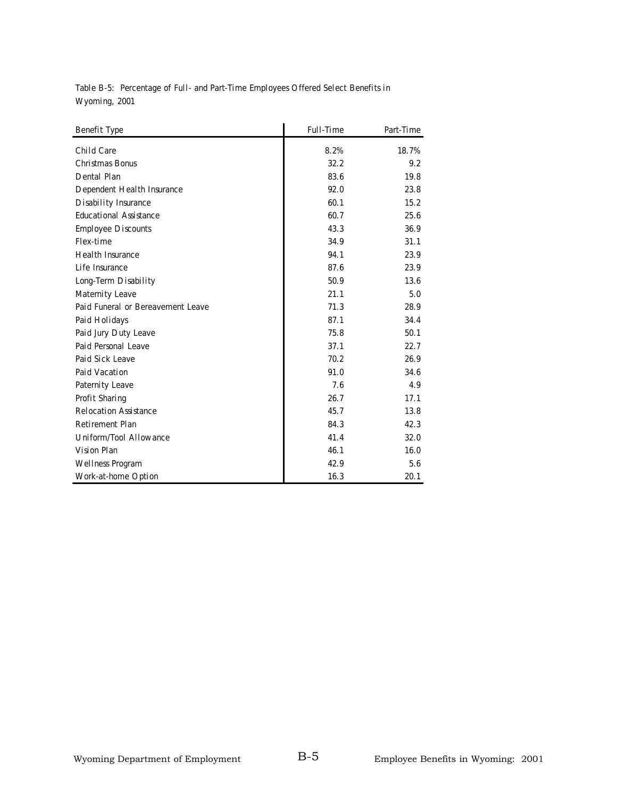**Table B-5: Percentage of Full- and Part-Time Employees Offered Select Benefits in Wyoming, 2001**

| <b>Benefit Type</b>               | <b>Full-Time</b> | Part-Time |
|-----------------------------------|------------------|-----------|
| Child Care                        | 8.2%             | 18.7%     |
| Christmas Bonus                   | 32.2             | 9.2       |
| Dental Plan                       | 83.6             | 19.8      |
| Dependent Health Insurance        | 92.0             | 23.8      |
| Disability Insurance              | 60.1             | 15.2      |
| <b>Educational Assistance</b>     | 60.7             | 25.6      |
| <b>Employee Discounts</b>         | 43.3             | 36.9      |
| Flex-time                         | 34.9             | 31.1      |
| <b>Health Insurance</b>           | 94.1             | 23.9      |
| Life Insurance                    | 87.6             | 23.9      |
| Long-Term Disability              | 50.9             | 13.6      |
| Maternity Leave                   | 21.1             | 5.0       |
| Paid Funeral or Bereavement Leave | 71.3             | 28.9      |
| Paid Holidays                     | 87.1             | 34.4      |
| Paid Jury Duty Leave              | 75.8             | 50.1      |
| Paid Personal Leave               | 37.1             | 22.7      |
| Paid Sick Leave                   | 70.2             | 26.9      |
| Paid Vacation                     | 91.0             | 34.6      |
| Paternity Leave                   | 7.6              | 4.9       |
| Profit Sharing                    | 26.7             | 17.1      |
| <b>Relocation Assistance</b>      | 45.7             | 13.8      |
| Retirement Plan                   | 84.3             | 42.3      |
| Uniform/Tool Allowance            | 41.4             | 32.0      |
| Vision Plan                       | 46.1             | 16.0      |
| Wellness Program                  | 42.9             | 5.6       |
| Work-at-home Option               | 16.3             | 20.1      |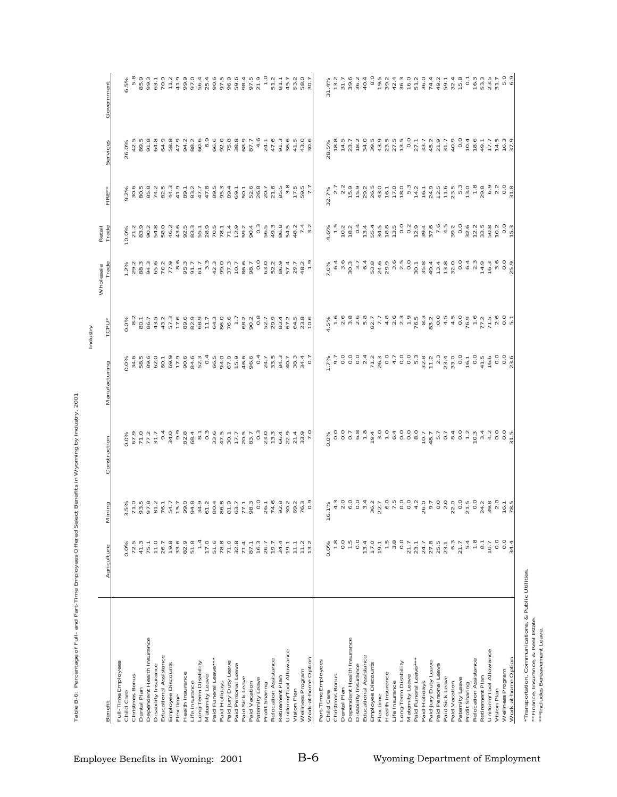|                                                |                                                             |                                                                                                                                                                                                                                                                                                                                                                                                                                                                                                                                                                                                                                                                                               |                                                                                                              |                                                                                                                                                                                                                                                                                                                                                                                                                                                                                                  |                                                                                                      | Wholesale                                                           |                                                                                                                                                                                                                                                                                                                                                                                                                                                               |                                                           |                                    |                                                                                                                               |
|------------------------------------------------|-------------------------------------------------------------|-----------------------------------------------------------------------------------------------------------------------------------------------------------------------------------------------------------------------------------------------------------------------------------------------------------------------------------------------------------------------------------------------------------------------------------------------------------------------------------------------------------------------------------------------------------------------------------------------------------------------------------------------------------------------------------------------|--------------------------------------------------------------------------------------------------------------|--------------------------------------------------------------------------------------------------------------------------------------------------------------------------------------------------------------------------------------------------------------------------------------------------------------------------------------------------------------------------------------------------------------------------------------------------------------------------------------------------|------------------------------------------------------------------------------------------------------|---------------------------------------------------------------------|---------------------------------------------------------------------------------------------------------------------------------------------------------------------------------------------------------------------------------------------------------------------------------------------------------------------------------------------------------------------------------------------------------------------------------------------------------------|-----------------------------------------------------------|------------------------------------|-------------------------------------------------------------------------------------------------------------------------------|
| Benefit                                        | Agriculture                                                 | Mining                                                                                                                                                                                                                                                                                                                                                                                                                                                                                                                                                                                                                                                                                        | Construction                                                                                                 | Manufacturing                                                                                                                                                                                                                                                                                                                                                                                                                                                                                    | TCPU <sup>*</sup>                                                                                    | Trade                                                               | Retail<br>Trade                                                                                                                                                                                                                                                                                                                                                                                                                                               | îц<br>Ē                                                   | Services                           | Government                                                                                                                    |
| Full-Time Employees                            |                                                             |                                                                                                                                                                                                                                                                                                                                                                                                                                                                                                                                                                                                                                                                                               |                                                                                                              |                                                                                                                                                                                                                                                                                                                                                                                                                                                                                                  |                                                                                                      |                                                                     |                                                                                                                                                                                                                                                                                                                                                                                                                                                               |                                                           |                                    |                                                                                                                               |
| Child Care                                     | 0.0%                                                        |                                                                                                                                                                                                                                                                                                                                                                                                                                                                                                                                                                                                                                                                                               |                                                                                                              |                                                                                                                                                                                                                                                                                                                                                                                                                                                                                                  |                                                                                                      |                                                                     | 10.0%                                                                                                                                                                                                                                                                                                                                                                                                                                                         |                                                           | 26.0%                              | ó.                                                                                                                            |
| Christmas Bonus<br>Dental Plan                 | $72.5$<br>41.3                                              |                                                                                                                                                                                                                                                                                                                                                                                                                                                                                                                                                                                                                                                                                               |                                                                                                              |                                                                                                                                                                                                                                                                                                                                                                                                                                                                                                  |                                                                                                      |                                                                     |                                                                                                                                                                                                                                                                                                                                                                                                                                                               |                                                           |                                    |                                                                                                                               |
| Dependent Health Insurance                     | 75.1                                                        |                                                                                                                                                                                                                                                                                                                                                                                                                                                                                                                                                                                                                                                                                               |                                                                                                              | $0.088$ $0.046$ $0.050$ $0.050$ $0.050$ $0.050$ $0.050$                                                                                                                                                                                                                                                                                                                                                                                                                                          |                                                                                                      | State State Program State Councing<br>State State Councing Councing |                                                                                                                                                                                                                                                                                                                                                                                                                                                               | o<br>VÖÖBAV4LPWLLPRPP90DR<br>% dipidining Lülpanu 4 4 6 7 |                                    |                                                                                                                               |
| Disability Insurance                           | 11.0                                                        |                                                                                                                                                                                                                                                                                                                                                                                                                                                                                                                                                                                                                                                                                               |                                                                                                              |                                                                                                                                                                                                                                                                                                                                                                                                                                                                                                  |                                                                                                      |                                                                     |                                                                                                                                                                                                                                                                                                                                                                                                                                                               |                                                           |                                    |                                                                                                                               |
| Educational Assistance                         | 26.7                                                        |                                                                                                                                                                                                                                                                                                                                                                                                                                                                                                                                                                                                                                                                                               |                                                                                                              |                                                                                                                                                                                                                                                                                                                                                                                                                                                                                                  |                                                                                                      |                                                                     |                                                                                                                                                                                                                                                                                                                                                                                                                                                               |                                                           |                                    |                                                                                                                               |
| Employee Discounts                             |                                                             |                                                                                                                                                                                                                                                                                                                                                                                                                                                                                                                                                                                                                                                                                               |                                                                                                              |                                                                                                                                                                                                                                                                                                                                                                                                                                                                                                  |                                                                                                      |                                                                     |                                                                                                                                                                                                                                                                                                                                                                                                                                                               |                                                           |                                    |                                                                                                                               |
| Flex-time                                      | $19.8$<br>33.6                                              |                                                                                                                                                                                                                                                                                                                                                                                                                                                                                                                                                                                                                                                                                               |                                                                                                              |                                                                                                                                                                                                                                                                                                                                                                                                                                                                                                  |                                                                                                      |                                                                     |                                                                                                                                                                                                                                                                                                                                                                                                                                                               |                                                           |                                    |                                                                                                                               |
| Health Insurance                               | 82.9                                                        |                                                                                                                                                                                                                                                                                                                                                                                                                                                                                                                                                                                                                                                                                               |                                                                                                              | $90.6$<br>84.3<br>52.3<br>0.4                                                                                                                                                                                                                                                                                                                                                                                                                                                                    |                                                                                                      |                                                                     |                                                                                                                                                                                                                                                                                                                                                                                                                                                               |                                                           |                                    |                                                                                                                               |
| Life Insurance                                 | 51.8                                                        |                                                                                                                                                                                                                                                                                                                                                                                                                                                                                                                                                                                                                                                                                               |                                                                                                              |                                                                                                                                                                                                                                                                                                                                                                                                                                                                                                  |                                                                                                      |                                                                     |                                                                                                                                                                                                                                                                                                                                                                                                                                                               |                                                           |                                    |                                                                                                                               |
| Long-Term Disability                           | 17.0                                                        |                                                                                                                                                                                                                                                                                                                                                                                                                                                                                                                                                                                                                                                                                               |                                                                                                              |                                                                                                                                                                                                                                                                                                                                                                                                                                                                                                  |                                                                                                      |                                                                     |                                                                                                                                                                                                                                                                                                                                                                                                                                                               |                                                           |                                    |                                                                                                                               |
| Maternity Leave                                |                                                             |                                                                                                                                                                                                                                                                                                                                                                                                                                                                                                                                                                                                                                                                                               |                                                                                                              |                                                                                                                                                                                                                                                                                                                                                                                                                                                                                                  |                                                                                                      |                                                                     |                                                                                                                                                                                                                                                                                                                                                                                                                                                               |                                                           |                                    |                                                                                                                               |
| Paid Funeral Leave***                          |                                                             |                                                                                                                                                                                                                                                                                                                                                                                                                                                                                                                                                                                                                                                                                               |                                                                                                              |                                                                                                                                                                                                                                                                                                                                                                                                                                                                                                  |                                                                                                      |                                                                     |                                                                                                                                                                                                                                                                                                                                                                                                                                                               |                                                           |                                    |                                                                                                                               |
| Paid Holidays                                  |                                                             |                                                                                                                                                                                                                                                                                                                                                                                                                                                                                                                                                                                                                                                                                               |                                                                                                              |                                                                                                                                                                                                                                                                                                                                                                                                                                                                                                  |                                                                                                      |                                                                     |                                                                                                                                                                                                                                                                                                                                                                                                                                                               |                                                           |                                    |                                                                                                                               |
| Paid Jury Duty Leave<br>Paid Personal Leave    | $\begin{array}{c} 51.6 \\ 78.0 \\ 77.0 \\ 32.8 \end{array}$ |                                                                                                                                                                                                                                                                                                                                                                                                                                                                                                                                                                                                                                                                                               |                                                                                                              |                                                                                                                                                                                                                                                                                                                                                                                                                                                                                                  |                                                                                                      |                                                                     |                                                                                                                                                                                                                                                                                                                                                                                                                                                               |                                                           |                                    |                                                                                                                               |
| Paid Sick Leave                                | 71.4                                                        |                                                                                                                                                                                                                                                                                                                                                                                                                                                                                                                                                                                                                                                                                               |                                                                                                              |                                                                                                                                                                                                                                                                                                                                                                                                                                                                                                  |                                                                                                      |                                                                     |                                                                                                                                                                                                                                                                                                                                                                                                                                                               |                                                           |                                    |                                                                                                                               |
| Paid Vacation                                  | 87.1                                                        |                                                                                                                                                                                                                                                                                                                                                                                                                                                                                                                                                                                                                                                                                               |                                                                                                              |                                                                                                                                                                                                                                                                                                                                                                                                                                                                                                  |                                                                                                      |                                                                     |                                                                                                                                                                                                                                                                                                                                                                                                                                                               |                                                           |                                    |                                                                                                                               |
| Paternity Leave                                |                                                             |                                                                                                                                                                                                                                                                                                                                                                                                                                                                                                                                                                                                                                                                                               |                                                                                                              |                                                                                                                                                                                                                                                                                                                                                                                                                                                                                                  |                                                                                                      |                                                                     |                                                                                                                                                                                                                                                                                                                                                                                                                                                               |                                                           | 4.6                                |                                                                                                                               |
| Profit Sharing                                 | $16.3$<br>26.7                                              |                                                                                                                                                                                                                                                                                                                                                                                                                                                                                                                                                                                                                                                                                               |                                                                                                              |                                                                                                                                                                                                                                                                                                                                                                                                                                                                                                  |                                                                                                      |                                                                     |                                                                                                                                                                                                                                                                                                                                                                                                                                                               | 26.8<br>20.7<br>21.6                                      |                                    |                                                                                                                               |
| Relocation Assistance                          | 19.7                                                        |                                                                                                                                                                                                                                                                                                                                                                                                                                                                                                                                                                                                                                                                                               |                                                                                                              |                                                                                                                                                                                                                                                                                                                                                                                                                                                                                                  |                                                                                                      |                                                                     |                                                                                                                                                                                                                                                                                                                                                                                                                                                               |                                                           |                                    |                                                                                                                               |
| Retirement Plan                                | 34.4                                                        |                                                                                                                                                                                                                                                                                                                                                                                                                                                                                                                                                                                                                                                                                               |                                                                                                              | SPSF49<br>Production de la distritta de la distritta de la distritta de la distritta del mando<br>Production de la distritta de la distritta de                                                                                                                                                                                                                                                                                                                                                  |                                                                                                      |                                                                     |                                                                                                                                                                                                                                                                                                                                                                                                                                                               | 85.5                                                      | $24.1$<br>$47.6$<br>91.3           |                                                                                                                               |
| Uniform/Tool Allowance                         | 19.1                                                        |                                                                                                                                                                                                                                                                                                                                                                                                                                                                                                                                                                                                                                                                                               |                                                                                                              |                                                                                                                                                                                                                                                                                                                                                                                                                                                                                                  |                                                                                                      |                                                                     |                                                                                                                                                                                                                                                                                                                                                                                                                                                               |                                                           | 36.6                               |                                                                                                                               |
| Vision Plan                                    | $\overline{111}$                                            |                                                                                                                                                                                                                                                                                                                                                                                                                                                                                                                                                                                                                                                                                               |                                                                                                              |                                                                                                                                                                                                                                                                                                                                                                                                                                                                                                  |                                                                                                      |                                                                     |                                                                                                                                                                                                                                                                                                                                                                                                                                                               | $\begin{array}{c} 3.5 \\ 7.5 \\ 59.5 \end{array}$         | 41.5                               |                                                                                                                               |
| Wellness Program                               | $11.2$<br>$13.2$                                            |                                                                                                                                                                                                                                                                                                                                                                                                                                                                                                                                                                                                                                                                                               |                                                                                                              |                                                                                                                                                                                                                                                                                                                                                                                                                                                                                                  | 23.8                                                                                                 |                                                                     | 4<br>$\frac{1}{2}$                                                                                                                                                                                                                                                                                                                                                                                                                                            |                                                           | 43.0<br>30.6                       |                                                                                                                               |
| Work-at-home Option                            |                                                             |                                                                                                                                                                                                                                                                                                                                                                                                                                                                                                                                                                                                                                                                                               |                                                                                                              | $\circ$                                                                                                                                                                                                                                                                                                                                                                                                                                                                                          | 10.6                                                                                                 | $\overline{\phantom{a}}$                                            |                                                                                                                                                                                                                                                                                                                                                                                                                                                               | r.                                                        |                                    |                                                                                                                               |
| Part-Time Employees                            |                                                             |                                                                                                                                                                                                                                                                                                                                                                                                                                                                                                                                                                                                                                                                                               |                                                                                                              |                                                                                                                                                                                                                                                                                                                                                                                                                                                                                                  |                                                                                                      |                                                                     |                                                                                                                                                                                                                                                                                                                                                                                                                                                               |                                                           |                                    |                                                                                                                               |
| Child Care                                     | 0.0%                                                        |                                                                                                                                                                                                                                                                                                                                                                                                                                                                                                                                                                                                                                                                                               |                                                                                                              |                                                                                                                                                                                                                                                                                                                                                                                                                                                                                                  |                                                                                                      |                                                                     | $6\%$<br>1.5                                                                                                                                                                                                                                                                                                                                                                                                                                                  | 32.7%                                                     | 28.5%                              |                                                                                                                               |
| Christmas Bonus                                | $\frac{8}{1}$                                               |                                                                                                                                                                                                                                                                                                                                                                                                                                                                                                                                                                                                                                                                                               |                                                                                                              |                                                                                                                                                                                                                                                                                                                                                                                                                                                                                                  |                                                                                                      |                                                                     |                                                                                                                                                                                                                                                                                                                                                                                                                                                               | $2.7$                                                     |                                    |                                                                                                                               |
| Dental Plan                                    | 0.0                                                         |                                                                                                                                                                                                                                                                                                                                                                                                                                                                                                                                                                                                                                                                                               |                                                                                                              |                                                                                                                                                                                                                                                                                                                                                                                                                                                                                                  |                                                                                                      |                                                                     |                                                                                                                                                                                                                                                                                                                                                                                                                                                               |                                                           |                                    |                                                                                                                               |
| Dependent Health Insurance                     | $\frac{1}{0}$ .0                                            |                                                                                                                                                                                                                                                                                                                                                                                                                                                                                                                                                                                                                                                                                               |                                                                                                              |                                                                                                                                                                                                                                                                                                                                                                                                                                                                                                  |                                                                                                      |                                                                     |                                                                                                                                                                                                                                                                                                                                                                                                                                                               |                                                           |                                    |                                                                                                                               |
| Educational Assistance<br>Disability Insurance | 13.4                                                        |                                                                                                                                                                                                                                                                                                                                                                                                                                                                                                                                                                                                                                                                                               |                                                                                                              |                                                                                                                                                                                                                                                                                                                                                                                                                                                                                                  |                                                                                                      |                                                                     |                                                                                                                                                                                                                                                                                                                                                                                                                                                               |                                                           |                                    |                                                                                                                               |
| <b>Employee Discounts</b>                      |                                                             |                                                                                                                                                                                                                                                                                                                                                                                                                                                                                                                                                                                                                                                                                               |                                                                                                              |                                                                                                                                                                                                                                                                                                                                                                                                                                                                                                  |                                                                                                      |                                                                     |                                                                                                                                                                                                                                                                                                                                                                                                                                                               |                                                           |                                    |                                                                                                                               |
| Flex-time                                      | 17.0                                                        |                                                                                                                                                                                                                                                                                                                                                                                                                                                                                                                                                                                                                                                                                               |                                                                                                              |                                                                                                                                                                                                                                                                                                                                                                                                                                                                                                  |                                                                                                      |                                                                     |                                                                                                                                                                                                                                                                                                                                                                                                                                                               |                                                           |                                    |                                                                                                                               |
| Health Insurance                               |                                                             |                                                                                                                                                                                                                                                                                                                                                                                                                                                                                                                                                                                                                                                                                               |                                                                                                              |                                                                                                                                                                                                                                                                                                                                                                                                                                                                                                  |                                                                                                      |                                                                     |                                                                                                                                                                                                                                                                                                                                                                                                                                                               |                                                           |                                    |                                                                                                                               |
| Life Insurance                                 | $\begin{array}{c} 1.5 \\ -3.0 \\ 0.0 \end{array}$           |                                                                                                                                                                                                                                                                                                                                                                                                                                                                                                                                                                                                                                                                                               |                                                                                                              |                                                                                                                                                                                                                                                                                                                                                                                                                                                                                                  |                                                                                                      |                                                                     |                                                                                                                                                                                                                                                                                                                                                                                                                                                               |                                                           |                                    | ru con a crucia de la crucia del 1916<br>A sistema de la crucia de la crucia del 1916<br>Romano de la crucia de la crucia del |
| Long-Term Disability                           |                                                             |                                                                                                                                                                                                                                                                                                                                                                                                                                                                                                                                                                                                                                                                                               |                                                                                                              |                                                                                                                                                                                                                                                                                                                                                                                                                                                                                                  |                                                                                                      |                                                                     |                                                                                                                                                                                                                                                                                                                                                                                                                                                               |                                                           |                                    |                                                                                                                               |
| Maternity Leave                                | 21.7                                                        |                                                                                                                                                                                                                                                                                                                                                                                                                                                                                                                                                                                                                                                                                               |                                                                                                              |                                                                                                                                                                                                                                                                                                                                                                                                                                                                                                  |                                                                                                      |                                                                     |                                                                                                                                                                                                                                                                                                                                                                                                                                                               |                                                           |                                    |                                                                                                                               |
| Paid Funeral Leave***<br>Paid Holidays         | 23.1<br>24.7                                                |                                                                                                                                                                                                                                                                                                                                                                                                                                                                                                                                                                                                                                                                                               |                                                                                                              |                                                                                                                                                                                                                                                                                                                                                                                                                                                                                                  |                                                                                                      |                                                                     |                                                                                                                                                                                                                                                                                                                                                                                                                                                               |                                                           | 27.7<br>33.7<br>45.2               |                                                                                                                               |
| Paid Jury Duty Leave                           |                                                             |                                                                                                                                                                                                                                                                                                                                                                                                                                                                                                                                                                                                                                                                                               |                                                                                                              |                                                                                                                                                                                                                                                                                                                                                                                                                                                                                                  |                                                                                                      |                                                                     |                                                                                                                                                                                                                                                                                                                                                                                                                                                               |                                                           |                                    |                                                                                                                               |
| Paid Personal Leave                            | $27.8$<br>$25.5$<br>$23.1$                                  |                                                                                                                                                                                                                                                                                                                                                                                                                                                                                                                                                                                                                                                                                               |                                                                                                              |                                                                                                                                                                                                                                                                                                                                                                                                                                                                                                  |                                                                                                      |                                                                     |                                                                                                                                                                                                                                                                                                                                                                                                                                                               |                                                           |                                    |                                                                                                                               |
| Paid Sick Leave                                |                                                             |                                                                                                                                                                                                                                                                                                                                                                                                                                                                                                                                                                                                                                                                                               |                                                                                                              |                                                                                                                                                                                                                                                                                                                                                                                                                                                                                                  |                                                                                                      |                                                                     |                                                                                                                                                                                                                                                                                                                                                                                                                                                               |                                                           | $21.9$<br>$31.7$<br>$40.9$         |                                                                                                                               |
| Paid Vacation                                  | $6.3$<br>21.7                                               |                                                                                                                                                                                                                                                                                                                                                                                                                                                                                                                                                                                                                                                                                               |                                                                                                              |                                                                                                                                                                                                                                                                                                                                                                                                                                                                                                  |                                                                                                      |                                                                     |                                                                                                                                                                                                                                                                                                                                                                                                                                                               |                                                           |                                    |                                                                                                                               |
| Paternity Leave                                |                                                             |                                                                                                                                                                                                                                                                                                                                                                                                                                                                                                                                                                                                                                                                                               |                                                                                                              |                                                                                                                                                                                                                                                                                                                                                                                                                                                                                                  |                                                                                                      |                                                                     |                                                                                                                                                                                                                                                                                                                                                                                                                                                               |                                                           | 0.0                                |                                                                                                                               |
| Profit Sharing                                 | $\frac{1}{4}$ 6                                             |                                                                                                                                                                                                                                                                                                                                                                                                                                                                                                                                                                                                                                                                                               |                                                                                                              |                                                                                                                                                                                                                                                                                                                                                                                                                                                                                                  |                                                                                                      |                                                                     |                                                                                                                                                                                                                                                                                                                                                                                                                                                               |                                                           | $10.4$<br>$18.6$<br>$49.1$         |                                                                                                                               |
| Relocation Assistance<br>Retirement Plan       | $\overline{8}.1$                                            |                                                                                                                                                                                                                                                                                                                                                                                                                                                                                                                                                                                                                                                                                               |                                                                                                              |                                                                                                                                                                                                                                                                                                                                                                                                                                                                                                  |                                                                                                      |                                                                     |                                                                                                                                                                                                                                                                                                                                                                                                                                                               |                                                           |                                    |                                                                                                                               |
| Uniform/Tool Allowance                         | 10.7                                                        |                                                                                                                                                                                                                                                                                                                                                                                                                                                                                                                                                                                                                                                                                               | o<br>O O O O Q + D W + Q O O W O W O W O W O O W 4 O O<br>"C O O L W W 4 O O 4 O O O L L L L 4 O U W 4 U O O |                                                                                                                                                                                                                                                                                                                                                                                                                                                                                                  |                                                                                                      |                                                                     |                                                                                                                                                                                                                                                                                                                                                                                                                                                               |                                                           |                                    |                                                                                                                               |
| Vision Plan                                    | 0.0                                                         |                                                                                                                                                                                                                                                                                                                                                                                                                                                                                                                                                                                                                                                                                               |                                                                                                              |                                                                                                                                                                                                                                                                                                                                                                                                                                                                                                  |                                                                                                      |                                                                     |                                                                                                                                                                                                                                                                                                                                                                                                                                                               |                                                           |                                    |                                                                                                                               |
| Wellness Program                               | $0.0$<br>34.4                                               | $\begin{array}{l} \frac{1}{6} \  \, \alpha \quad \alpha \quad \beta \quad \alpha \quad \alpha \quad \beta \quad \alpha \quad \beta \quad \alpha \quad \beta \quad \alpha \quad \beta \quad \alpha \quad \beta \quad \alpha \quad \beta \quad \alpha \quad \beta \quad \alpha \quad \beta \quad \alpha \quad \beta \quad \alpha \quad \beta \quad \alpha \quad \beta \quad \alpha \quad \beta \quad \alpha \quad \beta \quad \alpha \quad \beta \quad \alpha \quad \beta \quad \alpha \quad \beta \quad \alpha \quad \beta \quad \alpha \quad \beta \quad \alpha \quad \beta \quad \alpha \quad \beta \quad \alpha \quad \beta \quad \alpha \quad \beta \quad \alpha \quad \beta \quad \alpha$ |                                                                                                              | $\begin{array}{l} \Gamma_{5} \\ \Gamma_{6} \\ \Gamma_{7} \\ \Gamma_{8} \\ \Gamma_{9} \\ \Gamma_{10} \\ \Gamma_{11} \\ \Gamma_{12} \\ \Gamma_{13} \\ \Gamma_{14} \\ \Gamma_{15} \\ \Gamma_{16} \\ \Gamma_{17} \\ \Gamma_{18} \\ \Gamma_{10} \\ \Gamma_{11} \\ \Gamma_{12} \\ \Gamma_{13} \\ \Gamma_{14} \\ \Gamma_{15} \\ \Gamma_{16} \\ \Gamma_{17} \\ \Gamma_{18} \\ \Gamma_{19} \\ \Gamma_{10} \\ \Gamma_{10} \\ \Gamma_{11} \\ \Gamma_{12} \\ \Gamma_{13} \\ \Gamma_{14} \\ \Gamma_{15} \\ \$ | 4<br>Buluwungu 4 un - baguo 4 4 0 6 - 1 1 1 0 10<br>Soomowrominis Tulo 1 1 1 2 3 4 4 5 6 7 1 1 2 9 4 |                                                                     | $\begin{array}{l} \mathbf{C} \ \mathbf{u} \\ \mathbf{c} \\ \mathbf{u} \\ \mathbf{u} \\ \mathbf{v} \\ \mathbf{v} \\ \mathbf{v} \\ \mathbf{v} \\ \mathbf{v} \\ \mathbf{v} \\ \mathbf{v} \\ \mathbf{v} \\ \mathbf{v} \\ \mathbf{v} \\ \mathbf{v} \\ \mathbf{v} \\ \mathbf{v} \\ \mathbf{v} \\ \mathbf{v} \\ \mathbf{v} \\ \mathbf{v} \\ \mathbf{v} \\ \mathbf{v} \\ \mathbf{v} \\ \mathbf{v} \\ \mathbf{v} \\ \mathbf{v} \\ \mathbf{v} \\ \mathbf{v} \\ \mathbf$ | $0.208$<br>$0.208$<br>$0.508$                             | $77.5$<br>$74.5$<br>$76.3$<br>37.9 |                                                                                                                               |
| Work-at-home Option                            |                                                             |                                                                                                                                                                                                                                                                                                                                                                                                                                                                                                                                                                                                                                                                                               | $\overline{31}$ .                                                                                            |                                                                                                                                                                                                                                                                                                                                                                                                                                                                                                  |                                                                                                      |                                                                     |                                                                                                                                                                                                                                                                                                                                                                                                                                                               |                                                           |                                    |                                                                                                                               |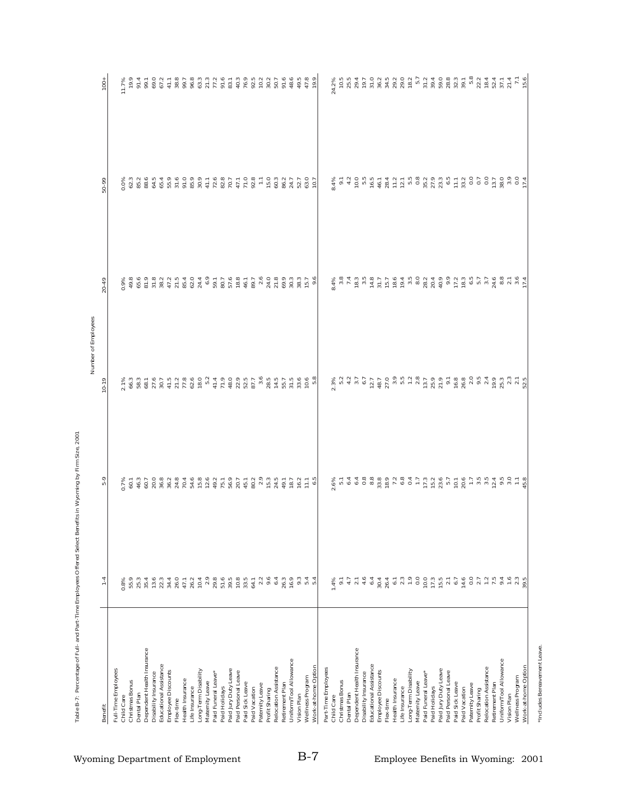|                                                |                                              |                                                                                                                                                                                                                                                                                                                                                                                                                                              | Number of Employees |                                                                                                                             |                                      |                                              |
|------------------------------------------------|----------------------------------------------|----------------------------------------------------------------------------------------------------------------------------------------------------------------------------------------------------------------------------------------------------------------------------------------------------------------------------------------------------------------------------------------------------------------------------------------------|---------------------|-----------------------------------------------------------------------------------------------------------------------------|--------------------------------------|----------------------------------------------|
| Benefit                                        | $1 - 4$                                      | 5-9                                                                                                                                                                                                                                                                                                                                                                                                                                          | $10-19$             | 20-49                                                                                                                       | 50-99                                | $100 +$                                      |
| Full-Time Employees                            |                                              |                                                                                                                                                                                                                                                                                                                                                                                                                                              |                     |                                                                                                                             |                                      |                                              |
| Child Care                                     | 0.8%                                         |                                                                                                                                                                                                                                                                                                                                                                                                                                              |                     |                                                                                                                             |                                      | 11.7%                                        |
| Christmas Bonus                                | 55.9                                         |                                                                                                                                                                                                                                                                                                                                                                                                                                              |                     |                                                                                                                             |                                      | 19.9                                         |
| Dental Plan                                    |                                              |                                                                                                                                                                                                                                                                                                                                                                                                                                              |                     |                                                                                                                             |                                      |                                              |
| Dependent Health Insurance                     | 35.4                                         |                                                                                                                                                                                                                                                                                                                                                                                                                                              |                     |                                                                                                                             |                                      |                                              |
| Educational Assistance<br>Disability Insurance | 13.6<br>22.3                                 |                                                                                                                                                                                                                                                                                                                                                                                                                                              |                     |                                                                                                                             |                                      |                                              |
| Employee Discounts                             |                                              |                                                                                                                                                                                                                                                                                                                                                                                                                                              |                     |                                                                                                                             | $0.08888888888778877788777777777777$ |                                              |
| Flex-time                                      |                                              |                                                                                                                                                                                                                                                                                                                                                                                                                                              |                     |                                                                                                                             |                                      |                                              |
| Health Insurance                               |                                              |                                                                                                                                                                                                                                                                                                                                                                                                                                              |                     |                                                                                                                             |                                      |                                              |
| Life Insurance                                 |                                              |                                                                                                                                                                                                                                                                                                                                                                                                                                              |                     |                                                                                                                             |                                      |                                              |
| Long-Term Disability                           |                                              |                                                                                                                                                                                                                                                                                                                                                                                                                                              |                     |                                                                                                                             |                                      |                                              |
| Maternity Leave                                |                                              |                                                                                                                                                                                                                                                                                                                                                                                                                                              |                     |                                                                                                                             |                                      |                                              |
| Paid Funeral Leave*                            |                                              |                                                                                                                                                                                                                                                                                                                                                                                                                                              |                     |                                                                                                                             |                                      |                                              |
| Paid Holidays                                  |                                              |                                                                                                                                                                                                                                                                                                                                                                                                                                              |                     |                                                                                                                             |                                      |                                              |
| Paid Jury Duty Leave                           |                                              |                                                                                                                                                                                                                                                                                                                                                                                                                                              |                     |                                                                                                                             |                                      |                                              |
| Paid Personal Leave                            |                                              |                                                                                                                                                                                                                                                                                                                                                                                                                                              |                     |                                                                                                                             |                                      |                                              |
| Paid Sick Leave                                |                                              |                                                                                                                                                                                                                                                                                                                                                                                                                                              |                     |                                                                                                                             |                                      |                                              |
| Paid Vacation                                  |                                              |                                                                                                                                                                                                                                                                                                                                                                                                                                              |                     |                                                                                                                             |                                      |                                              |
| Paternity Leave                                |                                              |                                                                                                                                                                                                                                                                                                                                                                                                                                              |                     |                                                                                                                             |                                      |                                              |
| Profit Sharing                                 | $2.3$<br>9.6<br>6.4                          |                                                                                                                                                                                                                                                                                                                                                                                                                                              |                     |                                                                                                                             |                                      |                                              |
| Relocation Assistance                          |                                              |                                                                                                                                                                                                                                                                                                                                                                                                                                              |                     |                                                                                                                             |                                      |                                              |
| Retirement Plan                                |                                              |                                                                                                                                                                                                                                                                                                                                                                                                                                              |                     |                                                                                                                             |                                      |                                              |
| Uniform/Tool Allowance                         |                                              |                                                                                                                                                                                                                                                                                                                                                                                                                                              |                     |                                                                                                                             |                                      |                                              |
| Vision Plan                                    |                                              |                                                                                                                                                                                                                                                                                                                                                                                                                                              |                     |                                                                                                                             |                                      |                                              |
| Wellness Program                               | $26.3$<br>$26.9$<br>$36.3$<br>$44$<br>$56.3$ |                                                                                                                                                                                                                                                                                                                                                                                                                                              |                     |                                                                                                                             |                                      |                                              |
| Work-at-home Option                            |                                              |                                                                                                                                                                                                                                                                                                                                                                                                                                              |                     |                                                                                                                             |                                      | $48.6$<br>$49.78$<br>$0.9$<br>$0.9$<br>$0.9$ |
| Part-Time Employees                            |                                              |                                                                                                                                                                                                                                                                                                                                                                                                                                              |                     |                                                                                                                             |                                      |                                              |
| Child Care                                     |                                              |                                                                                                                                                                                                                                                                                                                                                                                                                                              |                     |                                                                                                                             |                                      | 24.2%                                        |
| Christmas Bonus                                |                                              |                                                                                                                                                                                                                                                                                                                                                                                                                                              |                     |                                                                                                                             |                                      |                                              |
| Dental Plan                                    |                                              |                                                                                                                                                                                                                                                                                                                                                                                                                                              |                     |                                                                                                                             |                                      |                                              |
| Dependent Health Insurance                     |                                              |                                                                                                                                                                                                                                                                                                                                                                                                                                              |                     |                                                                                                                             |                                      |                                              |
| Disability Insurance                           |                                              |                                                                                                                                                                                                                                                                                                                                                                                                                                              |                     |                                                                                                                             |                                      |                                              |
| Educational Assistance                         |                                              |                                                                                                                                                                                                                                                                                                                                                                                                                                              |                     |                                                                                                                             |                                      |                                              |
| Employee Discounts<br>Flex-time                |                                              |                                                                                                                                                                                                                                                                                                                                                                                                                                              |                     |                                                                                                                             |                                      |                                              |
| Health Insurance                               |                                              |                                                                                                                                                                                                                                                                                                                                                                                                                                              |                     |                                                                                                                             |                                      |                                              |
| Life Insurance                                 |                                              |                                                                                                                                                                                                                                                                                                                                                                                                                                              |                     |                                                                                                                             |                                      |                                              |
| Long-Term Disability                           |                                              |                                                                                                                                                                                                                                                                                                                                                                                                                                              |                     |                                                                                                                             |                                      |                                              |
| Maternity Leave                                |                                              |                                                                                                                                                                                                                                                                                                                                                                                                                                              |                     |                                                                                                                             |                                      |                                              |
| Paid Funeral Leave*                            |                                              |                                                                                                                                                                                                                                                                                                                                                                                                                                              |                     |                                                                                                                             |                                      |                                              |
| Paid Holidays                                  |                                              |                                                                                                                                                                                                                                                                                                                                                                                                                                              |                     |                                                                                                                             |                                      |                                              |
| Paid Jury Duty Leave                           |                                              |                                                                                                                                                                                                                                                                                                                                                                                                                                              |                     |                                                                                                                             |                                      |                                              |
| Paid Personal Leave                            |                                              |                                                                                                                                                                                                                                                                                                                                                                                                                                              |                     |                                                                                                                             |                                      |                                              |
| Paid Sick Leave                                |                                              |                                                                                                                                                                                                                                                                                                                                                                                                                                              |                     |                                                                                                                             |                                      |                                              |
| Paternity Leave<br>Paid Vacation               | $\frac{14.6}{0.0}$                           |                                                                                                                                                                                                                                                                                                                                                                                                                                              |                     |                                                                                                                             |                                      |                                              |
| Profit Sharing                                 |                                              |                                                                                                                                                                                                                                                                                                                                                                                                                                              |                     |                                                                                                                             |                                      |                                              |
| Relocation Assistance                          | $\frac{1}{2}$                                | $\begin{array}{l} \mathcal{S}_{6} \subset \mathcal{A} \; \; \mathcal{A} \; \; \mathcal{B} \; \; \mathcal{C}_{7} \; \mathcal{C}_{8} \; \mathcal{C}_{9} \; \mathcal{C}_{1} \; \mathcal{C}_{1} \; \mathcal{C}_{2} \; \mathcal{C}_{3} \; \mathcal{C}_{4} \; \mathcal{C}_{5} \; \mathcal{C}_{6} \; \mathcal{C}_{7} \; \mathcal{C}_{8} \; \mathcal{C}_{8} \; \mathcal{C}_{9} \; \mathcal{C}_{1} \; \mathcal{C}_{1} \; \mathcal{C}_{2} \; \mathcal$ |                     | a<br>A m L m u A L L A A m O M A O O N U M P L A M A M N A L A H<br>S m A m U M P L L A A M O M A O O N U M D L A G M N A H |                                      |                                              |
| Retirement Plan                                | 7.5                                          |                                                                                                                                                                                                                                                                                                                                                                                                                                              |                     |                                                                                                                             |                                      |                                              |
| Uniform/Tool Allowance                         | 9.4                                          |                                                                                                                                                                                                                                                                                                                                                                                                                                              |                     |                                                                                                                             |                                      |                                              |
| Vision Plan                                    | 1.6                                          |                                                                                                                                                                                                                                                                                                                                                                                                                                              |                     |                                                                                                                             |                                      |                                              |
| Work-at-home Option<br>Wellness Program        | $2.3$<br>39.5                                |                                                                                                                                                                                                                                                                                                                                                                                                                                              |                     |                                                                                                                             |                                      |                                              |
|                                                |                                              |                                                                                                                                                                                                                                                                                                                                                                                                                                              |                     |                                                                                                                             |                                      |                                              |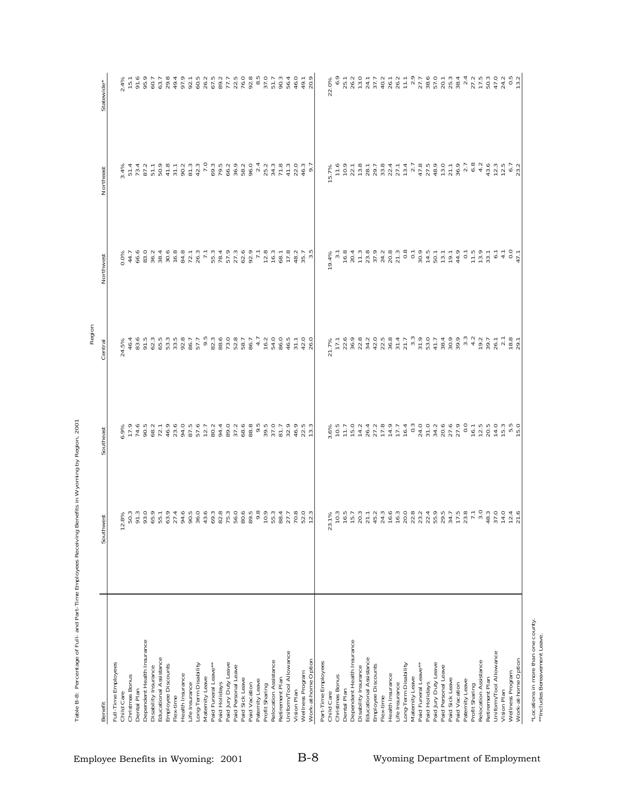| Dependent Health Insurance<br>Educational Assistance<br>Long-Term Disability<br>Full-Time Employees<br>Paid Funeral Leave**<br>Employee Discounts<br>Disability Insurance<br>Health Insurance<br>Christmas Bonus<br>Maternity Leave<br>Paid Holidays<br>Life Insurance<br>Dental Plan<br>Child Care<br>Flex-time |                                                                                                                                                                                                                                 | Southeast                                                | Central                              | Northwest                                                                                                                                                                                                                                                                                                                                                                                         | Northeast                                                             | Statewide*                                                                                                                                    |
|------------------------------------------------------------------------------------------------------------------------------------------------------------------------------------------------------------------------------------------------------------------------------------------------------------------|---------------------------------------------------------------------------------------------------------------------------------------------------------------------------------------------------------------------------------|----------------------------------------------------------|--------------------------------------|---------------------------------------------------------------------------------------------------------------------------------------------------------------------------------------------------------------------------------------------------------------------------------------------------------------------------------------------------------------------------------------------------|-----------------------------------------------------------------------|-----------------------------------------------------------------------------------------------------------------------------------------------|
|                                                                                                                                                                                                                                                                                                                  |                                                                                                                                                                                                                                 |                                                          |                                      |                                                                                                                                                                                                                                                                                                                                                                                                   |                                                                       |                                                                                                                                               |
|                                                                                                                                                                                                                                                                                                                  | 8%<br>$\overline{12}$ .                                                                                                                                                                                                         | 6.9%<br>17.9                                             | 24.5%                                | 0.0%                                                                                                                                                                                                                                                                                                                                                                                              | 3.4%                                                                  | 2.4%                                                                                                                                          |
|                                                                                                                                                                                                                                                                                                                  |                                                                                                                                                                                                                                 |                                                          | 46.4                                 | 44.7                                                                                                                                                                                                                                                                                                                                                                                              |                                                                       | $15.1$                                                                                                                                        |
|                                                                                                                                                                                                                                                                                                                  |                                                                                                                                                                                                                                 | 90.5<br>74.6                                             | 83.6                                 |                                                                                                                                                                                                                                                                                                                                                                                                   |                                                                       | 91.6<br>95.9<br>60.7<br>63.7                                                                                                                  |
|                                                                                                                                                                                                                                                                                                                  |                                                                                                                                                                                                                                 | 68.2                                                     | 91.5<br>62.3                         | $6.0$<br>$8.0$ $7.4$<br>$8.0$<br>$8.0$<br>$8.0$<br>$8.0$                                                                                                                                                                                                                                                                                                                                          | $\begin{array}{c} 51.4 \\ 73.4 \\ 87.1 \\ 90.7 \\ \hline \end{array}$ |                                                                                                                                               |
|                                                                                                                                                                                                                                                                                                                  |                                                                                                                                                                                                                                 | 72.1                                                     | 65.5                                 |                                                                                                                                                                                                                                                                                                                                                                                                   |                                                                       |                                                                                                                                               |
|                                                                                                                                                                                                                                                                                                                  |                                                                                                                                                                                                                                 | 46.9                                                     |                                      |                                                                                                                                                                                                                                                                                                                                                                                                   | 41.8                                                                  | 29.8                                                                                                                                          |
|                                                                                                                                                                                                                                                                                                                  |                                                                                                                                                                                                                                 |                                                          | $53.5$<br>33.5                       | 16.8                                                                                                                                                                                                                                                                                                                                                                                              | 31.1                                                                  | $49.4$<br>$97.9$<br>$90.5$<br>$90.5$                                                                                                          |
|                                                                                                                                                                                                                                                                                                                  |                                                                                                                                                                                                                                 |                                                          | 92.8                                 |                                                                                                                                                                                                                                                                                                                                                                                                   |                                                                       |                                                                                                                                               |
|                                                                                                                                                                                                                                                                                                                  |                                                                                                                                                                                                                                 | 23.0000000000000                                         | 86.7                                 | $84.3$<br>$72.3$                                                                                                                                                                                                                                                                                                                                                                                  | $90.2$<br>$81.3$<br>$42.3$                                            |                                                                                                                                               |
|                                                                                                                                                                                                                                                                                                                  |                                                                                                                                                                                                                                 |                                                          | 57.7                                 |                                                                                                                                                                                                                                                                                                                                                                                                   |                                                                       |                                                                                                                                               |
|                                                                                                                                                                                                                                                                                                                  |                                                                                                                                                                                                                                 | 12.7                                                     | 9.5                                  | $7.1\,$                                                                                                                                                                                                                                                                                                                                                                                           | 7.0                                                                   | $76.7\n67.7\n77.5\n72.5$                                                                                                                      |
|                                                                                                                                                                                                                                                                                                                  |                                                                                                                                                                                                                                 | 80.2<br>94.4                                             | 82.3<br>88.6                         |                                                                                                                                                                                                                                                                                                                                                                                                   |                                                                       |                                                                                                                                               |
| Paid Jury Duty Leave                                                                                                                                                                                                                                                                                             |                                                                                                                                                                                                                                 | 89.0                                                     | 73.0                                 |                                                                                                                                                                                                                                                                                                                                                                                                   |                                                                       |                                                                                                                                               |
| Paid Personal Leave                                                                                                                                                                                                                                                                                              |                                                                                                                                                                                                                                 | 37.2                                                     | 52.8                                 |                                                                                                                                                                                                                                                                                                                                                                                                   |                                                                       |                                                                                                                                               |
| Paid Sick Leave                                                                                                                                                                                                                                                                                                  |                                                                                                                                                                                                                                 | 68.6                                                     | 58.7                                 |                                                                                                                                                                                                                                                                                                                                                                                                   | 09.3<br>79.3<br>60.9<br>58.5                                          | 76.0                                                                                                                                          |
| Paid Vacation                                                                                                                                                                                                                                                                                                    |                                                                                                                                                                                                                                 | 88.8                                                     | 86.7                                 |                                                                                                                                                                                                                                                                                                                                                                                                   | 96.0                                                                  | 92.8                                                                                                                                          |
| Paternity Leave                                                                                                                                                                                                                                                                                                  |                                                                                                                                                                                                                                 |                                                          | $\overline{4}$ .7                    |                                                                                                                                                                                                                                                                                                                                                                                                   | 2.4                                                                   |                                                                                                                                               |
| Profit Sharing                                                                                                                                                                                                                                                                                                   |                                                                                                                                                                                                                                 |                                                          | 16.2                                 |                                                                                                                                                                                                                                                                                                                                                                                                   | 25.2<br>34.3                                                          | $8.5$<br>37.0                                                                                                                                 |
| Relocation Assistance                                                                                                                                                                                                                                                                                            |                                                                                                                                                                                                                                 | 9.5<br>39.5<br>57.5<br>50.7                              | 54.0                                 | $71890$<br>$7990$                                                                                                                                                                                                                                                                                                                                                                                 |                                                                       | 51.7                                                                                                                                          |
| Retirement Plan                                                                                                                                                                                                                                                                                                  |                                                                                                                                                                                                                                 |                                                          | 86.0                                 |                                                                                                                                                                                                                                                                                                                                                                                                   | 71.8                                                                  | 90.3                                                                                                                                          |
| Uniform/Tool Allowance<br>Vision Plan                                                                                                                                                                                                                                                                            |                                                                                                                                                                                                                                 | 32.9                                                     | 46.5                                 | 17.8<br>48.2                                                                                                                                                                                                                                                                                                                                                                                      | 41.3<br>22.0                                                          | 56.4                                                                                                                                          |
| Wellness Program                                                                                                                                                                                                                                                                                                 |                                                                                                                                                                                                                                 | 46.9                                                     | $31.1$<br>$42.0$                     | 35.7                                                                                                                                                                                                                                                                                                                                                                                              | 46.3                                                                  | 46.0                                                                                                                                          |
| Work-at-home Option                                                                                                                                                                                                                                                                                              |                                                                                                                                                                                                                                 | 22.5<br>13.3                                             | 26.0                                 | $3.\overline{5}$                                                                                                                                                                                                                                                                                                                                                                                  | 6.7                                                                   | 49.1<br>20.9                                                                                                                                  |
| Part-Time Employees                                                                                                                                                                                                                                                                                              |                                                                                                                                                                                                                                 |                                                          |                                      |                                                                                                                                                                                                                                                                                                                                                                                                   |                                                                       |                                                                                                                                               |
| Child Care                                                                                                                                                                                                                                                                                                       | 23.                                                                                                                                                                                                                             |                                                          | 21.7%                                | 9.4%                                                                                                                                                                                                                                                                                                                                                                                              | 5.7%                                                                  | 22.0%                                                                                                                                         |
| Christmas Bonus                                                                                                                                                                                                                                                                                                  |                                                                                                                                                                                                                                 | 3.6%<br>10.5                                             | 17.1                                 | 3.1                                                                                                                                                                                                                                                                                                                                                                                               | 11.6                                                                  | 6.9                                                                                                                                           |
| Dental Plan                                                                                                                                                                                                                                                                                                      |                                                                                                                                                                                                                                 | $11.7$<br>15.0                                           | 22.6                                 | 16.8                                                                                                                                                                                                                                                                                                                                                                                              | 10.9                                                                  | 25.1                                                                                                                                          |
| Dependent Health Insurance                                                                                                                                                                                                                                                                                       |                                                                                                                                                                                                                                 |                                                          | 36.9                                 | 20.4                                                                                                                                                                                                                                                                                                                                                                                              | 22.1                                                                  | 26.2                                                                                                                                          |
| Disability Insurance                                                                                                                                                                                                                                                                                             |                                                                                                                                                                                                                                 | 14.2                                                     | 22.8                                 | 11.3                                                                                                                                                                                                                                                                                                                                                                                              | 13.8                                                                  | 13.0                                                                                                                                          |
| Educational Assistance                                                                                                                                                                                                                                                                                           |                                                                                                                                                                                                                                 | $26.4$<br>$27.2$<br>$27.2$<br>$27.7$<br>$27.7$<br>$27.7$ | 34.2                                 |                                                                                                                                                                                                                                                                                                                                                                                                   | 28.1<br>29.7                                                          | $24.7$<br>$37.7$<br>$40.7$<br>$26.7$                                                                                                          |
| Employee Discounts<br>Flex-time                                                                                                                                                                                                                                                                                  |                                                                                                                                                                                                                                 |                                                          | $42.0$<br>$22.5$                     |                                                                                                                                                                                                                                                                                                                                                                                                   |                                                                       |                                                                                                                                               |
| Health Insurance                                                                                                                                                                                                                                                                                                 |                                                                                                                                                                                                                                 |                                                          |                                      |                                                                                                                                                                                                                                                                                                                                                                                                   | $33.8$<br>$22.4$                                                      |                                                                                                                                               |
| Life Insurance                                                                                                                                                                                                                                                                                                   |                                                                                                                                                                                                                                 |                                                          | $36.8$<br>$31.7$<br>$21.7$           |                                                                                                                                                                                                                                                                                                                                                                                                   | 27.1                                                                  | 26.2                                                                                                                                          |
| Long-Term Disability                                                                                                                                                                                                                                                                                             |                                                                                                                                                                                                                                 |                                                          |                                      |                                                                                                                                                                                                                                                                                                                                                                                                   | 13.4                                                                  |                                                                                                                                               |
| Maternity Leave                                                                                                                                                                                                                                                                                                  |                                                                                                                                                                                                                                 |                                                          | $3.\overline{3}$                     |                                                                                                                                                                                                                                                                                                                                                                                                   |                                                                       |                                                                                                                                               |
| Paid Funeral Leave**                                                                                                                                                                                                                                                                                             |                                                                                                                                                                                                                                 |                                                          | 31.9                                 |                                                                                                                                                                                                                                                                                                                                                                                                   |                                                                       |                                                                                                                                               |
| Paid Holidays                                                                                                                                                                                                                                                                                                    |                                                                                                                                                                                                                                 |                                                          | 53.0                                 |                                                                                                                                                                                                                                                                                                                                                                                                   | $7.7$<br>$47.8$<br>$47.8$<br>$48.9$                                   | $\begin{array}{c} 11.1 \\ 2.9 \\ 27.7 \\ 38.6 \\ 57.0 \end{array}$                                                                            |
| Paid Jury Duty Leave                                                                                                                                                                                                                                                                                             |                                                                                                                                                                                                                                 |                                                          | 41.7                                 |                                                                                                                                                                                                                                                                                                                                                                                                   |                                                                       |                                                                                                                                               |
| Paid Personal Leave<br>Paid Sick Leave                                                                                                                                                                                                                                                                           |                                                                                                                                                                                                                                 |                                                          | $30000$<br>$3000$                    |                                                                                                                                                                                                                                                                                                                                                                                                   | 13.0<br>21.1                                                          | 20.1                                                                                                                                          |
| Paid Vacation                                                                                                                                                                                                                                                                                                    |                                                                                                                                                                                                                                 |                                                          |                                      |                                                                                                                                                                                                                                                                                                                                                                                                   | 36.9                                                                  |                                                                                                                                               |
| Paternity Leave                                                                                                                                                                                                                                                                                                  | es d'un d'un d'adoption de la mondation de la fatalle de la mondation de la mondation de la mondation de la mo<br>L'estat de la mondation de la mondation de la mondation de la mondation de la mondation de la mondation de la |                                                          | $3.\overline{3}$<br>$4.\overline{2}$ | $\begin{array}{l} 23.25 \rightarrow 0.0000 \\ 24.25 \rightarrow 0.00000 \\ 25.25 \rightarrow 0.00000 \\ 25.25 \rightarrow 0.00000 \\ 25.25 \rightarrow 0.00000 \\ 25.25 \rightarrow 0.00000 \\ 25.25 \rightarrow 0.00000 \\ 25.25 \rightarrow 0.00000 \\ 25.25 \rightarrow 0.00000 \\ 25.25 \rightarrow 0.00000 \\ 25.25 \rightarrow 0.00000 \\ 25.25 \rightarrow 0.00000 \\ 25.25 \rightarrow 0$ | $2.\overline{7}$<br>6.8                                               | $\begin{array}{cccc}\n 25 & 3 & 4 & 7 & 7 & 8 \\  75 & 25 & 25 & 15 & 15 \\  85 & 25 & 25 & 15 & 15 \\  95 & 25 & 25 & 15 & 15\n \end{array}$ |
| Profit Sharing                                                                                                                                                                                                                                                                                                   |                                                                                                                                                                                                                                 | 16.1                                                     |                                      |                                                                                                                                                                                                                                                                                                                                                                                                   |                                                                       |                                                                                                                                               |
| Relocation Assistance                                                                                                                                                                                                                                                                                            |                                                                                                                                                                                                                                 | $12.5$<br>$20.5$                                         | 19.2                                 |                                                                                                                                                                                                                                                                                                                                                                                                   | 4.2                                                                   |                                                                                                                                               |
| Retirement Plan                                                                                                                                                                                                                                                                                                  |                                                                                                                                                                                                                                 |                                                          | 39.7                                 |                                                                                                                                                                                                                                                                                                                                                                                                   |                                                                       |                                                                                                                                               |
| Uniform/Tool Allowance                                                                                                                                                                                                                                                                                           |                                                                                                                                                                                                                                 | 14.0                                                     |                                      | $\overline{6}$ .                                                                                                                                                                                                                                                                                                                                                                                  | $43.3$<br>$72.3$<br>$6.7$<br>$6.7$                                    | 47.0                                                                                                                                          |
| Wellness Program<br>Vision Plan                                                                                                                                                                                                                                                                                  |                                                                                                                                                                                                                                 |                                                          |                                      |                                                                                                                                                                                                                                                                                                                                                                                                   |                                                                       |                                                                                                                                               |
| Work-at-home Option                                                                                                                                                                                                                                                                                              |                                                                                                                                                                                                                                 | $15.3$<br>$5.5$<br>$15.0$                                | $26.1$<br>$78.8$<br>$78.3$<br>$29.1$ | $4.7$<br>0.0<br>47.1                                                                                                                                                                                                                                                                                                                                                                              | 23.2                                                                  | $24.2$<br>0.5<br>13.2                                                                                                                         |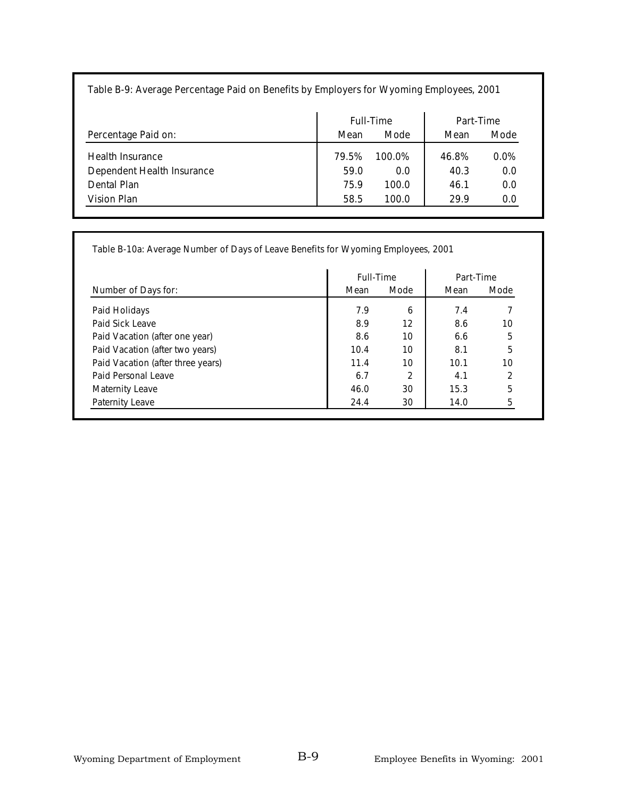#### **Table B-9: Average Percentage Paid on Benefits by Employers for Wyoming Employees, 2001**

|                                           |               | <b>Full-Time</b> | Part-Time     |                |
|-------------------------------------------|---------------|------------------|---------------|----------------|
| Percentage Paid on:                       | Mean          | <b>Mode</b>      | Mean          | <b>Mode</b>    |
| Health Insurance                          | 79.5%<br>59.0 | 100.0%<br>0.0    | 46.8%<br>40.3 | $0.0\%$<br>0.0 |
| Dependent Health Insurance<br>Dental Plan | 75.9          | 100.0            | 46.1          | 0.0            |
| Vision Plan                               | 58.5          | 100.0            | 29.9          | 0.0            |

**Table B-10a: Average Number of Days of Leave Benefits for Wyoming Employees, 2001**

|                                   | <b>Full-Time</b> |                | Part-Time |      |
|-----------------------------------|------------------|----------------|-----------|------|
| Number of Days for:               | Mean             | Mode           | Mean      | Mode |
| Paid Holidays                     | 7.9              | 6              | 7.4       |      |
| Paid Sick Leave                   | 8.9              | 12             | 8.6       | 10   |
| Paid Vacation (after one year)    | 8.6              | 10             | 6.6       | 5    |
| Paid Vacation (after two years)   | 10.4             | 10             | 8.1       | 5    |
| Paid Vacation (after three years) | 11.4             | 10             | 10.1      | 10   |
| Paid Personal Leave               | 6.7              | $\overline{2}$ | 4.1       | 2    |
| <b>Maternity Leave</b>            | 46.0             | 30             | 15.3      | 5    |
| Paternity Leave                   | 24.4             | 30             | 14.0      | 5    |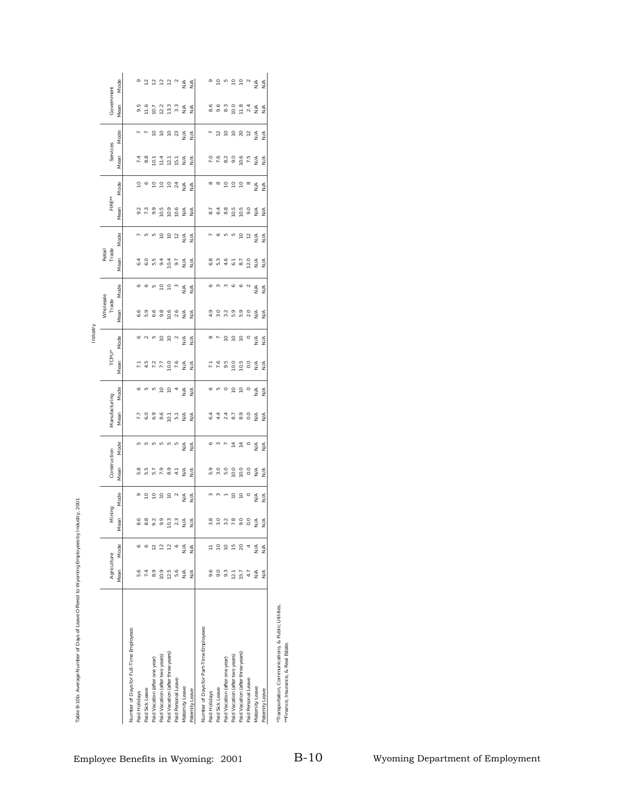| Mode<br>Government<br>Mean<br>8.9 3 3 4 5 6 9 8 9 9 1<br>$0.58727\\ 0.3333\\ 0.333$<br>$rac{4}{2}$<br>$\underset{\text{Z}}{\leq}$<br>Mode<br>7 2 2 2 2 2 3 A<br>7 2 2 2 3 4 4<br>Services<br>Mean<br>$7.8890872$<br>$7.8990872$<br>$78077777$<br>$\frac{4}{2}$<br>N/A<br>$5 - 5 - 5 = 7$<br>$\begin{array}{c} \circ \\ \circ \\ \circ \\ \circ \end{array}$<br>Mode<br>$\mathbb{N}^{\mathbb{A}}$<br>$\frac{4}{2}$<br>${\sf FIRE}^{**}$<br>Mean<br>$9739999888$<br>$799999888$<br>N/A<br>N/A<br>Mode<br><b>ABS SEE SEE</b><br>$\begin{array}{c}\n\triangleright \phi \text{ is in } \mathfrak{S} \stackrel{\mathcal{L}}{\rightarrow} \mathfrak{S} \stackrel{\mathcal{L}}{\rightarrow} \mathfrak{S}\n\end{array}$<br>Retail<br>Trade<br>Mean<br>405447<br>405447<br>12.0<br>NA<br>NA<br>N/A<br>N/A<br>Mode<br>$\begin{array}{ccccc} \circ & \circ & \circ & \circ & \circ \end{array}$<br>$\begin{array}{c} 0 & 0 & 0 & 0 & 0 \\ 0 & 0 & 0 & 0 \\ 0 & 0 & 0 & 0 \\ \end{array}$<br>N/A<br>N/A<br>N/A<br>Wholesale<br>Trade<br>Mean<br>$5.9$<br>2.0<br>$6.6$<br>$5.9$<br>$6.6$<br>9.8<br>10.6<br>2.6<br>N/A<br>4.9<br>$\frac{4}{N}$<br>Mode<br>$88$ $89$ $99$ $99$ $99$ $88$<br>TCPU*<br>Mean<br>7.47708888<br>Freegagges<br>Mode<br>$\begin{array}{ccccc} \circ & \circ & \circ & \circ & \circ & \circ \end{array}$<br>$\circ \circ \circ \circ \circ \circ$<br>≶ ≶<br>$\stackrel{\triangle}{\geq}$<br>$\frac{4}{2}$<br>Manufacturing<br>Mean<br>7. 0 0 0 0 0 0 1 1 4 A<br>44478944<br>44478944<br>Mode<br>ro ro ro ro ro<br>$M^{\text{A}}_{\text{N}}$<br>$_{\rm N/A}$<br>N/A<br>Construction<br>Mean<br>$\stackrel{\leq}{\geq} \stackrel{\leq}{\geq}$<br>0.55599988<br>Mode<br>$m m - p p o q q$<br>Mining<br>Mean<br>$3.0878008888$<br>$3.0878008888$<br>8882833345<br>e e p p p e g g g<br>e p p p e g g g<br>1555584<br>Mode<br>Agriculture<br>Mean<br>$10.9$<br>$12.5$<br>$5.6$<br>$NAA$<br>$NAA$<br>$5.4$<br>7.4<br>8.9<br>*Transportation, Communications, & Public Utilities<br>Number of Days for Part-Time Employees:<br>Number of Days for Full-Time Employees:<br>**Finance, Insurance, & Real Estate.<br>Paid Vacation (after three years)<br>Paid Vacation (after three years)<br>Paid Vacation (after two years)<br>Paid Vacation (after two years)<br>Paid Vacation (after one year)<br>Paid Vacation (after one year)<br>Paid Personal Leave<br>Paid Personal Leave<br>Maternity Leave<br>Maternity Leave<br>Paid Sick Leave<br>Paid Sick Leave<br>Paternity Leave<br>Paternity Leave<br>Paid Holidays<br>Paid Holidays |  |  |  |  |  | Industry |  |  |  |  |  |
|-----------------------------------------------------------------------------------------------------------------------------------------------------------------------------------------------------------------------------------------------------------------------------------------------------------------------------------------------------------------------------------------------------------------------------------------------------------------------------------------------------------------------------------------------------------------------------------------------------------------------------------------------------------------------------------------------------------------------------------------------------------------------------------------------------------------------------------------------------------------------------------------------------------------------------------------------------------------------------------------------------------------------------------------------------------------------------------------------------------------------------------------------------------------------------------------------------------------------------------------------------------------------------------------------------------------------------------------------------------------------------------------------------------------------------------------------------------------------------------------------------------------------------------------------------------------------------------------------------------------------------------------------------------------------------------------------------------------------------------------------------------------------------------------------------------------------------------------------------------------------------------------------------------------------------------------------------------------------------------------------------------------------------------------------------------------------------------------------------------------------------------------------------------------------------------------------------------------------------------------------------------------------------------------------------------------------------------------------------------------------------------------------------------------------------------------------------------------------------------------------------------------------------------------|--|--|--|--|--|----------|--|--|--|--|--|
|                                                                                                                                                                                                                                                                                                                                                                                                                                                                                                                                                                                                                                                                                                                                                                                                                                                                                                                                                                                                                                                                                                                                                                                                                                                                                                                                                                                                                                                                                                                                                                                                                                                                                                                                                                                                                                                                                                                                                                                                                                                                                                                                                                                                                                                                                                                                                                                                                                                                                                                                         |  |  |  |  |  |          |  |  |  |  |  |
|                                                                                                                                                                                                                                                                                                                                                                                                                                                                                                                                                                                                                                                                                                                                                                                                                                                                                                                                                                                                                                                                                                                                                                                                                                                                                                                                                                                                                                                                                                                                                                                                                                                                                                                                                                                                                                                                                                                                                                                                                                                                                                                                                                                                                                                                                                                                                                                                                                                                                                                                         |  |  |  |  |  |          |  |  |  |  |  |
|                                                                                                                                                                                                                                                                                                                                                                                                                                                                                                                                                                                                                                                                                                                                                                                                                                                                                                                                                                                                                                                                                                                                                                                                                                                                                                                                                                                                                                                                                                                                                                                                                                                                                                                                                                                                                                                                                                                                                                                                                                                                                                                                                                                                                                                                                                                                                                                                                                                                                                                                         |  |  |  |  |  |          |  |  |  |  |  |
|                                                                                                                                                                                                                                                                                                                                                                                                                                                                                                                                                                                                                                                                                                                                                                                                                                                                                                                                                                                                                                                                                                                                                                                                                                                                                                                                                                                                                                                                                                                                                                                                                                                                                                                                                                                                                                                                                                                                                                                                                                                                                                                                                                                                                                                                                                                                                                                                                                                                                                                                         |  |  |  |  |  |          |  |  |  |  |  |
|                                                                                                                                                                                                                                                                                                                                                                                                                                                                                                                                                                                                                                                                                                                                                                                                                                                                                                                                                                                                                                                                                                                                                                                                                                                                                                                                                                                                                                                                                                                                                                                                                                                                                                                                                                                                                                                                                                                                                                                                                                                                                                                                                                                                                                                                                                                                                                                                                                                                                                                                         |  |  |  |  |  |          |  |  |  |  |  |
|                                                                                                                                                                                                                                                                                                                                                                                                                                                                                                                                                                                                                                                                                                                                                                                                                                                                                                                                                                                                                                                                                                                                                                                                                                                                                                                                                                                                                                                                                                                                                                                                                                                                                                                                                                                                                                                                                                                                                                                                                                                                                                                                                                                                                                                                                                                                                                                                                                                                                                                                         |  |  |  |  |  |          |  |  |  |  |  |
|                                                                                                                                                                                                                                                                                                                                                                                                                                                                                                                                                                                                                                                                                                                                                                                                                                                                                                                                                                                                                                                                                                                                                                                                                                                                                                                                                                                                                                                                                                                                                                                                                                                                                                                                                                                                                                                                                                                                                                                                                                                                                                                                                                                                                                                                                                                                                                                                                                                                                                                                         |  |  |  |  |  |          |  |  |  |  |  |
|                                                                                                                                                                                                                                                                                                                                                                                                                                                                                                                                                                                                                                                                                                                                                                                                                                                                                                                                                                                                                                                                                                                                                                                                                                                                                                                                                                                                                                                                                                                                                                                                                                                                                                                                                                                                                                                                                                                                                                                                                                                                                                                                                                                                                                                                                                                                                                                                                                                                                                                                         |  |  |  |  |  |          |  |  |  |  |  |
|                                                                                                                                                                                                                                                                                                                                                                                                                                                                                                                                                                                                                                                                                                                                                                                                                                                                                                                                                                                                                                                                                                                                                                                                                                                                                                                                                                                                                                                                                                                                                                                                                                                                                                                                                                                                                                                                                                                                                                                                                                                                                                                                                                                                                                                                                                                                                                                                                                                                                                                                         |  |  |  |  |  |          |  |  |  |  |  |
|                                                                                                                                                                                                                                                                                                                                                                                                                                                                                                                                                                                                                                                                                                                                                                                                                                                                                                                                                                                                                                                                                                                                                                                                                                                                                                                                                                                                                                                                                                                                                                                                                                                                                                                                                                                                                                                                                                                                                                                                                                                                                                                                                                                                                                                                                                                                                                                                                                                                                                                                         |  |  |  |  |  |          |  |  |  |  |  |
|                                                                                                                                                                                                                                                                                                                                                                                                                                                                                                                                                                                                                                                                                                                                                                                                                                                                                                                                                                                                                                                                                                                                                                                                                                                                                                                                                                                                                                                                                                                                                                                                                                                                                                                                                                                                                                                                                                                                                                                                                                                                                                                                                                                                                                                                                                                                                                                                                                                                                                                                         |  |  |  |  |  |          |  |  |  |  |  |
|                                                                                                                                                                                                                                                                                                                                                                                                                                                                                                                                                                                                                                                                                                                                                                                                                                                                                                                                                                                                                                                                                                                                                                                                                                                                                                                                                                                                                                                                                                                                                                                                                                                                                                                                                                                                                                                                                                                                                                                                                                                                                                                                                                                                                                                                                                                                                                                                                                                                                                                                         |  |  |  |  |  |          |  |  |  |  |  |
|                                                                                                                                                                                                                                                                                                                                                                                                                                                                                                                                                                                                                                                                                                                                                                                                                                                                                                                                                                                                                                                                                                                                                                                                                                                                                                                                                                                                                                                                                                                                                                                                                                                                                                                                                                                                                                                                                                                                                                                                                                                                                                                                                                                                                                                                                                                                                                                                                                                                                                                                         |  |  |  |  |  |          |  |  |  |  |  |
|                                                                                                                                                                                                                                                                                                                                                                                                                                                                                                                                                                                                                                                                                                                                                                                                                                                                                                                                                                                                                                                                                                                                                                                                                                                                                                                                                                                                                                                                                                                                                                                                                                                                                                                                                                                                                                                                                                                                                                                                                                                                                                                                                                                                                                                                                                                                                                                                                                                                                                                                         |  |  |  |  |  |          |  |  |  |  |  |
|                                                                                                                                                                                                                                                                                                                                                                                                                                                                                                                                                                                                                                                                                                                                                                                                                                                                                                                                                                                                                                                                                                                                                                                                                                                                                                                                                                                                                                                                                                                                                                                                                                                                                                                                                                                                                                                                                                                                                                                                                                                                                                                                                                                                                                                                                                                                                                                                                                                                                                                                         |  |  |  |  |  |          |  |  |  |  |  |
|                                                                                                                                                                                                                                                                                                                                                                                                                                                                                                                                                                                                                                                                                                                                                                                                                                                                                                                                                                                                                                                                                                                                                                                                                                                                                                                                                                                                                                                                                                                                                                                                                                                                                                                                                                                                                                                                                                                                                                                                                                                                                                                                                                                                                                                                                                                                                                                                                                                                                                                                         |  |  |  |  |  |          |  |  |  |  |  |
|                                                                                                                                                                                                                                                                                                                                                                                                                                                                                                                                                                                                                                                                                                                                                                                                                                                                                                                                                                                                                                                                                                                                                                                                                                                                                                                                                                                                                                                                                                                                                                                                                                                                                                                                                                                                                                                                                                                                                                                                                                                                                                                                                                                                                                                                                                                                                                                                                                                                                                                                         |  |  |  |  |  |          |  |  |  |  |  |
|                                                                                                                                                                                                                                                                                                                                                                                                                                                                                                                                                                                                                                                                                                                                                                                                                                                                                                                                                                                                                                                                                                                                                                                                                                                                                                                                                                                                                                                                                                                                                                                                                                                                                                                                                                                                                                                                                                                                                                                                                                                                                                                                                                                                                                                                                                                                                                                                                                                                                                                                         |  |  |  |  |  |          |  |  |  |  |  |
|                                                                                                                                                                                                                                                                                                                                                                                                                                                                                                                                                                                                                                                                                                                                                                                                                                                                                                                                                                                                                                                                                                                                                                                                                                                                                                                                                                                                                                                                                                                                                                                                                                                                                                                                                                                                                                                                                                                                                                                                                                                                                                                                                                                                                                                                                                                                                                                                                                                                                                                                         |  |  |  |  |  |          |  |  |  |  |  |
|                                                                                                                                                                                                                                                                                                                                                                                                                                                                                                                                                                                                                                                                                                                                                                                                                                                                                                                                                                                                                                                                                                                                                                                                                                                                                                                                                                                                                                                                                                                                                                                                                                                                                                                                                                                                                                                                                                                                                                                                                                                                                                                                                                                                                                                                                                                                                                                                                                                                                                                                         |  |  |  |  |  |          |  |  |  |  |  |
|                                                                                                                                                                                                                                                                                                                                                                                                                                                                                                                                                                                                                                                                                                                                                                                                                                                                                                                                                                                                                                                                                                                                                                                                                                                                                                                                                                                                                                                                                                                                                                                                                                                                                                                                                                                                                                                                                                                                                                                                                                                                                                                                                                                                                                                                                                                                                                                                                                                                                                                                         |  |  |  |  |  |          |  |  |  |  |  |
|                                                                                                                                                                                                                                                                                                                                                                                                                                                                                                                                                                                                                                                                                                                                                                                                                                                                                                                                                                                                                                                                                                                                                                                                                                                                                                                                                                                                                                                                                                                                                                                                                                                                                                                                                                                                                                                                                                                                                                                                                                                                                                                                                                                                                                                                                                                                                                                                                                                                                                                                         |  |  |  |  |  |          |  |  |  |  |  |
|                                                                                                                                                                                                                                                                                                                                                                                                                                                                                                                                                                                                                                                                                                                                                                                                                                                                                                                                                                                                                                                                                                                                                                                                                                                                                                                                                                                                                                                                                                                                                                                                                                                                                                                                                                                                                                                                                                                                                                                                                                                                                                                                                                                                                                                                                                                                                                                                                                                                                                                                         |  |  |  |  |  |          |  |  |  |  |  |
|                                                                                                                                                                                                                                                                                                                                                                                                                                                                                                                                                                                                                                                                                                                                                                                                                                                                                                                                                                                                                                                                                                                                                                                                                                                                                                                                                                                                                                                                                                                                                                                                                                                                                                                                                                                                                                                                                                                                                                                                                                                                                                                                                                                                                                                                                                                                                                                                                                                                                                                                         |  |  |  |  |  |          |  |  |  |  |  |
|                                                                                                                                                                                                                                                                                                                                                                                                                                                                                                                                                                                                                                                                                                                                                                                                                                                                                                                                                                                                                                                                                                                                                                                                                                                                                                                                                                                                                                                                                                                                                                                                                                                                                                                                                                                                                                                                                                                                                                                                                                                                                                                                                                                                                                                                                                                                                                                                                                                                                                                                         |  |  |  |  |  |          |  |  |  |  |  |
|                                                                                                                                                                                                                                                                                                                                                                                                                                                                                                                                                                                                                                                                                                                                                                                                                                                                                                                                                                                                                                                                                                                                                                                                                                                                                                                                                                                                                                                                                                                                                                                                                                                                                                                                                                                                                                                                                                                                                                                                                                                                                                                                                                                                                                                                                                                                                                                                                                                                                                                                         |  |  |  |  |  |          |  |  |  |  |  |
|                                                                                                                                                                                                                                                                                                                                                                                                                                                                                                                                                                                                                                                                                                                                                                                                                                                                                                                                                                                                                                                                                                                                                                                                                                                                                                                                                                                                                                                                                                                                                                                                                                                                                                                                                                                                                                                                                                                                                                                                                                                                                                                                                                                                                                                                                                                                                                                                                                                                                                                                         |  |  |  |  |  |          |  |  |  |  |  |
|                                                                                                                                                                                                                                                                                                                                                                                                                                                                                                                                                                                                                                                                                                                                                                                                                                                                                                                                                                                                                                                                                                                                                                                                                                                                                                                                                                                                                                                                                                                                                                                                                                                                                                                                                                                                                                                                                                                                                                                                                                                                                                                                                                                                                                                                                                                                                                                                                                                                                                                                         |  |  |  |  |  |          |  |  |  |  |  |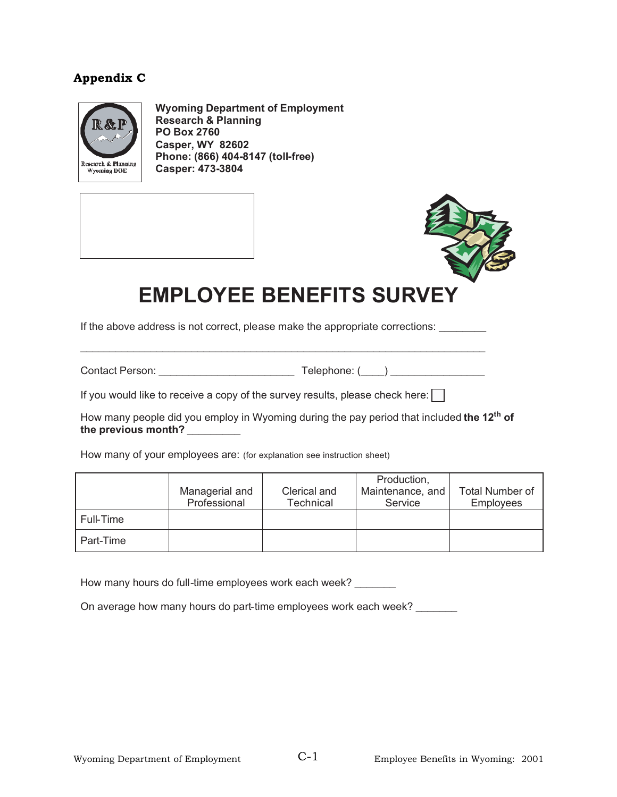# **Appendix C**



**Wyoming Department of Employment Research & Planning PO Box 2760 Casper, WY 82602 Phone: (866) 404-8147 (toll-free) Casper: 473-3804** 



# **EMPLOYEE BENEFITS SURVEY**

If the above address is not correct, please make the appropriate corrections: \_\_\_\_\_\_\_\_

 $\mathcal{L}_\text{max}$  , and the set of the set of the set of the set of the set of the set of the set of the set of the set of the set of the set of the set of the set of the set of the set of the set of the set of the set of the

Contact Person: example and the Telephone: (example and the Telephone: (example and the Version of Telephone: (

If you would like to receive a copy of the survey results, please check here:  $\Box$ 

How many people did you employ in Wyoming during the pay period that included **the 12th of the previous month?** \_\_\_\_\_\_\_\_\_

How many of your employees are: (for explanation see instruction sheet)

|           |                |              | Production,      |                        |
|-----------|----------------|--------------|------------------|------------------------|
|           | Managerial and | Clerical and | Maintenance, and | <b>Total Number of</b> |
|           | Professional   | Technical    | Service          | <b>Employees</b>       |
| Full-Time |                |              |                  |                        |
| Part-Time |                |              |                  |                        |

How many hours do full-time employees work each week?

On average how many hours do part-time employees work each week?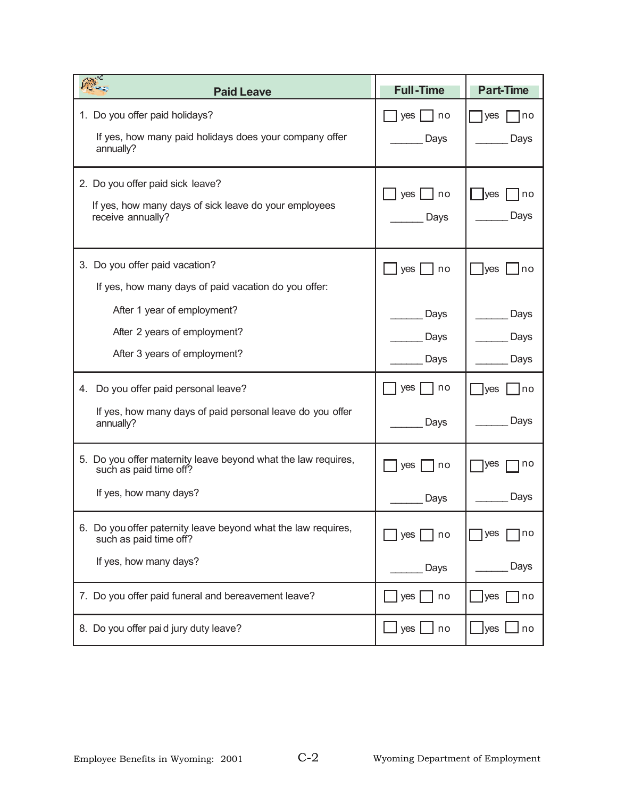| 麻<br><b>Paid Leave</b>                                                                                            | <b>Full-Time</b>     | <b>Part-Time</b>   |
|-------------------------------------------------------------------------------------------------------------------|----------------------|--------------------|
| 1. Do you offer paid holidays?                                                                                    | yes                  | no                 |
| If yes, how many paid holidays does your company offer                                                            | l no                 | yes                |
| annually?                                                                                                         | Days                 | Days               |
| 2. Do you offer paid sick leave?                                                                                  | yes I                | <b>lyes</b>        |
| If yes, how many days of sick leave do your employees                                                             | l no                 | no                 |
| receive annually?                                                                                                 | Days                 | Days               |
| 3. Do you offer paid vacation?                                                                                    | yes                  | <b>yes</b>         |
| If yes, how many days of paid vacation do you offer:                                                              | no                   | no                 |
| After 1 year of employment?                                                                                       | Days                 | Days               |
| After 2 years of employment?                                                                                      | Days                 | Days               |
| After 3 years of employment?                                                                                      | Days                 | Days               |
| Do you offer paid personal leave?<br>4.<br>If yes, how many days of paid personal leave do you offer<br>annually? | no<br>yes<br>Days    | Ives<br>no<br>Days |
| 5. Do you offer maternity leave beyond what the law requires,                                                     | no                   | no                 |
| such as paid time off?                                                                                            | yes                  | yes                |
| If yes, how many days?                                                                                            | Days                 | Days               |
| 6. Do you offer paternity leave beyond what the law requires,                                                     | yes                  | yes                |
| such as paid time off?                                                                                            | no                   | no                 |
| If yes, how many days?                                                                                            | Days                 | Days               |
| 7. Do you offer paid funeral and bereavement leave?                                                               | $yes \mid$<br>no     | yes<br>no          |
| 8. Do you offer paid jury duty leave?                                                                             | $\Box$ yes $\Box$ no | _lyes ∟ no         |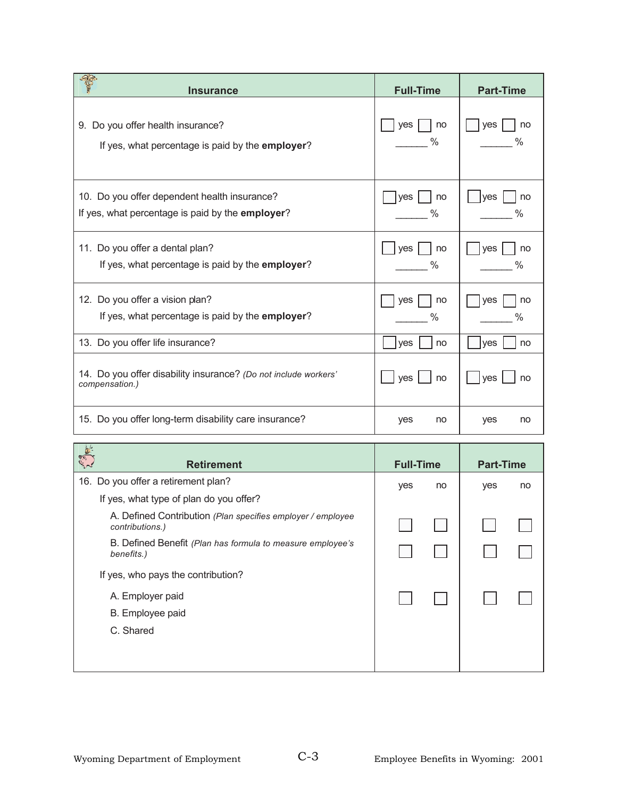| ar-<br><b>Insurance</b>                                                                          | <b>Full-Time</b>           | <b>Part-Time</b> |
|--------------------------------------------------------------------------------------------------|----------------------------|------------------|
| 9. Do you offer health insurance?<br>If yes, what percentage is paid by the employer?            | yes<br>no<br>$\frac{0}{0}$ | ves<br>no        |
| 10. Do you offer dependent health insurance?<br>If yes, what percentage is paid by the employer? | yes<br>no<br>%             | ves<br>no<br>%   |
| 11. Do you offer a dental plan?<br>If yes, what percentage is paid by the <b>employer</b> ?      | yes<br>no<br>%             | ves<br>no        |
| 12. Do you offer a vision plan?<br>If yes, what percentage is paid by the employer?              | yes<br>no<br>%             | yes<br>no<br>%   |
| 13. Do you offer life insurance?                                                                 | ves<br>no                  | ves<br>no        |
| 14. Do you offer disability insurance? (Do not include workers'<br>compensation.)                | yes<br>no                  | ves<br>no        |
| 15. Do you offer long-term disability care insurance?                                            | yes<br>no                  | yes<br>no        |

| $\begin{pmatrix} \mathcal{P}, \mathcal{Q} \\ \mathcal{P}, \mathcal{P} \end{pmatrix} \mathbb{R}^3.$<br><b>Retirement</b> | <b>Full-Time</b> |    | <b>Part-Time</b> |    |
|-------------------------------------------------------------------------------------------------------------------------|------------------|----|------------------|----|
| 16. Do you offer a retirement plan?                                                                                     | yes              | no | yes              | no |
| If yes, what type of plan do you offer?                                                                                 |                  |    |                  |    |
| A. Defined Contribution (Plan specifies employer / employee<br>contributions.)                                          |                  |    |                  |    |
| B. Defined Benefit (Plan has formula to measure employee's<br>benefits.)                                                |                  |    |                  |    |
| If yes, who pays the contribution?                                                                                      |                  |    |                  |    |
| A. Employer paid                                                                                                        |                  |    |                  |    |
| B. Employee paid                                                                                                        |                  |    |                  |    |
| C. Shared                                                                                                               |                  |    |                  |    |
|                                                                                                                         |                  |    |                  |    |
|                                                                                                                         |                  |    |                  |    |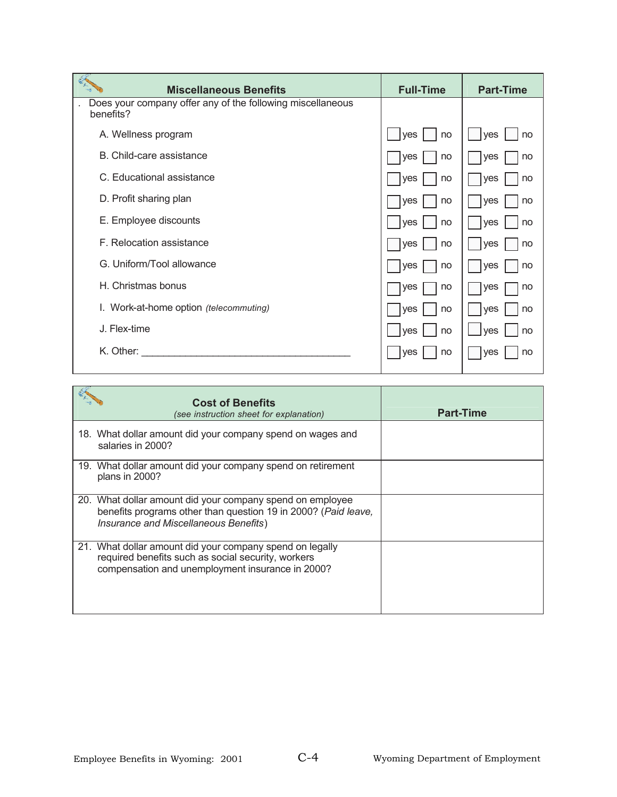| <b>Miscellaneous Benefits</b>                                           | <b>Full-Time</b> | <b>Part-Time</b> |
|-------------------------------------------------------------------------|------------------|------------------|
| Does your company offer any of the following miscellaneous<br>benefits? |                  |                  |
| A. Wellness program                                                     | no<br>ves        | no<br>ves        |
| B. Child-care assistance                                                | yes<br>no        | <b>ves</b><br>no |
| C. Educational assistance                                               | yes<br>no        | no<br><b>ves</b> |
| D. Profit sharing plan                                                  | yes<br>no        | ves<br>no        |
| E. Employee discounts                                                   | ves<br>no        | no<br><b>ves</b> |
| F. Relocation assistance                                                | yes<br>no        | ves<br>no        |
| G. Uniform/Tool allowance                                               | yes<br>no        | <b>ves</b><br>no |
| H. Christmas bonus                                                      | yes<br>no        | no<br>yes        |
| I. Work-at-home option (telecommuting)                                  | yes<br>no        | yes<br>no        |
| J. Flex-time                                                            | ves<br>no        | ves<br>no        |
| K. Other:                                                               | <b>ves</b><br>no | <b>ves</b><br>no |

| <b>Cost of Benefits</b><br>(see instruction sheet for explanation)                                                                                                   | <b>Part-Time</b> |
|----------------------------------------------------------------------------------------------------------------------------------------------------------------------|------------------|
| 18. What dollar amount did your company spend on wages and<br>salaries in 2000?                                                                                      |                  |
| 19. What dollar amount did your company spend on retirement<br>plans in 2000?                                                                                        |                  |
| 20. What dollar amount did your company spend on employee<br>benefits programs other than question 19 in 2000? (Paid leave,<br>Insurance and Miscellaneous Benefits) |                  |
| 21. What dollar amount did your company spend on legally<br>required benefits such as social security, workers<br>compensation and unemployment insurance in 2000?   |                  |